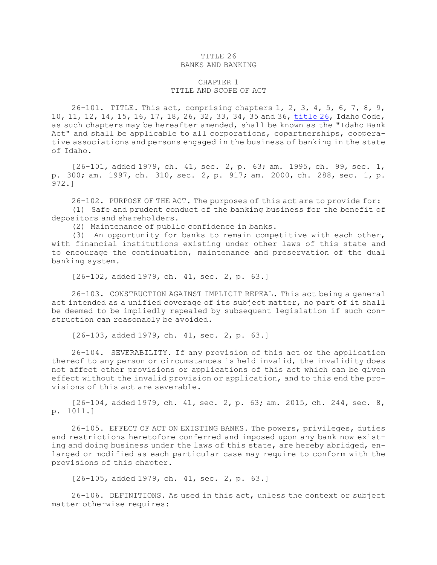## TITLE 26 BANKS AND BANKING

# CHAPTER 1 TITLE AND SCOPE OF ACT

26-101. TITLE. This act, comprising chapters 1, 2, 3, 4, 5, 6, 7, 8, 9, 10, 11, 12, 14, 15, 16, 17, 18, 26, 32, 33, 34, 35 and 36, [title](https://legislature.idaho.gov/statutesrules/idstat/Title26/T26) 26, Idaho Code, as such chapters may be hereafter amended, shall be known as the "Idaho Bank Act" and shall be applicable to all corporations, copartnerships, cooperative associations and persons engaged in the business of banking in the state of Idaho.

[26-101, added 1979, ch. 41, sec. 2, p. 63; am. 1995, ch. 99, sec. 1, p. 300; am. 1997, ch. 310, sec. 2, p. 917; am. 2000, ch. 288, sec. 1, p. 972.]

26-102. PURPOSE OF THE ACT. The purposes of this act are to provide for: (1) Safe and prudent conduct of the banking business for the benefit of depositors and shareholders.

(2) Maintenance of public confidence in banks.

(3) An opportunity for banks to remain competitive with each other, with financial institutions existing under other laws of this state and to encourage the continuation, maintenance and preservation of the dual banking system.

[26-102, added 1979, ch. 41, sec. 2, p. 63.]

26-103. CONSTRUCTION AGAINST IMPLICIT REPEAL. This act being <sup>a</sup> general act intended as <sup>a</sup> unified coverage of its subject matter, no part of it shall be deemed to be impliedly repealed by subsequent legislation if such construction can reasonably be avoided.

[26-103, added 1979, ch. 41, sec. 2, p. 63.]

26-104. SEVERABILITY. If any provision of this act or the application thereof to any person or circumstances is held invalid, the invalidity does not affect other provisions or applications of this act which can be given effect without the invalid provision or application, and to this end the provisions of this act are severable.

[26-104, added 1979, ch. 41, sec. 2, p. 63; am. 2015, ch. 244, sec. 8, p. 1011.]

26-105. EFFECT OF ACT ON EXISTING BANKS. The powers, privileges, duties and restrictions heretofore conferred and imposed upon any bank now existing and doing business under the laws of this state, are hereby abridged, enlarged or modified as each particular case may require to conform with the provisions of this chapter.

[26-105, added 1979, ch. 41, sec. 2, p. 63.]

26-106. DEFINITIONS. As used in this act, unless the context or subject matter otherwise requires: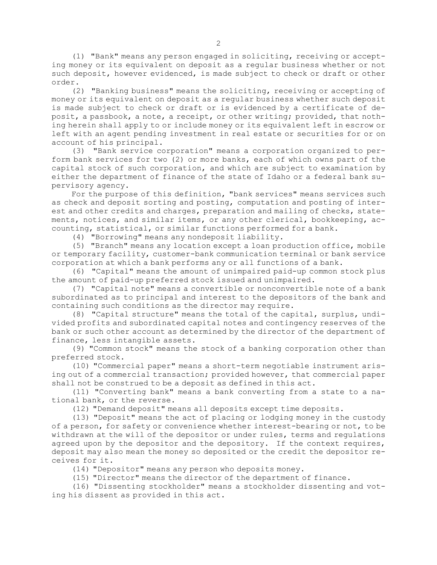(1) "Bank" means any person engaged in soliciting, receiving or accepting money or its equivalent on deposit as <sup>a</sup> regular business whether or not such deposit, however evidenced, is made subject to check or draft or other order.

(2) "Banking business" means the soliciting, receiving or accepting of money or its equivalent on deposit as <sup>a</sup> regular business whether such deposit is made subject to check or draft or is evidenced by <sup>a</sup> certificate of deposit, <sup>a</sup> passbook, <sup>a</sup> note, <sup>a</sup> receipt, or other writing; provided, that nothing herein shall apply to or include money or its equivalent left in escrow or left with an agent pending investment in real estate or securities for or on account of his principal.

(3) "Bank service corporation" means <sup>a</sup> corporation organized to perform bank services for two (2) or more banks, each of which owns part of the capital stock of such corporation, and which are subject to examination by either the department of finance of the state of Idaho or <sup>a</sup> federal bank supervisory agency.

For the purpose of this definition, "bank services" means services such as check and deposit sorting and posting, computation and posting of interest and other credits and charges, preparation and mailing of checks, statements, notices, and similar items, or any other clerical, bookkeeping, accounting, statistical, or similar functions performed for <sup>a</sup> bank.

(4) "Borrowing" means any nondeposit liability.

(5) "Branch" means any location except <sup>a</sup> loan production office, mobile or temporary facility, customer-bank communication terminal or bank service corporation at which <sup>a</sup> bank performs any or all functions of <sup>a</sup> bank.

(6) "Capital" means the amount of unimpaired paid-up common stock plus the amount of paid-up preferred stock issued and unimpaired.

(7) "Capital note" means <sup>a</sup> convertible or nonconvertible note of <sup>a</sup> bank subordinated as to principal and interest to the depositors of the bank and containing such conditions as the director may require.

(8) "Capital structure" means the total of the capital, surplus, undivided profits and subordinated capital notes and contingency reserves of the bank or such other account as determined by the director of the department of finance, less intangible assets.

(9) "Common stock" means the stock of <sup>a</sup> banking corporation other than preferred stock.

(10) "Commercial paper" means <sup>a</sup> short-term negotiable instrument arising out of <sup>a</sup> commercial transaction; provided however, that commercial paper shall not be construed to be <sup>a</sup> deposit as defined in this act.

(11) "Converting bank" means <sup>a</sup> bank converting from <sup>a</sup> state to <sup>a</sup> national bank, or the reverse.

(12) "Demand deposit" means all deposits except time deposits.

(13) "Deposit" means the act of placing or lodging money in the custody of <sup>a</sup> person, for safety or convenience whether interest-bearing or not, to be withdrawn at the will of the depositor or under rules, terms and regulations agreed upon by the depositor and the depository. If the context requires, deposit may also mean the money so deposited or the credit the depositor receives for it.

(14) "Depositor" means any person who deposits money.

(15) "Director" means the director of the department of finance.

(16) "Dissenting stockholder" means <sup>a</sup> stockholder dissenting and voting his dissent as provided in this act.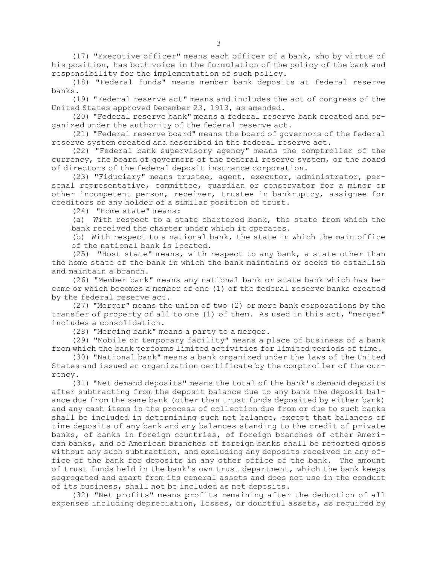(17) "Executive officer" means each officer of <sup>a</sup> bank, who by virtue of his position, has both voice in the formulation of the policy of the bank and responsibility for the implementation of such policy.

(18) "Federal funds" means member bank deposits at federal reserve banks.

(19) "Federal reserve act" means and includes the act of congress of the United States approved December 23, 1913, as amended.

(20) "Federal reserve bank" means <sup>a</sup> federal reserve bank created and organized under the authority of the federal reserve act.

(21) "Federal reserve board" means the board of governors of the federal reserve system created and described in the federal reserve act.

(22) "Federal bank supervisory agency" means the comptroller of the currency, the board of governors of the federal reserve system, or the board of directors of the federal deposit insurance corporation.

(23) "Fiduciary" means trustee, agent, executor, administrator, personal representative, committee, guardian or conservator for <sup>a</sup> minor or other incompetent person, receiver, trustee in bankruptcy, assignee for creditors or any holder of <sup>a</sup> similar position of trust.

(24) "Home state" means:

(a) With respect to <sup>a</sup> state chartered bank, the state from which the bank received the charter under which it operates.

(b) With respect to <sup>a</sup> national bank, the state in which the main office of the national bank is located.

(25) "Host state" means, with respect to any bank, <sup>a</sup> state other than the home state of the bank in which the bank maintains or seeks to establish and maintain <sup>a</sup> branch.

(26) "Member bank" means any national bank or state bank which has become or which becomes <sup>a</sup> member of one (1) of the federal reserve banks created by the federal reserve act.

(27) "Merger" means the union of two (2) or more bank corporations by the transfer of property of all to one (1) of them. As used in this act, "merger" includes <sup>a</sup> consolidation.

(28) "Merging bank" means <sup>a</sup> party to <sup>a</sup> merger.

(29) "Mobile or temporary facility" means <sup>a</sup> place of business of <sup>a</sup> bank from which the bank performs limited activities for limited periods of time.

(30) "National bank" means <sup>a</sup> bank organized under the laws of the United States and issued an organization certificate by the comptroller of the currency.

(31) "Net demand deposits" means the total of the bank's demand deposits after subtracting from the deposit balance due to any bank the deposit balance due from the same bank (other than trust funds deposited by either bank) and any cash items in the process of collection due from or due to such banks shall be included in determining such net balance, except that balances of time deposits of any bank and any balances standing to the credit of private banks, of banks in foreign countries, of foreign branches of other American banks, and of American branches of foreign banks shall be reported gross without any such subtraction, and excluding any deposits received in any office of the bank for deposits in any other office of the bank. The amount of trust funds held in the bank's own trust department, which the bank keeps segregated and apart from its general assets and does not use in the conduct of its business, shall not be included as net deposits.

(32) "Net profits" means profits remaining after the deduction of all expenses including depreciation, losses, or doubtful assets, as required by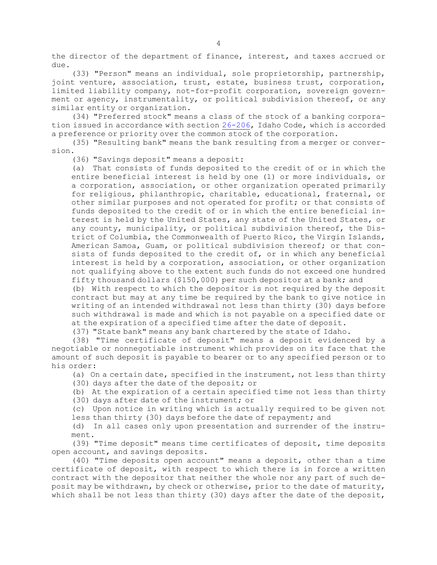the director of the department of finance, interest, and taxes accrued or due.

(33) "Person" means an individual, sole proprietorship, partnership, joint venture, association, trust, estate, business trust, corporation, limited liability company, not-for-profit corporation, sovereign government or agency, instrumentality, or political subdivision thereof, or any similar entity or organization.

(34) "Preferred stock" means <sup>a</sup> class of the stock of <sup>a</sup> banking corporation issued in accordance with section [26-206](https://legislature.idaho.gov/statutesrules/idstat/Title26/T26CH2/SECT26-206), Idaho Code, which is accorded <sup>a</sup> preference or priority over the common stock of the corporation.

(35) "Resulting bank" means the bank resulting from <sup>a</sup> merger or conversion.

(36) "Savings deposit" means <sup>a</sup> deposit:

(a) That consists of funds deposited to the credit of or in which the entire beneficial interest is held by one (1) or more individuals, or <sup>a</sup> corporation, association, or other organization operated primarily for religious, philanthropic, charitable, educational, fraternal, or other similar purposes and not operated for profit; or that consists of funds deposited to the credit of or in which the entire beneficial interest is held by the United States, any state of the United States, or any county, municipality, or political subdivision thereof, the District of Columbia, the Commonwealth of Puerto Rico, the Virgin Islands, American Samoa, Guam, or political subdivision thereof; or that consists of funds deposited to the credit of, or in which any beneficial interest is held by <sup>a</sup> corporation, association, or other organization not qualifying above to the extent such funds do not exceed one hundred fifty thousand dollars (\$150,000) per such depositor at <sup>a</sup> bank; and

(b) With respect to which the depositor is not required by the deposit contract but may at any time be required by the bank to give notice in writing of an intended withdrawal not less than thirty (30) days before such withdrawal is made and which is not payable on <sup>a</sup> specified date or at the expiration of <sup>a</sup> specified time after the date of deposit.

(37) "State bank" means any bank chartered by the state of Idaho.

(38) "Time certificate of deposit" means <sup>a</sup> deposit evidenced by <sup>a</sup> negotiable or nonnegotiable instrument which provides on its face that the amount of such deposit is payable to bearer or to any specified person or to his order:

(a) On <sup>a</sup> certain date, specified in the instrument, not less than thirty

(30) days after the date of the deposit; or

(b) At the expiration of <sup>a</sup> certain specified time not less than thirty

(30) days after date of the instrument; or

(c) Upon notice in writing which is actually required to be given not less than thirty (30) days before the date of repayment; and

(d) In all cases only upon presentation and surrender of the instrument.

(39) "Time deposit" means time certificates of deposit, time deposits open account, and savings deposits.

(40) "Time deposits open account" means <sup>a</sup> deposit, other than <sup>a</sup> time certificate of deposit, with respect to which there is in force <sup>a</sup> written contract with the depositor that neither the whole nor any part of such deposit may be withdrawn, by check or otherwise, prior to the date of maturity, which shall be not less than thirty (30) days after the date of the deposit,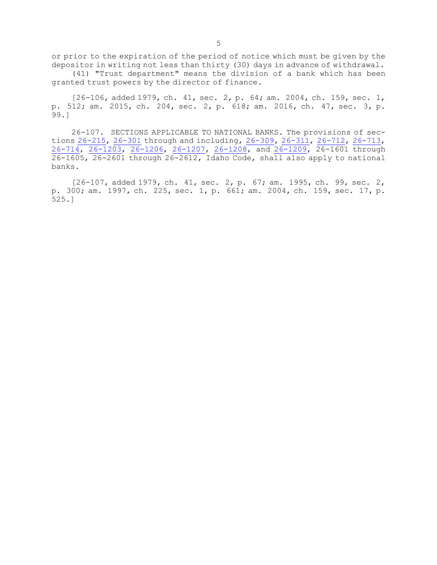or prior to the expiration of the period of notice which must be given by the depositor in writing not less than thirty (30) days in advance of withdrawal.

(41) "Trust department" means the division of <sup>a</sup> bank which has been granted trust powers by the director of finance.

[26-106, added 1979, ch. 41, sec. 2, p. 64; am. 2004, ch. 159, sec. 1, p. 512; am. 2015, ch. 204, sec. 2, p. 618; am. 2016, ch. 47, sec. 3, p. 99.]

26-107. SECTIONS APPLICABLE TO NATIONAL BANKS. The provisions of sec-tions [26-215](https://legislature.idaho.gov/statutesrules/idstat/Title26/T26CH2/SECT26-215), [26-301](https://legislature.idaho.gov/statutesrules/idstat/Title26/T26CH3/SECT26-301) through and including, [26-309](https://legislature.idaho.gov/statutesrules/idstat/Title26/T26CH3/SECT26-309), [26-311](https://legislature.idaho.gov/statutesrules/idstat/Title26/T26CH3/SECT26-311), [26-712](https://legislature.idaho.gov/statutesrules/idstat/Title26/T26CH7/SECT26-712), [26-713](https://legislature.idaho.gov/statutesrules/idstat/Title26/T26CH7/SECT26-713), [26-714](https://legislature.idaho.gov/statutesrules/idstat/Title26/T26CH7/SECT26-714), [26-1203](https://legislature.idaho.gov/statutesrules/idstat/Title26/T26CH12/SECT26-1203), [26-1206](https://legislature.idaho.gov/statutesrules/idstat/Title26/T26CH12/SECT26-1206), [26-1207](https://legislature.idaho.gov/statutesrules/idstat/Title26/T26CH12/SECT26-1207), [26-1208](https://legislature.idaho.gov/statutesrules/idstat/Title26/T26CH12/SECT26-1208), and [26-1209](https://legislature.idaho.gov/statutesrules/idstat/Title26/T26CH12/SECT26-1209), 26-1601 through 26-1605, 26-2601 through 26-2612, Idaho Code, shall also apply to national banks.

[26-107, added 1979, ch. 41, sec. 2, p. 67; am. 1995, ch. 99, sec. 2, p. 300; am. 1997, ch. 225, sec. 1, p. 661; am. 2004, ch. 159, sec. 17, p. 525.]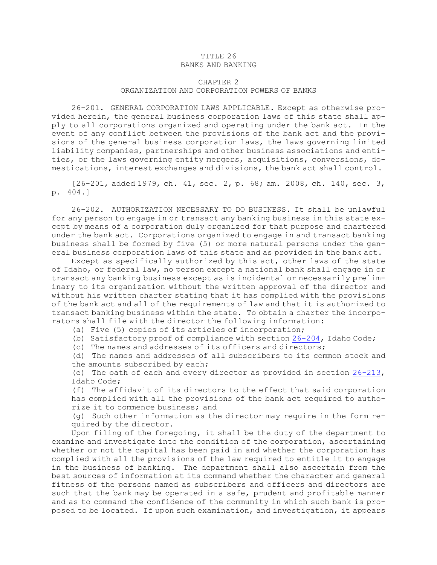### TITLE 26 BANKS AND BANKING

# CHAPTER 2 ORGANIZATION AND CORPORATION POWERS OF BANKS

26-201. GENERAL CORPORATION LAWS APPLICABLE. Except as otherwise provided herein, the general business corporation laws of this state shall apply to all corporations organized and operating under the bank act. In the event of any conflict between the provisions of the bank act and the provisions of the general business corporation laws, the laws governing limited liability companies, partnerships and other business associations and entities, or the laws governing entity mergers, acquisitions, conversions, domestications, interest exchanges and divisions, the bank act shall control.

[26-201, added 1979, ch. 41, sec. 2, p. 68; am. 2008, ch. 140, sec. 3, p. 404.]

26-202. AUTHORIZATION NECESSARY TO DO BUSINESS. It shall be unlawful for any person to engage in or transact any banking business in this state except by means of <sup>a</sup> corporation duly organized for that purpose and chartered under the bank act. Corporations organized to engage in and transact banking business shall be formed by five (5) or more natural persons under the general business corporation laws of this state and as provided in the bank act.

Except as specifically authorized by this act, other laws of the state of Idaho, or federal law, no person except <sup>a</sup> national bank shall engage in or transact any banking business except as is incidental or necessarily preliminary to its organization without the written approval of the director and without his written charter stating that it has complied with the provisions of the bank act and all of the requirements of law and that it is authorized to transact banking business within the state. To obtain <sup>a</sup> charter the incorporators shall file with the director the following information:

(a) Five (5) copies of its articles of incorporation;

(b) Satisfactory proof of compliance with section [26-204](https://legislature.idaho.gov/statutesrules/idstat/Title26/T26CH2/SECT26-204), Idaho Code;

(c) The names and addresses of its officers and directors;

(d) The names and addresses of all subscribers to its common stock and the amounts subscribed by each;

(e) The oath of each and every director as provided in section [26-213](https://legislature.idaho.gov/statutesrules/idstat/Title26/T26CH2/SECT26-213), Idaho Code;

(f) The affidavit of its directors to the effect that said corporation has complied with all the provisions of the bank act required to authorize it to commence business; and

(g) Such other information as the director may require in the form required by the director.

Upon filing of the foregoing, it shall be the duty of the department to examine and investigate into the condition of the corporation, ascertaining whether or not the capital has been paid in and whether the corporation has complied with all the provisions of the law required to entitle it to engage in the business of banking. The department shall also ascertain from the best sources of information at its command whether the character and general fitness of the persons named as subscribers and officers and directors are such that the bank may be operated in <sup>a</sup> safe, prudent and profitable manner and as to command the confidence of the community in which such bank is proposed to be located. If upon such examination, and investigation, it appears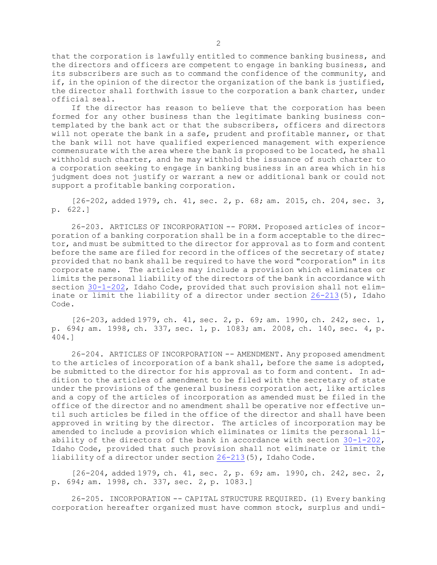that the corporation is lawfully entitled to commence banking business, and the directors and officers are competent to engage in banking business, and its subscribers are such as to command the confidence of the community, and if, in the opinion of the director the organization of the bank is justified, the director shall forthwith issue to the corporation <sup>a</sup> bank charter, under official seal.

If the director has reason to believe that the corporation has been formed for any other business than the legitimate banking business contemplated by the bank act or that the subscribers, officers and directors will not operate the bank in <sup>a</sup> safe, prudent and profitable manner, or that the bank will not have qualified experienced management with experience commensurate with the area where the bank is proposed to be located, he shall withhold such charter, and he may withhold the issuance of such charter to <sup>a</sup> corporation seeking to engage in banking business in an area which in his judgment does not justify or warrant <sup>a</sup> new or additional bank or could not support <sup>a</sup> profitable banking corporation.

[26-202, added 1979, ch. 41, sec. 2, p. 68; am. 2015, ch. 204, sec. 3, p. 622.]

26-203. ARTICLES OF INCORPORATION -- FORM. Proposed articles of incorporation of <sup>a</sup> banking corporation shall be in <sup>a</sup> form acceptable to the director, and must be submitted to the director for approval as to form and content before the same are filed for record in the offices of the secretary of state; provided that no bank shall be required to have the word "corporation" in its corporate name. The articles may include <sup>a</sup> provision which eliminates or limits the personal liability of the directors of the bank in accordance with section [30-1-202](https://legislature.idaho.gov/statutesrules/idstat/Title30/T30CH1/SECT30-1-202), Idaho Code, provided that such provision shall not eliminate or limit the liability of a director under section  $26-213(5)$  $26-213(5)$ , Idaho Code.

[26-203, added 1979, ch. 41, sec. 2, p. 69; am. 1990, ch. 242, sec. 1, p. 694; am. 1998, ch. 337, sec. 1, p. 1083; am. 2008, ch. 140, sec. 4, p. 404.]

26-204. ARTICLES OF INCORPORATION -- AMENDMENT. Any proposed amendment to the articles of incorporation of <sup>a</sup> bank shall, before the same is adopted, be submitted to the director for his approval as to form and content. In addition to the articles of amendment to be filed with the secretary of state under the provisions of the general business corporation act, like articles and <sup>a</sup> copy of the articles of incorporation as amended must be filed in the office of the director and no amendment shall be operative nor effective until such articles be filed in the office of the director and shall have been approved in writing by the director. The articles of incorporation may be amended to include <sup>a</sup> provision which eliminates or limits the personal liability of the directors of the bank in accordance with section [30-1-202](https://legislature.idaho.gov/statutesrules/idstat/Title30/T30CH1/SECT30-1-202), Idaho Code, provided that such provision shall not eliminate or limit the liability of <sup>a</sup> director under section [26-213](https://legislature.idaho.gov/statutesrules/idstat/Title26/T26CH2/SECT26-213)(5), Idaho Code.

[26-204, added 1979, ch. 41, sec. 2, p. 69; am. 1990, ch. 242, sec. 2, p. 694; am. 1998, ch. 337, sec. 2, p. 1083.]

26-205. INCORPORATION -- CAPITAL STRUCTURE REQUIRED. (1) Every banking corporation hereafter organized must have common stock, surplus and undi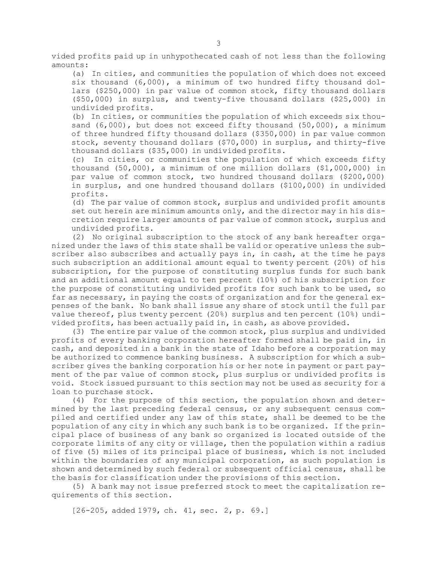vided profits paid up in unhypothecated cash of not less than the following amounts:

(a) In cities, and communities the population of which does not exceed six thousand  $(6,000)$ , a minimum of two hundred fifty thousand dollars (\$250,000) in par value of common stock, fifty thousand dollars (\$50,000) in surplus, and twenty-five thousand dollars (\$25,000) in undivided profits.

(b) In cities, or communities the population of which exceeds six thousand  $(6,000)$ , but does not exceed fifty thousand  $(50,000)$ , a minimum of three hundred fifty thousand dollars (\$350,000) in par value common stock, seventy thousand dollars (\$70,000) in surplus, and thirty-five thousand dollars (\$35,000) in undivided profits.

(c) In cities, or communities the population of which exceeds fifty thousand (50,000), <sup>a</sup> minimum of one million dollars (\$1,000,000) in par value of common stock, two hundred thousand dollars (\$200,000) in surplus, and one hundred thousand dollars (\$100,000) in undivided profits.

(d) The par value of common stock, surplus and undivided profit amounts set out herein are minimum amounts only, and the director may in his discretion require larger amounts of par value of common stock, surplus and undivided profits.

(2) No original subscription to the stock of any bank hereafter organized under the laws of this state shall be valid or operative unless the subscriber also subscribes and actually pays in, in cash, at the time he pays such subscription an additional amount equal to twenty percent (20%) of his subscription, for the purpose of constituting surplus funds for such bank and an additional amount equal to ten percent (10%) of his subscription for the purpose of constituting undivided profits for such bank to be used, so far as necessary, in paying the costs of organization and for the general expenses of the bank. No bank shall issue any share of stock until the full par value thereof, plus twenty percent (20%) surplus and ten percent (10%) undivided profits, has been actually paid in, in cash, as above provided.

(3) The entire par value of the common stock, plus surplus and undivided profits of every banking corporation hereafter formed shall be paid in, in cash, and deposited in <sup>a</sup> bank in the state of Idaho before <sup>a</sup> corporation may be authorized to commence banking business. <sup>A</sup> subscription for which <sup>a</sup> subscriber gives the banking corporation his or her note in payment or part payment of the par value of common stock, plus surplus or undivided profits is void. Stock issued pursuant to this section may not be used as security for <sup>a</sup> loan to purchase stock.

(4) For the purpose of this section, the population shown and determined by the last preceding federal census, or any subsequent census compiled and certified under any law of this state, shall be deemed to be the population of any city in which any such bank is to be organized. If the principal place of business of any bank so organized is located outside of the corporate limits of any city or village, then the population within <sup>a</sup> radius of five (5) miles of its principal place of business, which is not included within the boundaries of any municipal corporation, as such population is shown and determined by such federal or subsequent official census, shall be the basis for classification under the provisions of this section.

(5) <sup>A</sup> bank may not issue preferred stock to meet the capitalization requirements of this section.

[26-205, added 1979, ch. 41, sec. 2, p. 69.]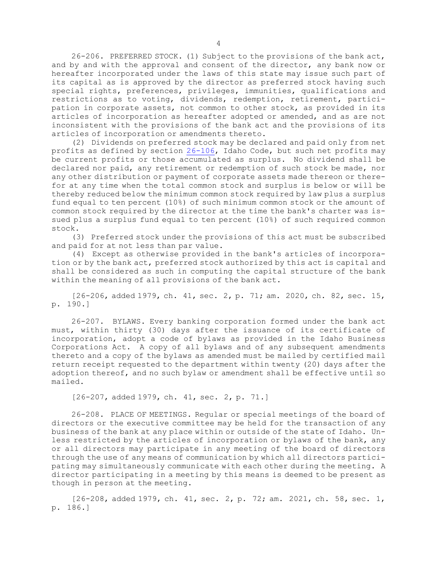26-206. PREFERRED STOCK. (1) Subject to the provisions of the bank act, and by and with the approval and consent of the director, any bank now or hereafter incorporated under the laws of this state may issue such part of its capital as is approved by the director as preferred stock having such special rights, preferences, privileges, immunities, qualifications and restrictions as to voting, dividends, redemption, retirement, participation in corporate assets, not common to other stock, as provided in its articles of incorporation as hereafter adopted or amended, and as are not inconsistent with the provisions of the bank act and the provisions of its articles of incorporation or amendments thereto.

(2) Dividends on preferred stock may be declared and paid only from net profits as defined by section [26-106](/statutesrules/idstat/Title26/T26CH1/SECT26-106), Idaho Code, but such net profits may be current profits or those accumulated as surplus. No dividend shall be declared nor paid, any retirement or redemption of such stock be made, nor any other distribution or payment of corporate assets made thereon or therefor at any time when the total common stock and surplus is below or will be thereby reduced below the minimum common stock required by law plus <sup>a</sup> surplus fund equal to ten percent (10%) of such minimum common stock or the amount of common stock required by the director at the time the bank's charter was issued plus <sup>a</sup> surplus fund equal to ten percent (10%) of such required common stock.

(3) Preferred stock under the provisions of this act must be subscribed and paid for at not less than par value.

(4) Except as otherwise provided in the bank's articles of incorporation or by the bank act, preferred stock authorized by this act is capital and shall be considered as such in computing the capital structure of the bank within the meaning of all provisions of the bank act.

[26-206, added 1979, ch. 41, sec. 2, p. 71; am. 2020, ch. 82, sec. 15, p. 190.]

26-207. BYLAWS. Every banking corporation formed under the bank act must, within thirty (30) days after the issuance of its certificate of incorporation, adopt <sup>a</sup> code of bylaws as provided in the Idaho Business Corporations Act. <sup>A</sup> copy of all bylaws and of any subsequent amendments thereto and <sup>a</sup> copy of the bylaws as amended must be mailed by certified mail return receipt requested to the department within twenty (20) days after the adoption thereof, and no such bylaw or amendment shall be effective until so mailed.

[26-207, added 1979, ch. 41, sec. 2, p. 71.]

26-208. PLACE OF MEETINGS. Regular or special meetings of the board of directors or the executive committee may be held for the transaction of any business of the bank at any place within or outside of the state of Idaho. Unless restricted by the articles of incorporation or bylaws of the bank, any or all directors may participate in any meeting of the board of directors through the use of any means of communication by which all directors participating may simultaneously communicate with each other during the meeting. <sup>A</sup> director participating in <sup>a</sup> meeting by this means is deemed to be present as though in person at the meeting.

[26-208, added 1979, ch. 41, sec. 2, p. 72; am. 2021, ch. 58, sec. 1, p. 186.]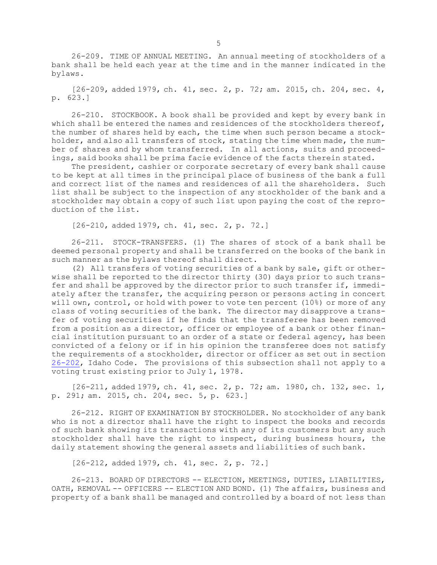26-209. TIME OF ANNUAL MEETING. An annual meeting of stockholders of <sup>a</sup> bank shall be held each year at the time and in the manner indicated in the bylaws.

 $[26-209, \text{ added } 1979, \text{ ch. } 41, \text{ sec. } 2, \text{ p. } 72; \text{ am. } 2015, \text{ ch. } 204, \text{ sec. } 4,$ p. 623.]

26-210. STOCKBOOK. <sup>A</sup> book shall be provided and kept by every bank in which shall be entered the names and residences of the stockholders thereof, the number of shares held by each, the time when such person became <sup>a</sup> stockholder, and also all transfers of stock, stating the time when made, the number of shares and by whom transferred. In all actions, suits and proceedings, said books shall be prima facie evidence of the facts therein stated.

The president, cashier or corporate secretary of every bank shall cause to be kept at all times in the principal place of business of the bank <sup>a</sup> full and correct list of the names and residences of all the shareholders. Such list shall be subject to the inspection of any stockholder of the bank and <sup>a</sup> stockholder may obtain <sup>a</sup> copy of such list upon paying the cost of the reproduction of the list.

[26-210, added 1979, ch. 41, sec. 2, p. 72.]

26-211. STOCK-TRANSFERS. (1) The shares of stock of <sup>a</sup> bank shall be deemed personal property and shall be transferred on the books of the bank in such manner as the bylaws thereof shall direct.

(2) All transfers of voting securities of <sup>a</sup> bank by sale, gift or otherwise shall be reported to the director thirty (30) days prior to such transfer and shall be approved by the director prior to such transfer if, immediately after the transfer, the acquiring person or persons acting in concert will own, control, or hold with power to vote ten percent (10%) or more of any class of voting securities of the bank. The director may disapprove <sup>a</sup> transfer of voting securities if he finds that the transferee has been removed from <sup>a</sup> position as <sup>a</sup> director, officer or employee of <sup>a</sup> bank or other financial institution pursuant to an order of <sup>a</sup> state or federal agency, has been convicted of <sup>a</sup> felony or if in his opinion the transferee does not satisfy the requirements of <sup>a</sup> stockholder, director or officer as set out in section [26-202](https://legislature.idaho.gov/statutesrules/idstat/Title26/T26CH2/SECT26-202), Idaho Code. The provisions of this subsection shall not apply to <sup>a</sup> voting trust existing prior to July 1, 1978.

[26-211, added 1979, ch. 41, sec. 2, p. 72; am. 1980, ch. 132, sec. 1, p. 291; am. 2015, ch. 204, sec. 5, p. 623.]

26-212. RIGHT OF EXAMINATION BY STOCKHOLDER. No stockholder of any bank who is not <sup>a</sup> director shall have the right to inspect the books and records of such bank showing its transactions with any of its customers but any such stockholder shall have the right to inspect, during business hours, the daily statement showing the general assets and liabilities of such bank.

[26-212, added 1979, ch. 41, sec. 2, p. 72.]

26-213. BOARD OF DIRECTORS -- ELECTION, MEETINGS, DUTIES, LIABILITIES, OATH, REMOVAL -- OFFICERS -- ELECTION AND BOND. (1) The affairs, business and property of <sup>a</sup> bank shall be managed and controlled by <sup>a</sup> board of not less than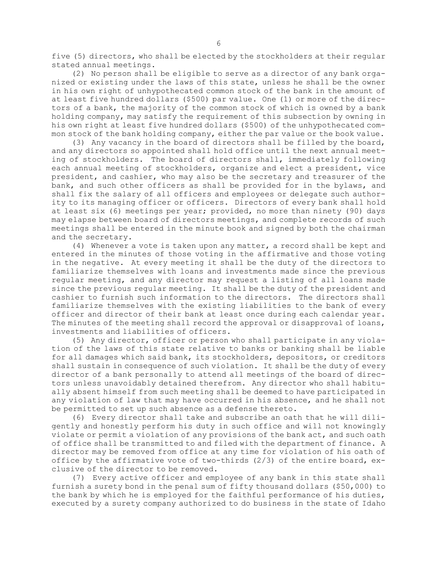five (5) directors, who shall be elected by the stockholders at their regular stated annual meetings.

(2) No person shall be eligible to serve as <sup>a</sup> director of any bank organized or existing under the laws of this state, unless he shall be the owner in his own right of unhypothecated common stock of the bank in the amount of at least five hundred dollars (\$500) par value. One (1) or more of the directors of <sup>a</sup> bank, the majority of the common stock of which is owned by <sup>a</sup> bank holding company, may satisfy the requirement of this subsection by owning in his own right at least five hundred dollars (\$500) of the unhypothecated common stock of the bank holding company, either the par value or the book value.

(3) Any vacancy in the board of directors shall be filled by the board, and any directors so appointed shall hold office until the next annual meeting of stockholders. The board of directors shall, immediately following each annual meeting of stockholders, organize and elect <sup>a</sup> president, vice president, and cashier, who may also be the secretary and treasurer of the bank, and such other officers as shall be provided for in the bylaws, and shall fix the salary of all officers and employees or delegate such authority to its managing officer or officers. Directors of every bank shall hold at least six (6) meetings per year; provided, no more than ninety (90) days may elapse between board of directors meetings, and complete records of such meetings shall be entered in the minute book and signed by both the chairman and the secretary.

(4) Whenever <sup>a</sup> vote is taken upon any matter, <sup>a</sup> record shall be kept and entered in the minutes of those voting in the affirmative and those voting in the negative. At every meeting it shall be the duty of the directors to familiarize themselves with loans and investments made since the previous regular meeting, and any director may request <sup>a</sup> listing of all loans made since the previous regular meeting. It shall be the duty of the president and cashier to furnish such information to the directors. The directors shall familiarize themselves with the existing liabilities to the bank of every officer and director of their bank at least once during each calendar year. The minutes of the meeting shall record the approval or disapproval of loans, investments and liabilities of officers.

(5) Any director, officer or person who shall participate in any violation of the laws of this state relative to banks or banking shall be liable for all damages which said bank, its stockholders, depositors, or creditors shall sustain in consequence of such violation. It shall be the duty of every director of <sup>a</sup> bank personally to attend all meetings of the board of directors unless unavoidably detained therefrom. Any director who shall habitually absent himself from such meeting shall be deemed to have participated in any violation of law that may have occurred in his absence, and he shall not be permitted to set up such absence as <sup>a</sup> defense thereto.

(6) Every director shall take and subscribe an oath that he will diligently and honestly perform his duty in such office and will not knowingly violate or permit <sup>a</sup> violation of any provisions of the bank act, and such oath of office shall be transmitted to and filed with the department of finance. <sup>A</sup> director may be removed from office at any time for violation of his oath of office by the affirmative vote of two-thirds (2/3) of the entire board, exclusive of the director to be removed.

(7) Every active officer and employee of any bank in this state shall furnish <sup>a</sup> surety bond in the penal sum of fifty thousand dollars (\$50,000) to the bank by which he is employed for the faithful performance of his duties, executed by <sup>a</sup> surety company authorized to do business in the state of Idaho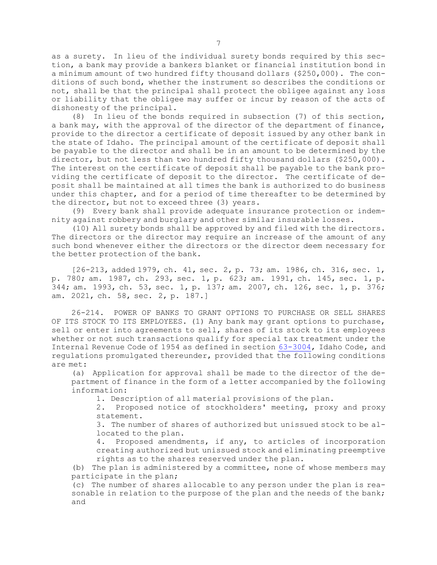as <sup>a</sup> surety. In lieu of the individual surety bonds required by this section, <sup>a</sup> bank may provide <sup>a</sup> bankers blanket or financial institution bond in <sup>a</sup> minimum amount of two hundred fifty thousand dollars (\$250,000). The conditions of such bond, whether the instrument so describes the conditions or not, shall be that the principal shall protect the obligee against any loss or liability that the obligee may suffer or incur by reason of the acts of dishonesty of the principal.

(8) In lieu of the bonds required in subsection (7) of this section, <sup>a</sup> bank may, with the approval of the director of the department of finance, provide to the director <sup>a</sup> certificate of deposit issued by any other bank in the state of Idaho. The principal amount of the certificate of deposit shall be payable to the director and shall be in an amount to be determined by the director, but not less than two hundred fifty thousand dollars (\$250,000). The interest on the certificate of deposit shall be payable to the bank providing the certificate of deposit to the director. The certificate of deposit shall be maintained at all times the bank is authorized to do business under this chapter, and for <sup>a</sup> period of time thereafter to be determined by the director, but not to exceed three (3) years.

(9) Every bank shall provide adequate insurance protection or indemnity against robbery and burglary and other similar insurable losses.

(10) All surety bonds shall be approved by and filed with the directors. The directors or the director may require an increase of the amount of any such bond whenever either the directors or the director deem necessary for the better protection of the bank.

[26-213, added 1979, ch. 41, sec. 2, p. 73; am. 1986, ch. 316, sec. 1, p. 780; am. 1987, ch. 293, sec. 1, p. 623; am. 1991, ch. 145, sec. 1, p. 344; am. 1993, ch. 53, sec. 1, p. 137; am. 2007, ch. 126, sec. 1, p. 376; am. 2021, ch. 58, sec. 2, p. 187.]

26-214. POWER OF BANKS TO GRANT OPTIONS TO PURCHASE OR SELL SHARES OF ITS STOCK TO ITS EMPLOYEES. (1) Any bank may grant options to purchase, sell or enter into agreements to sell, shares of its stock to its employees whether or not such transactions qualify for special tax treatment under the Internal Revenue Code of 1954 as defined in section [63-3004](https://legislature.idaho.gov/statutesrules/idstat/Title63/T63CH30/SECT63-3004), Idaho Code, and regulations promulgated thereunder, provided that the following conditions are met:

(a) Application for approval shall be made to the director of the department of finance in the form of <sup>a</sup> letter accompanied by the following information:

1. Description of all material provisions of the plan.

2. Proposed notice of stockholders' meeting, proxy and proxy statement.

3. The number of shares of authorized but unissued stock to be allocated to the plan.

4. Proposed amendments, if any, to articles of incorporation creating authorized but unissued stock and eliminating preemptive rights as to the shares reserved under the plan.

(b) The plan is administered by <sup>a</sup> committee, none of whose members may participate in the plan;

(c) The number of shares allocable to any person under the plan is reasonable in relation to the purpose of the plan and the needs of the bank; and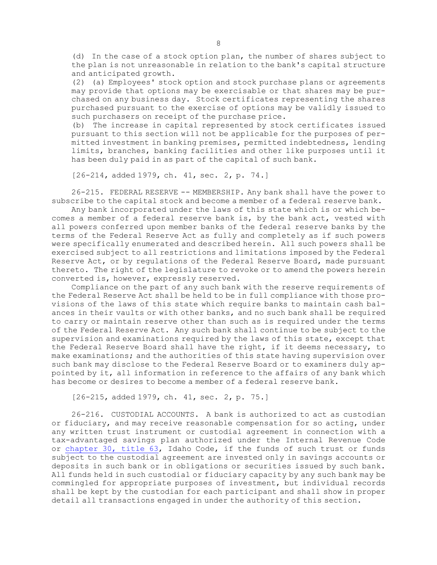(d) In the case of <sup>a</sup> stock option plan, the number of shares subject to the plan is not unreasonable in relation to the bank's capital structure and anticipated growth.

(2) (a) Employees' stock option and stock purchase plans or agreements may provide that options may be exercisable or that shares may be purchased on any business day. Stock certificates representing the shares purchased pursuant to the exercise of options may be validly issued to such purchasers on receipt of the purchase price.

(b) The increase in capital represented by stock certificates issued pursuant to this section will not be applicable for the purposes of permitted investment in banking premises, permitted indebtedness, lending limits, branches, banking facilities and other like purposes until it has been duly paid in as part of the capital of such bank.

[26-214, added 1979, ch. 41, sec. 2, p. 74.]

26-215. FEDERAL RESERVE -- MEMBERSHIP. Any bank shall have the power to subscribe to the capital stock and become <sup>a</sup> member of <sup>a</sup> federal reserve bank.

Any bank incorporated under the laws of this state which is or which becomes <sup>a</sup> member of <sup>a</sup> federal reserve bank is, by the bank act, vested with all powers conferred upon member banks of the federal reserve banks by the terms of the Federal Reserve Act as fully and completely as if such powers were specifically enumerated and described herein. All such powers shall be exercised subject to all restrictions and limitations imposed by the Federal Reserve Act, or by regulations of the Federal Reserve Board, made pursuant thereto. The right of the legislature to revoke or to amend the powers herein converted is, however, expressly reserved.

Compliance on the part of any such bank with the reserve requirements of the Federal Reserve Act shall be held to be in full compliance with those provisions of the laws of this state which require banks to maintain cash balances in their vaults or with other banks, and no such bank shall be required to carry or maintain reserve other than such as is required under the terms of the Federal Reserve Act. Any such bank shall continue to be subject to the supervision and examinations required by the laws of this state, except that the Federal Reserve Board shall have the right, if it deems necessary, to make examinations; and the authorities of this state having supervision over such bank may disclose to the Federal Reserve Board or to examiners duly appointed by it, all information in reference to the affairs of any bank which has become or desires to become <sup>a</sup> member of <sup>a</sup> federal reserve bank.

[26-215, added 1979, ch. 41, sec. 2, p. 75.]

26-216. CUSTODIAL ACCOUNTS. A bank is authorized to act as custodian or fiduciary, and may receive reasonable compensation for so acting, under any written trust instrument or custodial agreement in connection with <sup>a</sup> tax-advantaged savings plan authorized under the Internal Revenue Code or [chapter](/statutesrules/idstat/Title63/T63CH30) 30, title 63, Idaho Code, if the funds of such trust or funds subject to the custodial agreement are invested only in savings accounts or deposits in such bank or in obligations or securities issued by such bank. All funds held in such custodial or fiduciary capacity by any such bank may be commingled for appropriate purposes of investment, but individual records shall be kept by the custodian for each participant and shall show in proper detail all transactions engaged in under the authority of this section.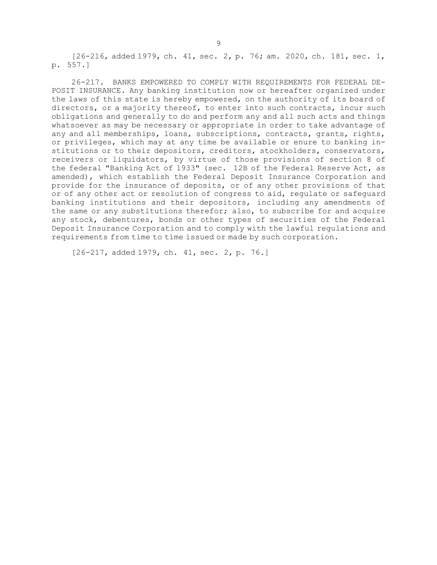[26-216, added 1979, ch. 41, sec. 2, p. 76; am. 2020, ch. 181, sec. 1, p. 557.]

26-217. BANKS EMPOWERED TO COMPLY WITH REQUIREMENTS FOR FEDERAL DE-POSIT INSURANCE. Any banking institution now or hereafter organized under the laws of this state is hereby empowered, on the authority of its board of directors, or <sup>a</sup> majority thereof, to enter into such contracts, incur such obligations and generally to do and perform any and all such acts and things whatsoever as may be necessary or appropriate in order to take advantage of any and all memberships, loans, subscriptions, contracts, grants, rights, or privileges, which may at any time be available or enure to banking institutions or to their depositors, creditors, stockholders, conservators, receivers or liquidators, by virtue of those provisions of section 8 of the federal "Banking Act of 1933" (sec. 12B of the Federal Reserve Act, as amended), which establish the Federal Deposit Insurance Corporation and provide for the insurance of deposits, or of any other provisions of that or of any other act or resolution of congress to aid, regulate or safeguard banking institutions and their depositors, including any amendments of the same or any substitutions therefor; also, to subscribe for and acquire any stock, debentures, bonds or other types of securities of the Federal Deposit Insurance Corporation and to comply with the lawful regulations and requirements from time to time issued or made by such corporation.

[26-217, added 1979, ch. 41, sec. 2, p. 76.]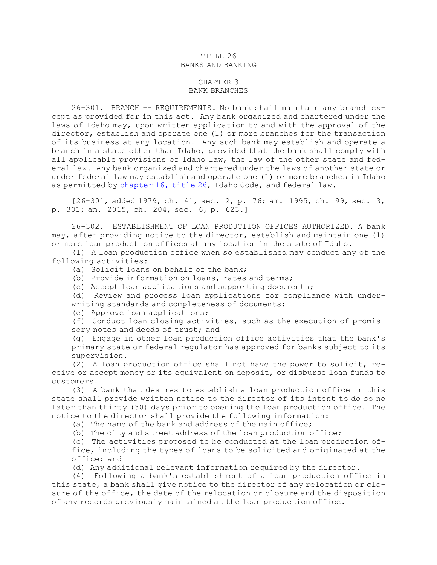## TITLE 26 BANKS AND BANKING

## CHAPTER 3 BANK BRANCHES

26-301. BRANCH -- REQUIREMENTS. No bank shall maintain any branch except as provided for in this act. Any bank organized and chartered under the laws of Idaho may, upon written application to and with the approval of the director, establish and operate one (1) or more branches for the transaction of its business at any location. Any such bank may establish and operate <sup>a</sup> branch in <sup>a</sup> state other than Idaho, provided that the bank shall comply with all applicable provisions of Idaho law, the law of the other state and federal law. Any bank organized and chartered under the laws of another state or under federal law may establish and operate one (1) or more branches in Idaho as permitted by [chapter](https://legislature.idaho.gov/statutesrules/idstat/Title26/T26CH16) 16, title 26, Idaho Code, and federal law.

[26-301, added 1979, ch. 41, sec. 2, p. 76; am. 1995, ch. 99, sec. 3, p. 301; am. 2015, ch. 204, sec. 6, p. 623.]

26-302. ESTABLISHMENT OF LOAN PRODUCTION OFFICES AUTHORIZED. A bank may, after providing notice to the director, establish and maintain one (1) or more loan production offices at any location in the state of Idaho.

(1) <sup>A</sup> loan production office when so established may conduct any of the following activities:

(a) Solicit loans on behalf of the bank;

(b) Provide information on loans, rates and terms;

(c) Accept loan applications and supporting documents;

(d) Review and process loan applications for compliance with under-

writing standards and completeness of documents;

(e) Approve loan applications;

(f) Conduct loan closing activities, such as the execution of promissory notes and deeds of trust; and

(g) Engage in other loan production office activities that the bank's primary state or federal regulator has approved for banks subject to its supervision.

(2) <sup>A</sup> loan production office shall not have the power to solicit, receive or accept money or its equivalent on deposit, or disburse loan funds to customers.

(3) <sup>A</sup> bank that desires to establish <sup>a</sup> loan production office in this state shall provide written notice to the director of its intent to do so no later than thirty (30) days prior to opening the loan production office. The notice to the director shall provide the following information:

(a) The name of the bank and address of the main office;

(b) The city and street address of the loan production office;

(c) The activities proposed to be conducted at the loan production office, including the types of loans to be solicited and originated at the office; and

(d) Any additional relevant information required by the director.

(4) Following <sup>a</sup> bank's establishment of <sup>a</sup> loan production office in this state, <sup>a</sup> bank shall give notice to the director of any relocation or closure of the office, the date of the relocation or closure and the disposition of any records previously maintained at the loan production office.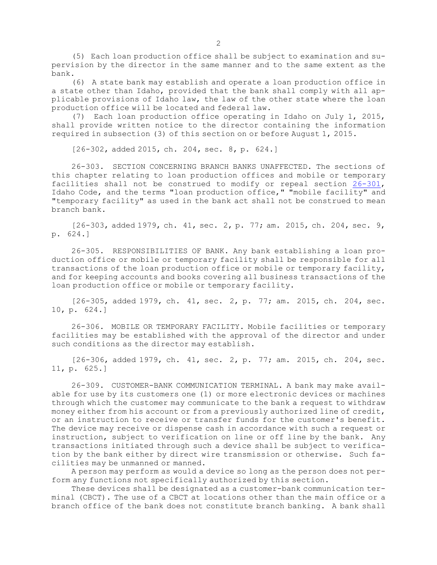(5) Each loan production office shall be subject to examination and supervision by the director in the same manner and to the same extent as the bank.

(6) <sup>A</sup> state bank may establish and operate <sup>a</sup> loan production office in <sup>a</sup> state other than Idaho, provided that the bank shall comply with all applicable provisions of Idaho law, the law of the other state where the loan production office will be located and federal law.

(7) Each loan production office operating in Idaho on July 1, 2015, shall provide written notice to the director containing the information required in subsection (3) of this section on or before August 1, 2015.

[26-302, added 2015, ch. 204, sec. 8, p. 624.]

26-303. SECTION CONCERNING BRANCH BANKS UNAFFECTED. The sections of this chapter relating to loan production offices and mobile or temporary facilities shall not be construed to modify or repeal section [26-301](https://legislature.idaho.gov/statutesrules/idstat/Title26/T26CH3/SECT26-301), Idaho Code, and the terms "loan production office," "mobile facility" and "temporary facility" as used in the bank act shall not be construed to mean branch bank.

[26-303, added 1979, ch. 41, sec. 2, p. 77; am. 2015, ch. 204, sec. 9, p. 624.]

26-305. RESPONSIBILITIES OF BANK. Any bank establishing <sup>a</sup> loan production office or mobile or temporary facility shall be responsible for all transactions of the loan production office or mobile or temporary facility, and for keeping accounts and books covering all business transactions of the loan production office or mobile or temporary facility.

[26-305, added 1979, ch. 41, sec. 2, p. 77; am. 2015, ch. 204, sec. 10, p. 624.]

26-306. MOBILE OR TEMPORARY FACILITY. Mobile facilities or temporary facilities may be established with the approval of the director and under such conditions as the director may establish.

[26-306, added 1979, ch. 41, sec. 2, p. 77; am. 2015, ch. 204, sec. 11, p. 625.]

26-309. CUSTOMER-BANK COMMUNICATION TERMINAL. <sup>A</sup> bank may make available for use by its customers one (1) or more electronic devices or machines through which the customer may communicate to the bank <sup>a</sup> request to withdraw money either from his account or from <sup>a</sup> previously authorized line of credit, or an instruction to receive or transfer funds for the customer's benefit. The device may receive or dispense cash in accordance with such <sup>a</sup> request or instruction, subject to verification on line or off line by the bank. Any transactions initiated through such <sup>a</sup> device shall be subject to verification by the bank either by direct wire transmission or otherwise. Such facilities may be unmanned or manned.

<sup>A</sup> person may perform as would <sup>a</sup> device so long as the person does not perform any functions not specifically authorized by this section.

These devices shall be designated as <sup>a</sup> customer-bank communication terminal (CBCT). The use of <sup>a</sup> CBCT at locations other than the main office or <sup>a</sup> branch office of the bank does not constitute branch banking. <sup>A</sup> bank shall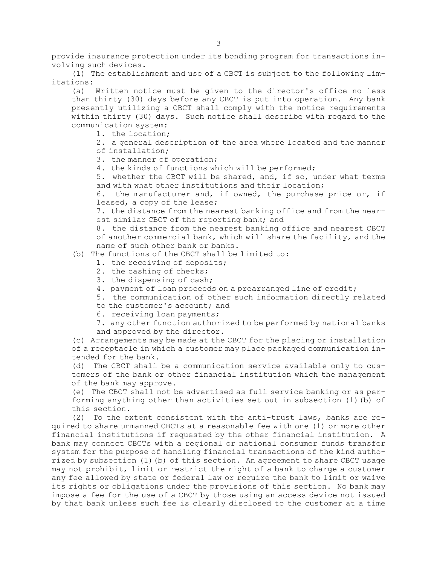provide insurance protection under its bonding program for transactions involving such devices.

(1) The establishment and use of <sup>a</sup> CBCT is subject to the following limitations:

(a) Written notice must be given to the director's office no less than thirty (30) days before any CBCT is put into operation. Any bank presently utilizing <sup>a</sup> CBCT shall comply with the notice requirements within thirty (30) days. Such notice shall describe with regard to the communication system:

1. the location;

2. <sup>a</sup> general description of the area where located and the manner of installation;

- 3. the manner of operation;
- 4. the kinds of functions which will be performed;

5. whether the CBCT will be shared, and, if so, under what terms and with what other institutions and their location;

6. the manufacturer and, if owned, the purchase price or, if leased, <sup>a</sup> copy of the lease;

7. the distance from the nearest banking office and from the nearest similar CBCT of the reporting bank; and

8. the distance from the nearest banking office and nearest CBCT of another commercial bank, which will share the facility, and the name of such other bank or banks.

- (b) The functions of the CBCT shall be limited to:
	- 1. the receiving of deposits;
	- 2. the cashing of checks;
	- 3. the dispensing of cash;
	- 4. payment of loan proceeds on <sup>a</sup> prearranged line of credit;
	- 5. the communication of other such information directly related
	- to the customer's account; and
	- 6. receiving loan payments;
	- 7. any other function authorized to be performed by national banks and approved by the director.

(c) Arrangements may be made at the CBCT for the placing or installation of <sup>a</sup> receptacle in which <sup>a</sup> customer may place packaged communication intended for the bank.

(d) The CBCT shall be <sup>a</sup> communication service available only to customers of the bank or other financial institution which the management of the bank may approve.

(e) The CBCT shall not be advertised as full service banking or as performing anything other than activities set out in subsection (1)(b) of this section.

(2) To the extent consistent with the anti-trust laws, banks are required to share unmanned CBCTs at <sup>a</sup> reasonable fee with one (1) or more other financial institutions if requested by the other financial institution. <sup>A</sup> bank may connect CBCTs with <sup>a</sup> regional or national consumer funds transfer system for the purpose of handling financial transactions of the kind authorized by subsection (1)(b) of this section. An agreement to share CBCT usage may not prohibit, limit or restrict the right of <sup>a</sup> bank to charge <sup>a</sup> customer any fee allowed by state or federal law or require the bank to limit or waive its rights or obligations under the provisions of this section. No bank may impose <sup>a</sup> fee for the use of <sup>a</sup> CBCT by those using an access device not issued by that bank unless such fee is clearly disclosed to the customer at <sup>a</sup> time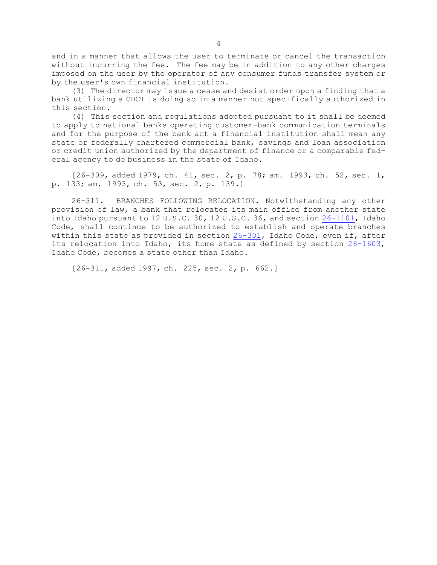and in <sup>a</sup> manner that allows the user to terminate or cancel the transaction without incurring the fee. The fee may be in addition to any other charges imposed on the user by the operator of any consumer funds transfer system or by the user's own financial institution.

(3) The director may issue <sup>a</sup> cease and desist order upon <sup>a</sup> finding that <sup>a</sup> bank utilizing <sup>a</sup> CBCT is doing so in <sup>a</sup> manner not specifically authorized in this section.

(4) This section and regulations adopted pursuant to it shall be deemed to apply to national banks operating customer-bank communication terminals and for the purpose of the bank act <sup>a</sup> financial institution shall mean any state or federally chartered commercial bank, savings and loan association or credit union authorized by the department of finance or <sup>a</sup> comparable federal agency to do business in the state of Idaho.

[26-309, added 1979, ch. 41, sec. 2, p. 78; am. 1993, ch. 52, sec. 1, p. 133; am. 1993, ch. 53, sec. 2, p. 139.]

26-311. BRANCHES FOLLOWING RELOCATION. Notwithstanding any other provision of law, <sup>a</sup> bank that relocates its main office from another state into Idaho pursuant to 12 U.S.C. 30, 12 U.S.C. 36, and section [26-1101](https://legislature.idaho.gov/statutesrules/idstat/Title26/T26CH11/SECT26-1101), Idaho Code, shall continue to be authorized to establish and operate branches within this state as provided in section [26-301](https://legislature.idaho.gov/statutesrules/idstat/Title26/T26CH3/SECT26-301), Idaho Code, even if, after its relocation into Idaho, its home state as defined by section [26-1603](https://legislature.idaho.gov/statutesrules/idstat/Title26/T26CH16/SECT26-1603), Idaho Code, becomes <sup>a</sup> state other than Idaho.

[26-311, added 1997, ch. 225, sec. 2, p. 662.]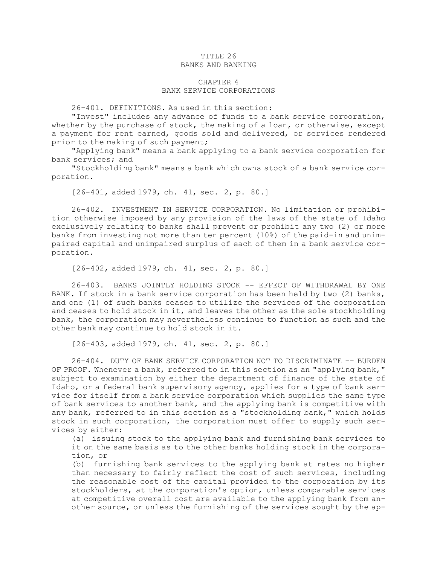# TITLE 26 BANKS AND BANKING

# CHAPTER 4 BANK SERVICE CORPORATIONS

26-401. DEFINITIONS. As used in this section:

"Invest" includes any advance of funds to <sup>a</sup> bank service corporation, whether by the purchase of stock, the making of a loan, or otherwise, except <sup>a</sup> payment for rent earned, goods sold and delivered, or services rendered prior to the making of such payment;

"Applying bank" means <sup>a</sup> bank applying to <sup>a</sup> bank service corporation for bank services; and

"Stockholding bank" means <sup>a</sup> bank which owns stock of <sup>a</sup> bank service corporation.

[26-401, added 1979, ch. 41, sec. 2, p. 80.]

26-402. INVESTMENT IN SERVICE CORPORATION. No limitation or prohibition otherwise imposed by any provision of the laws of the state of Idaho exclusively relating to banks shall prevent or prohibit any two (2) or more banks from investing not more than ten percent (10%) of the paid-in and unimpaired capital and unimpaired surplus of each of them in <sup>a</sup> bank service corporation.

[26-402, added 1979, ch. 41, sec. 2, p. 80.]

26-403. BANKS JOINTLY HOLDING STOCK -- EFFECT OF WITHDRAWAL BY ONE BANK. If stock in <sup>a</sup> bank service corporation has been held by two (2) banks, and one (1) of such banks ceases to utilize the services of the corporation and ceases to hold stock in it, and leaves the other as the sole stockholding bank, the corporation may nevertheless continue to function as such and the other bank may continue to hold stock in it.

[26-403, added 1979, ch. 41, sec. 2, p. 80.]

26-404. DUTY OF BANK SERVICE CORPORATION NOT TO DISCRIMINATE -- BURDEN OF PROOF. Whenever <sup>a</sup> bank, referred to in this section as an "applying bank," subject to examination by either the department of finance of the state of Idaho, or <sup>a</sup> federal bank supervisory agency, applies for <sup>a</sup> type of bank service for itself from <sup>a</sup> bank service corporation which supplies the same type of bank services to another bank, and the applying bank is competitive with any bank, referred to in this section as <sup>a</sup> "stockholding bank," which holds stock in such corporation, the corporation must offer to supply such services by either:

(a) issuing stock to the applying bank and furnishing bank services to it on the same basis as to the other banks holding stock in the corporation, or

(b) furnishing bank services to the applying bank at rates no higher than necessary to fairly reflect the cost of such services, including the reasonable cost of the capital provided to the corporation by its stockholders, at the corporation's option, unless comparable services at competitive overall cost are available to the applying bank from another source, or unless the furnishing of the services sought by the ap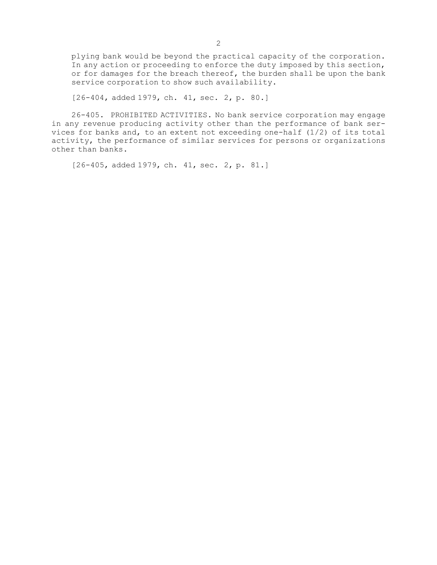plying bank would be beyond the practical capacity of the corporation. In any action or proceeding to enforce the duty imposed by this section, or for damages for the breach thereof, the burden shall be upon the bank service corporation to show such availability.

[26-404, added 1979, ch. 41, sec. 2, p. 80.]

26-405. PROHIBITED ACTIVITIES. No bank service corporation may engage in any revenue producing activity other than the performance of bank services for banks and, to an extent not exceeding one-half (1/2) of its total activity, the performance of similar services for persons or organizations other than banks.

[26-405, added 1979, ch. 41, sec. 2, p. 81.]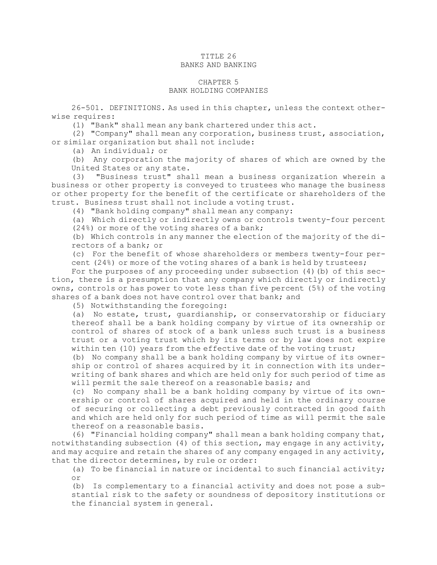## TITLE 26 BANKS AND BANKING

### CHAPTER 5 BANK HOLDING COMPANIES

26-501. DEFINITIONS. As used in this chapter, unless the context otherwise requires:

(1) "Bank" shall mean any bank chartered under this act.

(2) "Company" shall mean any corporation, business trust, association, or similar organization but shall not include:

(a) An individual; or

(b) Any corporation the majority of shares of which are owned by the United States or any state.

(3) "Business trust" shall mean <sup>a</sup> business organization wherein <sup>a</sup> business or other property is conveyed to trustees who manage the business or other property for the benefit of the certificate or shareholders of the trust. Business trust shall not include <sup>a</sup> voting trust.

(4) "Bank holding company" shall mean any company:

(a) Which directly or indirectly owns or controls twenty-four percent (24%) or more of the voting shares of <sup>a</sup> bank;

(b) Which controls in any manner the election of the majority of the directors of <sup>a</sup> bank; or

(c) For the benefit of whose shareholders or members twenty-four percent (24%) or more of the voting shares of <sup>a</sup> bank is held by trustees;

For the purposes of any proceeding under subsection (4)(b) of this section, there is <sup>a</sup> presumption that any company which directly or indirectly owns, controls or has power to vote less than five percent (5%) of the voting shares of <sup>a</sup> bank does not have control over that bank; and

(5) Notwithstanding the foregoing:

(a) No estate, trust, guardianship, or conservatorship or fiduciary thereof shall be <sup>a</sup> bank holding company by virtue of its ownership or control of shares of stock of <sup>a</sup> bank unless such trust is <sup>a</sup> business trust or <sup>a</sup> voting trust which by its terms or by law does not expire within ten (10) years from the effective date of the voting trust;

(b) No company shall be <sup>a</sup> bank holding company by virtue of its ownership or control of shares acquired by it in connection with its underwriting of bank shares and which are held only for such period of time as will permit the sale thereof on a reasonable basis; and

(c) No company shall be <sup>a</sup> bank holding company by virtue of its ownership or control of shares acquired and held in the ordinary course of securing or collecting <sup>a</sup> debt previously contracted in good faith and which are held only for such period of time as will permit the sale thereof on <sup>a</sup> reasonable basis.

(6) "Financial holding company" shall mean <sup>a</sup> bank holding company that, notwithstanding subsection (4) of this section, may engage in any activity, and may acquire and retain the shares of any company engaged in any activity, that the director determines, by rule or order:

(a) To be financial in nature or incidental to such financial activity; or

(b) Is complementary to <sup>a</sup> financial activity and does not pose <sup>a</sup> substantial risk to the safety or soundness of depository institutions or the financial system in general.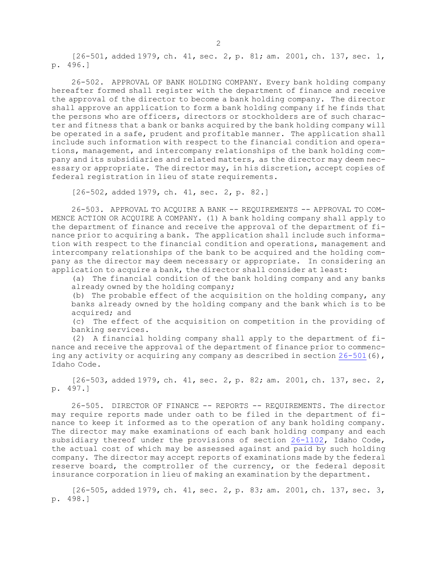[26-501, added 1979, ch. 41, sec. 2, p. 81; am. 2001, ch. 137, sec. 1, p. 496.]

26-502. APPROVAL OF BANK HOLDING COMPANY. Every bank holding company hereafter formed shall register with the department of finance and receive the approval of the director to become <sup>a</sup> bank holding company. The director shall approve an application to form <sup>a</sup> bank holding company if he finds that the persons who are officers, directors or stockholders are of such character and fitness that <sup>a</sup> bank or banks acquired by the bank holding company will be operated in <sup>a</sup> safe, prudent and profitable manner. The application shall include such information with respect to the financial condition and operations, management, and intercompany relationships of the bank holding company and its subsidiaries and related matters, as the director may deem necessary or appropriate. The director may, in his discretion, accept copies of federal registration in lieu of state requirements.

[26-502, added 1979, ch. 41, sec. 2, p. 82.]

26-503. APPROVAL TO ACQUIRE A BANK -- REQUIREMENTS -- APPROVAL TO COM-MENCE ACTION OR ACQUIRE <sup>A</sup> COMPANY. (1) <sup>A</sup> bank holding company shall apply to the department of finance and receive the approval of the department of finance prior to acquiring <sup>a</sup> bank. The application shall include such information with respect to the financial condition and operations, management and intercompany relationships of the bank to be acquired and the holding company as the director may deem necessary or appropriate. In considering an application to acquire <sup>a</sup> bank, the director shall consider at least:

(a) The financial condition of the bank holding company and any banks already owned by the holding company;

(b) The probable effect of the acquisition on the holding company, any banks already owned by the holding company and the bank which is to be acquired; and

(c) The effect of the acquisition on competition in the providing of banking services.

(2) <sup>A</sup> financial holding company shall apply to the department of finance and receive the approval of the department of finance prior to commencing any activity or acquiring any company as described in section  $26-501(6)$  $26-501(6)$ , Idaho Code.

[26-503, added 1979, ch. 41, sec. 2, p. 82; am. 2001, ch. 137, sec. 2, p. 497.]

26-505. DIRECTOR OF FINANCE -- REPORTS -- REQUIREMENTS. The director may require reports made under oath to be filed in the department of finance to keep it informed as to the operation of any bank holding company. The director may make examinations of each bank holding company and each subsidiary thereof under the provisions of section [26-1102](https://legislature.idaho.gov/statutesrules/idstat/Title26/T26CH11/SECT26-1102), Idaho Code, the actual cost of which may be assessed against and paid by such holding company. The director may accept reports of examinations made by the federal reserve board, the comptroller of the currency, or the federal deposit insurance corporation in lieu of making an examination by the department.

[26-505, added 1979, ch. 41, sec. 2, p. 83; am. 2001, ch. 137, sec. 3, p. 498.]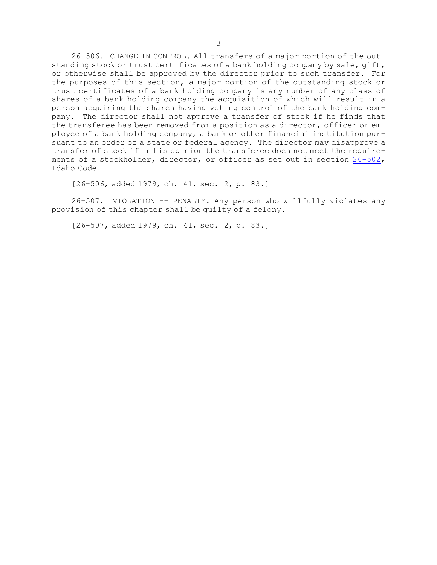26-506. CHANGE IN CONTROL. All transfers of <sup>a</sup> major portion of the outstanding stock or trust certificates of <sup>a</sup> bank holding company by sale, gift, or otherwise shall be approved by the director prior to such transfer. For the purposes of this section, <sup>a</sup> major portion of the outstanding stock or trust certificates of <sup>a</sup> bank holding company is any number of any class of shares of <sup>a</sup> bank holding company the acquisition of which will result in <sup>a</sup> person acquiring the shares having voting control of the bank holding company. The director shall not approve <sup>a</sup> transfer of stock if he finds that the transferee has been removed from <sup>a</sup> position as <sup>a</sup> director, officer or employee of <sup>a</sup> bank holding company, <sup>a</sup> bank or other financial institution pursuant to an order of <sup>a</sup> state or federal agency. The director may disapprove <sup>a</sup> transfer of stock if in his opinion the transferee does not meet the requirements of <sup>a</sup> stockholder, director, or officer as set out in section [26-502](https://legislature.idaho.gov/statutesrules/idstat/Title26/T26CH5/SECT26-502), Idaho Code.

[26-506, added 1979, ch. 41, sec. 2, p. 83.]

26-507. VIOLATION -- PENALTY. Any person who willfully violates any provision of this chapter shall be guilty of <sup>a</sup> felony.

[26-507, added 1979, ch. 41, sec. 2, p. 83.]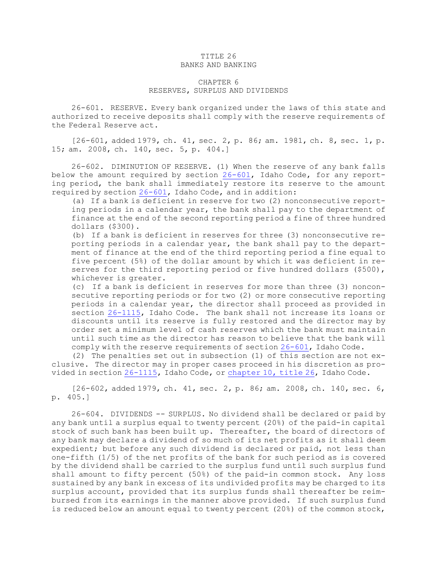### TITLE 26 BANKS AND BANKING

# CHAPTER 6 RESERVES, SURPLUS AND DIVIDENDS

26-601. RESERVE. Every bank organized under the laws of this state and authorized to receive deposits shall comply with the reserve requirements of the Federal Reserve act.

[26-601, added 1979, ch. 41, sec. 2, p. 86; am. 1981, ch. 8, sec. 1, p. 15; am. 2008, ch. 140, sec. 5, p. 404.]

26-602. DIMINUTION OF RESERVE. (1) When the reserve of any bank falls below the amount required by section [26-601](https://legislature.idaho.gov/statutesrules/idstat/Title26/T26CH6/SECT26-601), Idaho Code, for any reporting period, the bank shall immediately restore its reserve to the amount required by section [26-601](https://legislature.idaho.gov/statutesrules/idstat/Title26/T26CH6/SECT26-601), Idaho Code, and in addition:

(a) If <sup>a</sup> bank is deficient in reserve for two (2) nonconsecutive reporting periods in <sup>a</sup> calendar year, the bank shall pay to the department of finance at the end of the second reporting period <sup>a</sup> fine of three hundred dollars (\$300).

(b) If <sup>a</sup> bank is deficient in reserves for three (3) nonconsecutive reporting periods in <sup>a</sup> calendar year, the bank shall pay to the department of finance at the end of the third reporting period <sup>a</sup> fine equal to five percent (5%) of the dollar amount by which it was deficient in reserves for the third reporting period or five hundred dollars (\$500), whichever is greater.

(c) If <sup>a</sup> bank is deficient in reserves for more than three (3) nonconsecutive reporting periods or for two (2) or more consecutive reporting periods in <sup>a</sup> calendar year, the director shall proceed as provided in section  $26-1115$ , Idaho Code. The bank shall not increase its loans or discounts until its reserve is fully restored and the director may by order set <sup>a</sup> minimum level of cash reserves which the bank must maintain until such time as the director has reason to believe that the bank will comply with the reserve requirements of section [26-601](https://legislature.idaho.gov/statutesrules/idstat/Title26/T26CH6/SECT26-601), Idaho Code.

(2) The penalties set out in subsection (1) of this section are not exclusive. The director may in proper cases proceed in his discretion as provided in section [26-1115](https://legislature.idaho.gov/statutesrules/idstat/Title26/T26CH11/SECT26-1115), Idaho Code, or [chapter](https://legislature.idaho.gov/statutesrules/idstat/Title26/T26CH10) 10, title 26, Idaho Code.

[26-602, added 1979, ch. 41, sec. 2, p. 86; am. 2008, ch. 140, sec. 6, p. 405.]

26-604. DIVIDENDS -- SURPLUS. No dividend shall be declared or paid by any bank until <sup>a</sup> surplus equal to twenty percent (20%) of the paid-in capital stock of such bank has been built up. Thereafter, the board of directors of any bank may declare <sup>a</sup> dividend of so much of its net profits as it shall deem expedient; but before any such dividend is declared or paid, not less than one-fifth (1/5) of the net profits of the bank for such period as is covered by the dividend shall be carried to the surplus fund until such surplus fund shall amount to fifty percent (50%) of the paid-in common stock. Any loss sustained by any bank in excess of its undivided profits may be charged to its surplus account, provided that its surplus funds shall thereafter be reimbursed from its earnings in the manner above provided. If such surplus fund is reduced below an amount equal to twenty percent (20%) of the common stock,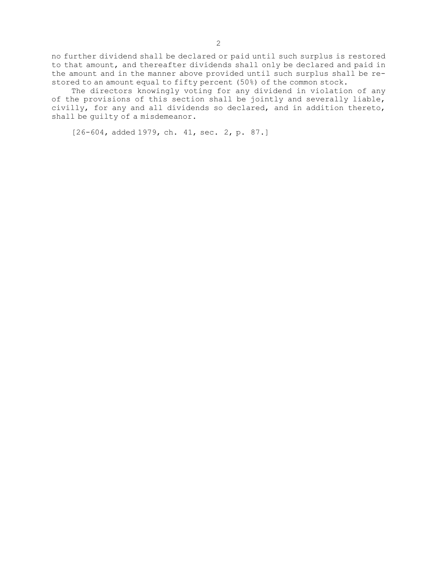no further dividend shall be declared or paid until such surplus is restored to that amount, and thereafter dividends shall only be declared and paid in the amount and in the manner above provided until such surplus shall be restored to an amount equal to fifty percent (50%) of the common stock.

The directors knowingly voting for any dividend in violation of any of the provisions of this section shall be jointly and severally liable, civilly, for any and all dividends so declared, and in addition thereto, shall be guilty of <sup>a</sup> misdemeanor.

[26-604, added 1979, ch. 41, sec. 2, p. 87.]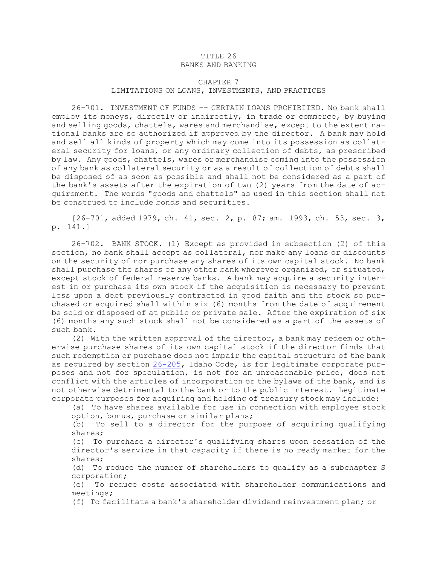### TITLE 26 BANKS AND BANKING

# CHAPTER 7 LIMITATIONS ON LOANS, INVESTMENTS, AND PRACTICES

26-701. INVESTMENT OF FUNDS -- CERTAIN LOANS PROHIBITED. No bank shall employ its moneys, directly or indirectly, in trade or commerce, by buying and selling goods, chattels, wares and merchandise, except to the extent national banks are so authorized if approved by the director. <sup>A</sup> bank may hold and sell all kinds of property which may come into its possession as collateral security for loans, or any ordinary collection of debts, as prescribed by law. Any goods, chattels, wares or merchandise coming into the possession of any bank as collateral security or as <sup>a</sup> result of collection of debts shall be disposed of as soon as possible and shall not be considered as <sup>a</sup> part of the bank's assets after the expiration of two (2) years from the date of acquirement. The words "goods and chattels" as used in this section shall not be construed to include bonds and securities.

[26-701, added 1979, ch. 41, sec. 2, p. 87; am. 1993, ch. 53, sec. 3, p. 141.]

26-702. BANK STOCK. (1) Except as provided in subsection (2) of this section, no bank shall accept as collateral, nor make any loans or discounts on the security of nor purchase any shares of its own capital stock. No bank shall purchase the shares of any other bank wherever organized, or situated, except stock of federal reserve banks. <sup>A</sup> bank may acquire <sup>a</sup> security interest in or purchase its own stock if the acquisition is necessary to prevent loss upon <sup>a</sup> debt previously contracted in good faith and the stock so purchased or acquired shall within six (6) months from the date of acquirement be sold or disposed of at public or private sale. After the expiration of six (6) months any such stock shall not be considered as <sup>a</sup> part of the assets of such bank.

(2) With the written approval of the director, <sup>a</sup> bank may redeem or otherwise purchase shares of its own capital stock if the director finds that such redemption or purchase does not impair the capital structure of the bank as required by section [26-205](https://legislature.idaho.gov/statutesrules/idstat/Title26/T26CH2/SECT26-205), Idaho Code, is for legitimate corporate purposes and not for speculation, is not for an unreasonable price, does not conflict with the articles of incorporation or the bylaws of the bank, and is not otherwise detrimental to the bank or to the public interest. Legitimate corporate purposes for acquiring and holding of treasury stock may include:

(a) To have shares available for use in connection with employee stock option, bonus, purchase or similar plans;

(b) To sell to <sup>a</sup> director for the purpose of acquiring qualifying shares;

(c) To purchase <sup>a</sup> director's qualifying shares upon cessation of the director's service in that capacity if there is no ready market for the shares;

(d) To reduce the number of shareholders to qualify as <sup>a</sup> subchapter S corporation;

(e) To reduce costs associated with shareholder communications and meetings;

(f) To facilitate <sup>a</sup> bank's shareholder dividend reinvestment plan; or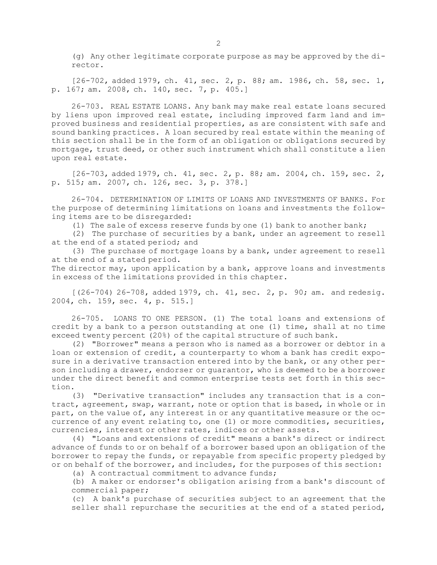(g) Any other legitimate corporate purpose as may be approved by the director.

[26-702, added 1979, ch. 41, sec. 2, p. 88; am. 1986, ch. 58, sec. 1, p. 167; am. 2008, ch. 140, sec. 7, p. 405.]

26-703. REAL ESTATE LOANS. Any bank may make real estate loans secured by liens upon improved real estate, including improved farm land and improved business and residential properties, as are consistent with safe and sound banking practices. <sup>A</sup> loan secured by real estate within the meaning of this section shall be in the form of an obligation or obligations secured by mortgage, trust deed, or other such instrument which shall constitute <sup>a</sup> lien upon real estate.

[26-703, added 1979, ch. 41, sec. 2, p. 88; am. 2004, ch. 159, sec. 2, p. 515; am. 2007, ch. 126, sec. 3, p. 378.]

26-704. DETERMINATION OF LIMITS OF LOANS AND INVESTMENTS OF BANKS. For the purpose of determining limitations on loans and investments the following items are to be disregarded:

(1) The sale of excess reserve funds by one (1) bank to another bank;

(2) The purchase of securities by <sup>a</sup> bank, under an agreement to resell at the end of <sup>a</sup> stated period; and

(3) The purchase of mortgage loans by <sup>a</sup> bank, under agreement to resell at the end of <sup>a</sup> stated period.

The director may, upon application by a bank, approve loans and investments in excess of the limitations provided in this chapter.

[(26-704) 26-708, added 1979, ch. 41, sec. 2, p. 90; am. and redesig. 2004, ch. 159, sec. 4, p. 515.]

26-705. LOANS TO ONE PERSON. (1) The total loans and extensions of credit by <sup>a</sup> bank to <sup>a</sup> person outstanding at one (1) time, shall at no time exceed twenty percent (20%) of the capital structure of such bank.

(2) "Borrower" means <sup>a</sup> person who is named as <sup>a</sup> borrower or debtor in <sup>a</sup> loan or extension of credit, <sup>a</sup> counterparty to whom <sup>a</sup> bank has credit exposure in <sup>a</sup> derivative transaction entered into by the bank, or any other person including <sup>a</sup> drawer, endorser or guarantor, who is deemed to be <sup>a</sup> borrower under the direct benefit and common enterprise tests set forth in this section.

(3) "Derivative transaction" includes any transaction that is <sup>a</sup> contract, agreement, swap, warrant, note or option that is based, in whole or in part, on the value of, any interest in or any quantitative measure or the occurrence of any event relating to, one (1) or more commodities, securities, currencies, interest or other rates, indices or other assets.

(4) "Loans and extensions of credit" means <sup>a</sup> bank's direct or indirect advance of funds to or on behalf of <sup>a</sup> borrower based upon an obligation of the borrower to repay the funds, or repayable from specific property pledged by or on behalf of the borrower, and includes, for the purposes of this section:

(a) A contractual commitment to advance funds;

(b) <sup>A</sup> maker or endorser's obligation arising from <sup>a</sup> bank's discount of commercial paper;

(c) <sup>A</sup> bank's purchase of securities subject to an agreement that the seller shall repurchase the securities at the end of <sup>a</sup> stated period,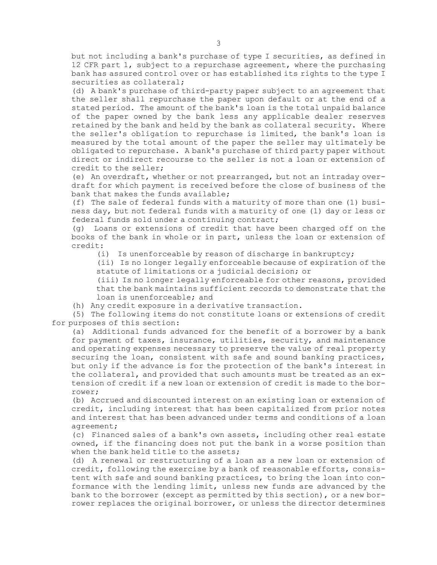but not including <sup>a</sup> bank's purchase of type <sup>I</sup> securities, as defined in 12 CFR part 1, subject to <sup>a</sup> repurchase agreement, where the purchasing bank has assured control over or has established its rights to the type <sup>I</sup> securities as collateral;

(d) <sup>A</sup> bank's purchase of third-party paper subject to an agreement that the seller shall repurchase the paper upon default or at the end of <sup>a</sup> stated period. The amount of the bank's loan is the total unpaid balance of the paper owned by the bank less any applicable dealer reserves retained by the bank and held by the bank as collateral security. Where the seller's obligation to repurchase is limited, the bank's loan is measured by the total amount of the paper the seller may ultimately be obligated to repurchase. <sup>A</sup> bank's purchase of third party paper without direct or indirect recourse to the seller is not <sup>a</sup> loan or extension of credit to the seller;

(e) An overdraft, whether or not prearranged, but not an intraday overdraft for which payment is received before the close of business of the bank that makes the funds available;

(f) The sale of federal funds with <sup>a</sup> maturity of more than one (1) business day, but not federal funds with <sup>a</sup> maturity of one (1) day or less or federal funds sold under <sup>a</sup> continuing contract;

(g) Loans or extensions of credit that have been charged off on the books of the bank in whole or in part, unless the loan or extension of credit:

(i) Is unenforceable by reason of discharge in bankruptcy;

(ii) Is no longer legally enforceable because of expiration of the statute of limitations or <sup>a</sup> judicial decision; or

(iii) Is no longer legally enforceable for other reasons, provided that the bank maintains sufficient records to demonstrate that the loan is unenforceable; and

(h) Any credit exposure in <sup>a</sup> derivative transaction.

(5) The following items do not constitute loans or extensions of credit for purposes of this section:

(a) Additional funds advanced for the benefit of <sup>a</sup> borrower by <sup>a</sup> bank for payment of taxes, insurance, utilities, security, and maintenance and operating expenses necessary to preserve the value of real property securing the loan, consistent with safe and sound banking practices, but only if the advance is for the protection of the bank's interest in the collateral, and provided that such amounts must be treated as an extension of credit if <sup>a</sup> new loan or extension of credit is made to the borrower;

(b) Accrued and discounted interest on an existing loan or extension of credit, including interest that has been capitalized from prior notes and interest that has been advanced under terms and conditions of <sup>a</sup> loan agreement;

(c) Financed sales of <sup>a</sup> bank's own assets, including other real estate owned, if the financing does not put the bank in <sup>a</sup> worse position than when the bank held title to the assets;

(d) <sup>A</sup> renewal or restructuring of <sup>a</sup> loan as <sup>a</sup> new loan or extension of credit, following the exercise by <sup>a</sup> bank of reasonable efforts, consistent with safe and sound banking practices, to bring the loan into conformance with the lending limit, unless new funds are advanced by the bank to the borrower (except as permitted by this section), or <sup>a</sup> new borrower replaces the original borrower, or unless the director determines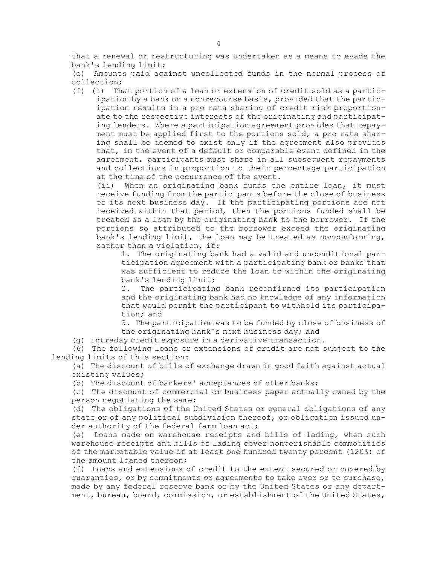that <sup>a</sup> renewal or restructuring was undertaken as <sup>a</sup> means to evade the bank's lending limit;

(e) Amounts paid against uncollected funds in the normal process of collection;

(f) (i) That portion of <sup>a</sup> loan or extension of credit sold as <sup>a</sup> participation by <sup>a</sup> bank on <sup>a</sup> nonrecourse basis, provided that the participation results in <sup>a</sup> pro rata sharing of credit risk proportionate to the respective interests of the originating and participating lenders. Where <sup>a</sup> participation agreement provides that repayment must be applied first to the portions sold, <sup>a</sup> pro rata sharing shall be deemed to exist only if the agreement also provides that, in the event of <sup>a</sup> default or comparable event defined in the agreement, participants must share in all subsequent repayments and collections in proportion to their percentage participation at the time of the occurrence of the event.

(ii) When an originating bank funds the entire loan, it must receive funding from the participants before the close of business of its next business day. If the participating portions are not received within that period, then the portions funded shall be treated as <sup>a</sup> loan by the originating bank to the borrower. If the portions so attributed to the borrower exceed the originating bank's lending limit, the loan may be treated as nonconforming, rather than <sup>a</sup> violation, if:

1. The originating bank had <sup>a</sup> valid and unconditional participation agreement with <sup>a</sup> participating bank or banks that was sufficient to reduce the loan to within the originating bank's lending limit;

2. The participating bank reconfirmed its participation and the originating bank had no knowledge of any information that would permit the participant to withhold its participation; and

3. The participation was to be funded by close of business of the originating bank's next business day; and

(g) Intraday credit exposure in <sup>a</sup> derivative transaction.

(6) The following loans or extensions of credit are not subject to the lending limits of this section:

(a) The discount of bills of exchange drawn in good faith against actual existing values;

(b) The discount of bankers' acceptances of other banks;

(c) The discount of commercial or business paper actually owned by the person negotiating the same;

(d) The obligations of the United States or general obligations of any state or of any political subdivision thereof, or obligation issued under authority of the federal farm loan act;

(e) Loans made on warehouse receipts and bills of lading, when such warehouse receipts and bills of lading cover nonperishable commodities of the marketable value of at least one hundred twenty percent (120%) of the amount loaned thereon;

(f) Loans and extensions of credit to the extent secured or covered by guaranties, or by commitments or agreements to take over or to purchase, made by any federal reserve bank or by the United States or any department, bureau, board, commission, or establishment of the United States,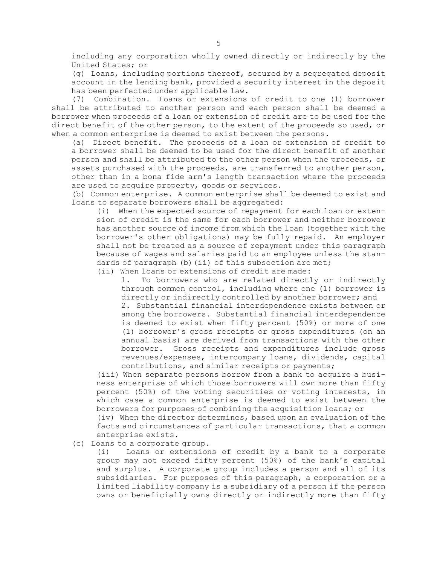including any corporation wholly owned directly or indirectly by the United States; or

(g) Loans, including portions thereof, secured by <sup>a</sup> segregated deposit account in the lending bank, provided <sup>a</sup> security interest in the deposit has been perfected under applicable law.

(7) Combination. Loans or extensions of credit to one (1) borrower shall be attributed to another person and each person shall be deemed <sup>a</sup> borrower when proceeds of <sup>a</sup> loan or extension of credit are to be used for the direct benefit of the other person, to the extent of the proceeds so used, or when <sup>a</sup> common enterprise is deemed to exist between the persons.

(a) Direct benefit. The proceeds of <sup>a</sup> loan or extension of credit to <sup>a</sup> borrower shall be deemed to be used for the direct benefit of another person and shall be attributed to the other person when the proceeds, or assets purchased with the proceeds, are transferred to another person, other than in <sup>a</sup> bona fide arm's length transaction where the proceeds are used to acquire property, goods or services.

(b) Common enterprise. <sup>A</sup> common enterprise shall be deemed to exist and loans to separate borrowers shall be aggregated:

(i) When the expected source of repayment for each loan or extension of credit is the same for each borrower and neither borrower has another source of income from which the loan (together with the borrower's other obligations) may be fully repaid. An employer shall not be treated as <sup>a</sup> source of repayment under this paragraph because of wages and salaries paid to an employee unless the standards of paragraph (b) (ii) of this subsection are met;

(ii) When loans or extensions of credit are made:

1. To borrowers who are related directly or indirectly through common control, including where one (1) borrower is directly or indirectly controlled by another borrower; and 2. Substantial financial interdependence exists between or among the borrowers. Substantial financial interdependence is deemed to exist when fifty percent (50%) or more of one (1) borrower's gross receipts or gross expenditures (on an annual basis) are derived from transactions with the other borrower. Gross receipts and expenditures include gross revenues/expenses, intercompany loans, dividends, capital contributions, and similar receipts or payments;

(iii) When separate persons borrow from <sup>a</sup> bank to acquire <sup>a</sup> business enterprise of which those borrowers will own more than fifty percent (50%) of the voting securities or voting interests, in which case <sup>a</sup> common enterprise is deemed to exist between the borrowers for purposes of combining the acquisition loans; or

(iv) When the director determines, based upon an evaluation of the facts and circumstances of particular transactions, that <sup>a</sup> common enterprise exists.

(c) Loans to <sup>a</sup> corporate group.

(i) Loans or extensions of credit by <sup>a</sup> bank to <sup>a</sup> corporate group may not exceed fifty percent (50%) of the bank's capital and surplus. <sup>A</sup> corporate group includes <sup>a</sup> person and all of its subsidiaries. For purposes of this paragraph, <sup>a</sup> corporation or <sup>a</sup> limited liability company is <sup>a</sup> subsidiary of <sup>a</sup> person if the person owns or beneficially owns directly or indirectly more than fifty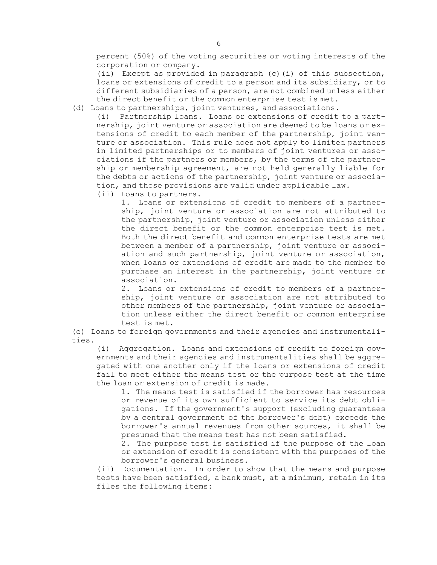percent (50%) of the voting securities or voting interests of the corporation or company.

(ii) Except as provided in paragraph  $(c)$  (i) of this subsection, loans or extensions of credit to <sup>a</sup> person and its subsidiary, or to different subsidiaries of <sup>a</sup> person, are not combined unless either the direct benefit or the common enterprise test is met.

(d) Loans to partnerships, joint ventures, and associations.

(i) Partnership loans. Loans or extensions of credit to <sup>a</sup> partnership, joint venture or association are deemed to be loans or extensions of credit to each member of the partnership, joint venture or association. This rule does not apply to limited partners in limited partnerships or to members of joint ventures or associations if the partners or members, by the terms of the partnership or membership agreement, are not held generally liable for the debts or actions of the partnership, joint venture or association, and those provisions are valid under applicable law.

(ii) Loans to partners.

1. Loans or extensions of credit to members of <sup>a</sup> partnership, joint venture or association are not attributed to the partnership, joint venture or association unless either the direct benefit or the common enterprise test is met. Both the direct benefit and common enterprise tests are met between <sup>a</sup> member of <sup>a</sup> partnership, joint venture or association and such partnership, joint venture or association, when loans or extensions of credit are made to the member to purchase an interest in the partnership, joint venture or association.

2. Loans or extensions of credit to members of <sup>a</sup> partnership, joint venture or association are not attributed to other members of the partnership, joint venture or association unless either the direct benefit or common enterprise test is met.

(e) Loans to foreign governments and their agencies and instrumentalities.

(i) Aggregation. Loans and extensions of credit to foreign governments and their agencies and instrumentalities shall be aggregated with one another only if the loans or extensions of credit fail to meet either the means test or the purpose test at the time the loan or extension of credit is made.

1. The means test is satisfied if the borrower has resources or revenue of its own sufficient to service its debt obligations. If the government's support (excluding guarantees by <sup>a</sup> central government of the borrower's debt) exceeds the borrower's annual revenues from other sources, it shall be presumed that the means test has not been satisfied.

2. The purpose test is satisfied if the purpose of the loan or extension of credit is consistent with the purposes of the borrower's general business.

(ii) Documentation. In order to show that the means and purpose tests have been satisfied, <sup>a</sup> bank must, at <sup>a</sup> minimum, retain in its files the following items: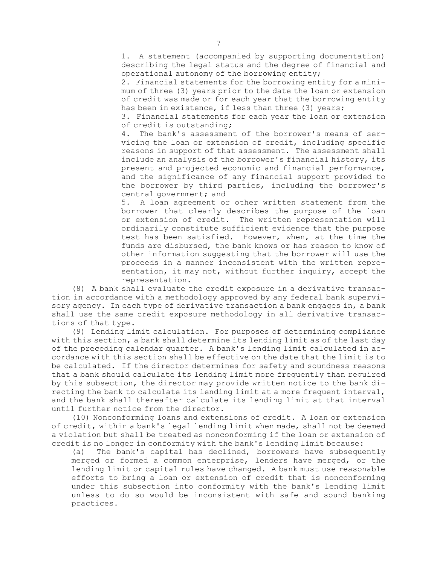1. <sup>A</sup> statement (accompanied by supporting documentation) describing the legal status and the degree of financial and operational autonomy of the borrowing entity;

2. Financial statements for the borrowing entity for <sup>a</sup> minimum of three (3) years prior to the date the loan or extension of credit was made or for each year that the borrowing entity has been in existence, if less than three (3) years;

3. Financial statements for each year the loan or extension of credit is outstanding;

4. The bank's assessment of the borrower's means of servicing the loan or extension of credit, including specific reasons in support of that assessment. The assessment shall include an analysis of the borrower's financial history, its present and projected economic and financial performance, and the significance of any financial support provided to the borrower by third parties, including the borrower's central government; and

5. <sup>A</sup> loan agreement or other written statement from the borrower that clearly describes the purpose of the loan or extension of credit. The written representation will ordinarily constitute sufficient evidence that the purpose test has been satisfied. However, when, at the time the funds are disbursed, the bank knows or has reason to know of other information suggesting that the borrower will use the proceeds in <sup>a</sup> manner inconsistent with the written representation, it may not, without further inquiry, accept the representation.

(8) <sup>A</sup> bank shall evaluate the credit exposure in <sup>a</sup> derivative transaction in accordance with <sup>a</sup> methodology approved by any federal bank supervisory agency. In each type of derivative transaction <sup>a</sup> bank engages in, <sup>a</sup> bank shall use the same credit exposure methodology in all derivative transactions of that type.

(9) Lending limit calculation. For purposes of determining compliance with this section, <sup>a</sup> bank shall determine its lending limit as of the last day of the preceding calendar quarter. <sup>A</sup> bank's lending limit calculated in accordance with this section shall be effective on the date that the limit is to be calculated. If the director determines for safety and soundness reasons that <sup>a</sup> bank should calculate its lending limit more frequently than required by this subsection, the director may provide written notice to the bank directing the bank to calculate its lending limit at <sup>a</sup> more frequent interval, and the bank shall thereafter calculate its lending limit at that interval until further notice from the director.

(10) Nonconforming loans and extensions of credit. <sup>A</sup> loan or extension of credit, within <sup>a</sup> bank's legal lending limit when made, shall not be deemed <sup>a</sup> violation but shall be treated as nonconforming if the loan or extension of credit is no longer in conformity with the bank's lending limit because:

(a) The bank's capital has declined, borrowers have subsequently merged or formed <sup>a</sup> common enterprise, lenders have merged, or the lending limit or capital rules have changed. <sup>A</sup> bank must use reasonable efforts to bring <sup>a</sup> loan or extension of credit that is nonconforming under this subsection into conformity with the bank's lending limit unless to do so would be inconsistent with safe and sound banking practices.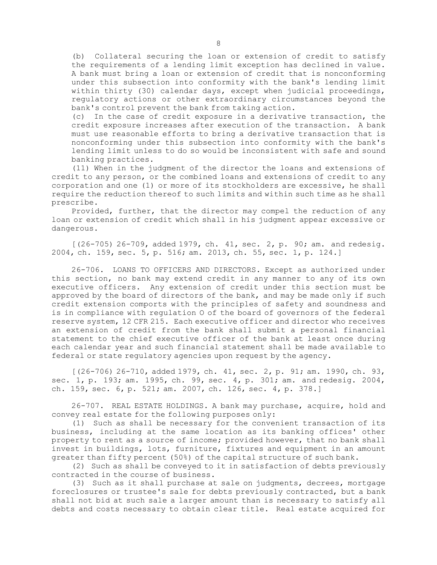(b) Collateral securing the loan or extension of credit to satisfy the requirements of <sup>a</sup> lending limit exception has declined in value. <sup>A</sup> bank must bring <sup>a</sup> loan or extension of credit that is nonconforming under this subsection into conformity with the bank's lending limit within thirty (30) calendar days, except when judicial proceedings, regulatory actions or other extraordinary circumstances beyond the bank's control prevent the bank from taking action.

(c) In the case of credit exposure in <sup>a</sup> derivative transaction, the credit exposure increases after execution of the transaction. <sup>A</sup> bank must use reasonable efforts to bring <sup>a</sup> derivative transaction that is nonconforming under this subsection into conformity with the bank's lending limit unless to do so would be inconsistent with safe and sound banking practices.

(11) When in the judgment of the director the loans and extensions of credit to any person, or the combined loans and extensions of credit to any corporation and one (1) or more of its stockholders are excessive, he shall require the reduction thereof to such limits and within such time as he shall prescribe.

Provided, further, that the director may compel the reduction of any loan or extension of credit which shall in his judgment appear excessive or dangerous.

[(26-705) 26-709, added 1979, ch. 41, sec. 2, p. 90; am. and redesig. 2004, ch. 159, sec. 5, p. 516; am. 2013, ch. 55, sec. 1, p. 124.]

26-706. LOANS TO OFFICERS AND DIRECTORS. Except as authorized under this section, no bank may extend credit in any manner to any of its own executive officers. Any extension of credit under this section must be approved by the board of directors of the bank, and may be made only if such credit extension comports with the principles of safety and soundness and is in compliance with regulation O of the board of governors of the federal reserve system, 12 CFR 215. Each executive officer and director who receives an extension of credit from the bank shall submit <sup>a</sup> personal financial statement to the chief executive officer of the bank at least once during each calendar year and such financial statement shall be made available to federal or state regulatory agencies upon request by the agency.

[(26-706) 26-710, added 1979, ch. 41, sec. 2, p. 91; am. 1990, ch. 93, sec. 1, p. 193; am. 1995, ch. 99, sec. 4, p. 301; am. and redesig. 2004, ch. 159, sec. 6, p. 521; am. 2007, ch. 126, sec. 4, p. 378.]

26-707. REAL ESTATE HOLDINGS. <sup>A</sup> bank may purchase, acquire, hold and convey real estate for the following purposes only:

(1) Such as shall be necessary for the convenient transaction of its business, including at the same location as its banking offices' other property to rent as <sup>a</sup> source of income; provided however, that no bank shall invest in buildings, lots, furniture, fixtures and equipment in an amount greater than fifty percent (50%) of the capital structure of such bank.

(2) Such as shall be conveyed to it in satisfaction of debts previously contracted in the course of business.

(3) Such as it shall purchase at sale on judgments, decrees, mortgage foreclosures or trustee's sale for debts previously contracted, but <sup>a</sup> bank shall not bid at such sale <sup>a</sup> larger amount than is necessary to satisfy all debts and costs necessary to obtain clear title. Real estate acquired for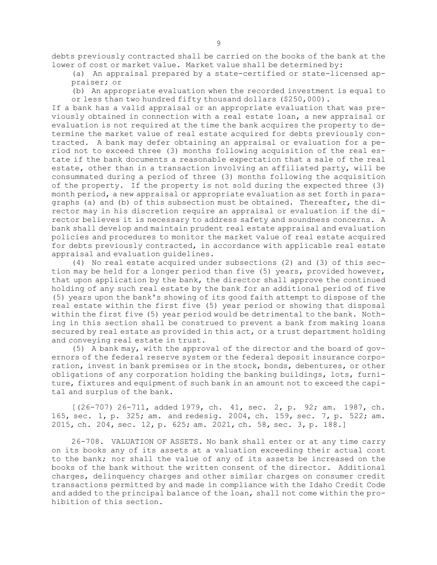debts previously contracted shall be carried on the books of the bank at the lower of cost or market value. Market value shall be determined by:

(a) An appraisal prepared by <sup>a</sup> state-certified or state-licensed appraiser; or

(b) An appropriate evaluation when the recorded investment is equal to or less than two hundred fifty thousand dollars (\$250,000).

If <sup>a</sup> bank has <sup>a</sup> valid appraisal or an appropriate evaluation that was previously obtained in connection with <sup>a</sup> real estate loan, <sup>a</sup> new appraisal or evaluation is not required at the time the bank acquires the property to determine the market value of real estate acquired for debts previously contracted. <sup>A</sup> bank may defer obtaining an appraisal or evaluation for <sup>a</sup> period not to exceed three (3) months following acquisition of the real estate if the bank documents <sup>a</sup> reasonable expectation that <sup>a</sup> sale of the real estate, other than in <sup>a</sup> transaction involving an affiliated party, will be consummated during <sup>a</sup> period of three (3) months following the acquisition of the property. If the property is not sold during the expected three (3) month period, <sup>a</sup> new appraisal or appropriate evaluation as set forth in paragraphs (a) and (b) of this subsection must be obtained. Thereafter, the director may in his discretion require an appraisal or evaluation if the director believes it is necessary to address safety and soundness concerns. <sup>A</sup> bank shall develop and maintain prudent real estate appraisal and evaluation policies and procedures to monitor the market value of real estate acquired for debts previously contracted, in accordance with applicable real estate appraisal and evaluation guidelines.

(4) No real estate acquired under subsections (2) and (3) of this section may be held for <sup>a</sup> longer period than five (5) years, provided however, that upon application by the bank, the director shall approve the continued holding of any such real estate by the bank for an additional period of five (5) years upon the bank's showing of its good faith attempt to dispose of the real estate within the first five (5) year period or showing that disposal within the first five (5) year period would be detrimental to the bank. Nothing in this section shall be construed to prevent <sup>a</sup> bank from making loans secured by real estate as provided in this act, or <sup>a</sup> trust department holding and conveying real estate in trust.

(5) <sup>A</sup> bank may, with the approval of the director and the board of governors of the federal reserve system or the federal deposit insurance corporation, invest in bank premises or in the stock, bonds, debentures, or other obligations of any corporation holding the banking buildings, lots, furniture, fixtures and equipment of such bank in an amount not to exceed the capital and surplus of the bank.

[(26-707) 26-711, added 1979, ch. 41, sec. 2, p. 92; am. 1987, ch. 165, sec. 1, p. 325; am. and redesig. 2004, ch. 159, sec. 7, p. 522; am. 2015, ch. 204, sec. 12, p. 625; am. 2021, ch. 58, sec. 3, p. 188.]

26-708. VALUATION OF ASSETS. No bank shall enter or at any time carry on its books any of its assets at <sup>a</sup> valuation exceeding their actual cost to the bank; nor shall the value of any of its assets be increased on the books of the bank without the written consent of the director. Additional charges, delinquency charges and other similar charges on consumer credit transactions permitted by and made in compliance with the Idaho Credit Code and added to the principal balance of the loan, shall not come within the prohibition of this section.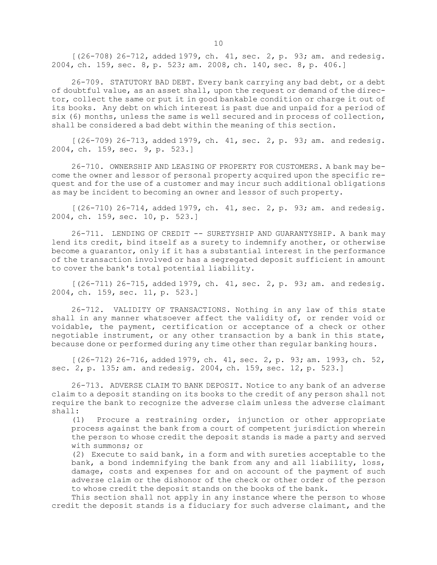[(26-708) 26-712, added 1979, ch. 41, sec. 2, p. 93; am. and redesig. 2004, ch. 159, sec. 8, p. 523; am. 2008, ch. 140, sec. 8, p. 406.]

26-709. STATUTORY BAD DEBT. Every bank carrying any bad debt, or <sup>a</sup> debt of doubtful value, as an asset shall, upon the request or demand of the director, collect the same or put it in good bankable condition or charge it out of its books. Any debt on which interest is past due and unpaid for <sup>a</sup> period of six (6) months, unless the same is well secured and in process of collection, shall be considered <sup>a</sup> bad debt within the meaning of this section.

[(26-709) 26-713, added 1979, ch. 41, sec. 2, p. 93; am. and redesig. 2004, ch. 159, sec. 9, p. 523.]

26-710. OWNERSHIP AND LEASING OF PROPERTY FOR CUSTOMERS. A bank may become the owner and lessor of personal property acquired upon the specific request and for the use of <sup>a</sup> customer and may incur such additional obligations as may be incident to becoming an owner and lessor of such property.

[(26-710) 26-714, added 1979, ch. 41, sec. 2, p. 93; am. and redesig. 2004, ch. 159, sec. 10, p. 523.]

26-711. LENDING OF CREDIT -- SURETYSHIP AND GUARANTYSHIP. A bank may lend its credit, bind itself as <sup>a</sup> surety to indemnify another, or otherwise become <sup>a</sup> guarantor, only if it has <sup>a</sup> substantial interest in the performance of the transaction involved or has <sup>a</sup> segregated deposit sufficient in amount to cover the bank's total potential liability.

 $(26-711)$  26-715, added 1979, ch. 41, sec. 2, p. 93; am. and redesig. 2004, ch. 159, sec. 11, p. 523.]

26-712. VALIDITY OF TRANSACTIONS. Nothing in any law of this state shall in any manner whatsoever affect the validity of, or render void or voidable, the payment, certification or acceptance of <sup>a</sup> check or other negotiable instrument, or any other transaction by <sup>a</sup> bank in this state, because done or performed during any time other than regular banking hours.

[(26-712) 26-716, added 1979, ch. 41, sec. 2, p. 93; am. 1993, ch. 52, sec. 2, p. 135; am. and redesig. 2004, ch. 159, sec. 12, p. 523.]

26-713. ADVERSE CLAIM TO BANK DEPOSIT. Notice to any bank of an adverse claim to <sup>a</sup> deposit standing on its books to the credit of any person shall not require the bank to recognize the adverse claim unless the adverse claimant shall:

(1) Procure <sup>a</sup> restraining order, injunction or other appropriate process against the bank from <sup>a</sup> court of competent jurisdiction wherein the person to whose credit the deposit stands is made <sup>a</sup> party and served with summons; or

(2) Execute to said bank, in <sup>a</sup> form and with sureties acceptable to the bank, <sup>a</sup> bond indemnifying the bank from any and all liability, loss, damage, costs and expenses for and on account of the payment of such adverse claim or the dishonor of the check or other order of the person to whose credit the deposit stands on the books of the bank.

This section shall not apply in any instance where the person to whose credit the deposit stands is <sup>a</sup> fiduciary for such adverse claimant, and the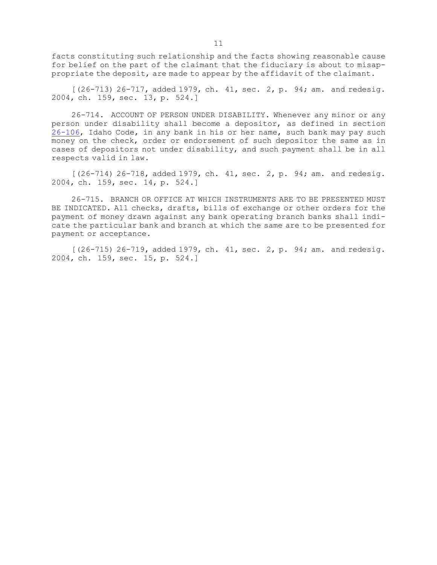facts constituting such relationship and the facts showing reasonable cause for belief on the part of the claimant that the fiduciary is about to misappropriate the deposit, are made to appear by the affidavit of the claimant.

 $[(26-713) 26-717$ , added 1979, ch. 41, sec. 2, p. 94; am. and redesig. 2004, ch. 159, sec. 13, p. 524.]

26-714. ACCOUNT OF PERSON UNDER DISABILITY. Whenever any minor or any person under disability shall become <sup>a</sup> depositor, as defined in section [26-106](https://legislature.idaho.gov/statutesrules/idstat/Title26/T26CH1/SECT26-106), Idaho Code, in any bank in his or her name, such bank may pay such money on the check, order or endorsement of such depositor the same as in cases of depositors not under disability, and such payment shall be in all respects valid in law.

[(26-714) 26-718, added 1979, ch. 41, sec. 2, p. 94; am. and redesig. 2004, ch. 159, sec. 14, p. 524.]

26-715. BRANCH OR OFFICE AT WHICH INSTRUMENTS ARE TO BE PRESENTED MUST BE INDICATED. All checks, drafts, bills of exchange or other orders for the payment of money drawn against any bank operating branch banks shall indicate the particular bank and branch at which the same are to be presented for payment or acceptance.

[(26-715) 26-719, added 1979, ch. 41, sec. 2, p. 94; am. and redesig. 2004, ch. 159, sec. 15, p. 524.]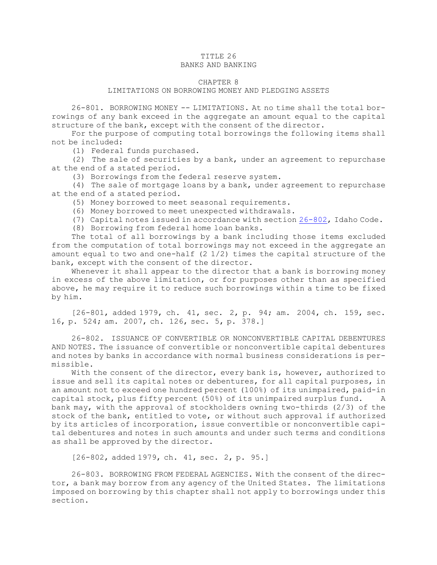# TITLE 26

## BANKS AND BANKING

#### CHAPTER 8

#### LIMITATIONS ON BORROWING MONEY AND PLEDGING ASSETS

26-801. BORROWING MONEY -- LIMITATIONS. At no time shall the total borrowings of any bank exceed in the aggregate an amount equal to the capital structure of the bank, except with the consent of the director.

For the purpose of computing total borrowings the following items shall not be included:

(1) Federal funds purchased.

(2) The sale of securities by <sup>a</sup> bank, under an agreement to repurchase at the end of <sup>a</sup> stated period.

(3) Borrowings from the federal reserve system.

(4) The sale of mortgage loans by <sup>a</sup> bank, under agreement to repurchase at the end of <sup>a</sup> stated period.

(5) Money borrowed to meet seasonal requirements.

(6) Money borrowed to meet unexpected withdrawals.

(7) Capital notes issued in accordance with section [26-802](https://legislature.idaho.gov/statutesrules/idstat/Title26/T26CH8/SECT26-802), Idaho Code.

(8) Borrowing from federal home loan banks.

The total of all borrowings by <sup>a</sup> bank including those items excluded from the computation of total borrowings may not exceed in the aggregate an amount equal to two and one-half  $(2\ 1/2)$  times the capital structure of the bank, except with the consent of the director.

Whenever it shall appear to the director that <sup>a</sup> bank is borrowing money in excess of the above limitation, or for purposes other than as specified above, he may require it to reduce such borrowings within <sup>a</sup> time to be fixed by him.

[26-801, added 1979, ch. 41, sec. 2, p. 94; am. 2004, ch. 159, sec. 16, p. 524; am. 2007, ch. 126, sec. 5, p. 378.]

26-802. ISSUANCE OF CONVERTIBLE OR NONCONVERTIBLE CAPITAL DEBENTURES AND NOTES. The issuance of convertible or nonconvertible capital debentures and notes by banks in accordance with normal business considerations is permissible.

With the consent of the director, every bank is, however, authorized to issue and sell its capital notes or debentures, for all capital purposes, in an amount not to exceed one hundred percent (100%) of its unimpaired, paid-in capital stock, plus fifty percent (50%) of its unimpaired surplus fund. <sup>A</sup> bank may, with the approval of stockholders owning two-thirds (2/3) of the stock of the bank, entitled to vote, or without such approval if authorized by its articles of incorporation, issue convertible or nonconvertible capital debentures and notes in such amounts and under such terms and conditions as shall be approved by the director.

[26-802, added 1979, ch. 41, sec. 2, p. 95.]

26-803. BORROWING FROM FEDERAL AGENCIES. With the consent of the director, <sup>a</sup> bank may borrow from any agency of the United States. The limitations imposed on borrowing by this chapter shall not apply to borrowings under this section.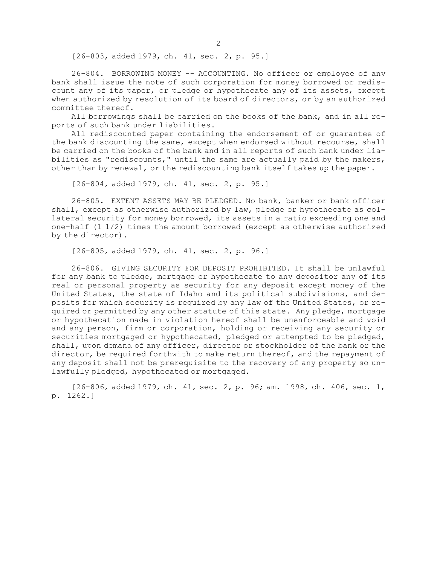[26-803, added 1979, ch. 41, sec. 2, p. 95.]

26-804. BORROWING MONEY -- ACCOUNTING. No officer or employee of any bank shall issue the note of such corporation for money borrowed or rediscount any of its paper, or pledge or hypothecate any of its assets, except when authorized by resolution of its board of directors, or by an authorized committee thereof.

All borrowings shall be carried on the books of the bank, and in all reports of such bank under liabilities.

All rediscounted paper containing the endorsement of or guarantee of the bank discounting the same, except when endorsed without recourse, shall be carried on the books of the bank and in all reports of such bank under liabilities as "rediscounts," until the same are actually paid by the makers, other than by renewal, or the rediscounting bank itself takes up the paper.

[26-804, added 1979, ch. 41, sec. 2, p. 95.]

26-805. EXTENT ASSETS MAY BE PLEDGED. No bank, banker or bank officer shall, except as otherwise authorized by law, pledge or hypothecate as collateral security for money borrowed, its assets in <sup>a</sup> ratio exceeding one and one-half (1 1/2) times the amount borrowed (except as otherwise authorized by the director).

[26-805, added 1979, ch. 41, sec. 2, p. 96.]

26-806. GIVING SECURITY FOR DEPOSIT PROHIBITED. It shall be unlawful for any bank to pledge, mortgage or hypothecate to any depositor any of its real or personal property as security for any deposit except money of the United States, the state of Idaho and its political subdivisions, and deposits for which security is required by any law of the United States, or required or permitted by any other statute of this state. Any pledge, mortgage or hypothecation made in violation hereof shall be unenforceable and void and any person, firm or corporation, holding or receiving any security or securities mortgaged or hypothecated, pledged or attempted to be pledged, shall, upon demand of any officer, director or stockholder of the bank or the director, be required forthwith to make return thereof, and the repayment of any deposit shall not be prerequisite to the recovery of any property so unlawfully pledged, hypothecated or mortgaged.

[26-806, added 1979, ch. 41, sec. 2, p. 96; am. 1998, ch. 406, sec. 1, p. 1262.]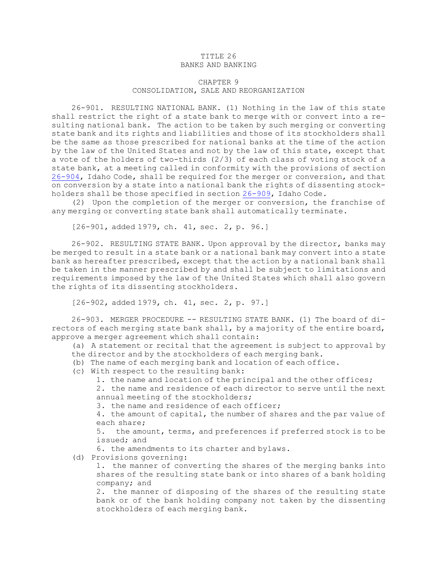#### TITLE 26 BANKS AND BANKING

### CHAPTER 9 CONSOLIDATION, SALE AND REORGANIZATION

26-901. RESULTING NATIONAL BANK. (1) Nothing in the law of this state shall restrict the right of <sup>a</sup> state bank to merge with or convert into <sup>a</sup> resulting national bank. The action to be taken by such merging or converting state bank and its rights and liabilities and those of its stockholders shall be the same as those prescribed for national banks at the time of the action by the law of the United States and not by the law of this state, except that <sup>a</sup> vote of the holders of two-thirds (2/3) of each class of voting stock of <sup>a</sup> state bank, at <sup>a</sup> meeting called in conformity with the provisions of section [26-904](https://legislature.idaho.gov/statutesrules/idstat/Title26/T26CH9/SECT26-904), Idaho Code, shall be required for the merger or conversion, and that on conversion by <sup>a</sup> state into <sup>a</sup> national bank the rights of dissenting stockholders shall be those specified in section [26-909](https://legislature.idaho.gov/statutesrules/idstat/Title26/T26CH9/SECT26-909), Idaho Code.

(2) Upon the completion of the merger or conversion, the franchise of any merging or converting state bank shall automatically terminate.

[26-901, added 1979, ch. 41, sec. 2, p. 96.]

26-902. RESULTING STATE BANK. Upon approval by the director, banks may be merged to result in <sup>a</sup> state bank or <sup>a</sup> national bank may convert into <sup>a</sup> state bank as hereafter prescribed, except that the action by <sup>a</sup> national bank shall be taken in the manner prescribed by and shall be subject to limitations and requirements imposed by the law of the United States which shall also govern the rights of its dissenting stockholders.

[26-902, added 1979, ch. 41, sec. 2, p. 97.]

26-903. MERGER PROCEDURE -- RESULTING STATE BANK. (1) The board of directors of each merging state bank shall, by <sup>a</sup> majority of the entire board, approve <sup>a</sup> merger agreement which shall contain:

(a) <sup>A</sup> statement or recital that the agreement is subject to approval by the director and by the stockholders of each merging bank.

(b) The name of each merging bank and location of each office.

- (c) With respect to the resulting bank:
	- 1. the name and location of the principal and the other offices;

2. the name and residence of each director to serve until the next annual meeting of the stockholders;

3. the name and residence of each officer;

4. the amount of capital, the number of shares and the par value of each share;

5. the amount, terms, and preferences if preferred stock is to be issued; and

6. the amendments to its charter and bylaws.

(d) Provisions governing:

1. the manner of converting the shares of the merging banks into shares of the resulting state bank or into shares of <sup>a</sup> bank holding company; and

2. the manner of disposing of the shares of the resulting state bank or of the bank holding company not taken by the dissenting stockholders of each merging bank.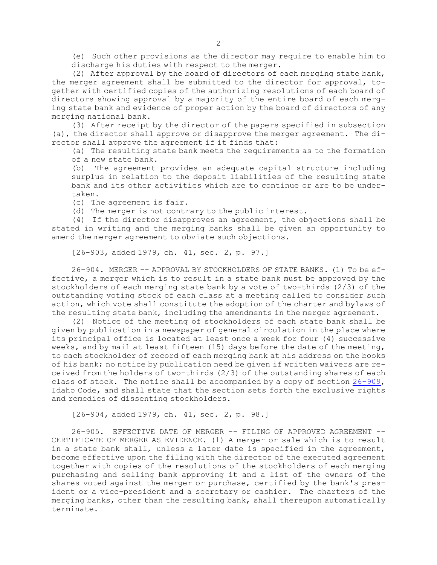(e) Such other provisions as the director may require to enable him to discharge his duties with respect to the merger.

(2) After approval by the board of directors of each merging state bank, the merger agreement shall be submitted to the director for approval, together with certified copies of the authorizing resolutions of each board of directors showing approval by <sup>a</sup> majority of the entire board of each merging state bank and evidence of proper action by the board of directors of any merging national bank.

(3) After receipt by the director of the papers specified in subsection (a), the director shall approve or disapprove the merger agreement. The director shall approve the agreement if it finds that:

(a) The resulting state bank meets the requirements as to the formation of a new state bank.

(b) The agreement provides an adequate capital structure including surplus in relation to the deposit liabilities of the resulting state bank and its other activities which are to continue or are to be undertaken.

(c) The agreement is fair.

(d) The merger is not contrary to the public interest.

(4) If the director disapproves an agreement, the objections shall be stated in writing and the merging banks shall be given an opportunity to amend the merger agreement to obviate such objections.

[26-903, added 1979, ch. 41, sec. 2, p. 97.]

26-904. MERGER -- APPROVAL BY STOCKHOLDERS OF STATE BANKS. (1) To be effective, <sup>a</sup> merger which is to result in <sup>a</sup> state bank must be approved by the stockholders of each merging state bank by <sup>a</sup> vote of two-thirds (2/3) of the outstanding voting stock of each class at <sup>a</sup> meeting called to consider such action, which vote shall constitute the adoption of the charter and bylaws of the resulting state bank, including the amendments in the merger agreement.

(2) Notice of the meeting of stockholders of each state bank shall be given by publication in <sup>a</sup> newspaper of general circulation in the place where its principal office is located at least once <sup>a</sup> week for four (4) successive weeks, and by mail at least fifteen (15) days before the date of the meeting, to each stockholder of record of each merging bank at his address on the books of his bank; no notice by publication need be given if written waivers are received from the holders of two-thirds (2/3) of the outstanding shares of each class of stock. The notice shall be accompanied by <sup>a</sup> copy of section [26-909](https://legislature.idaho.gov/statutesrules/idstat/Title26/T26CH9/SECT26-909), Idaho Code, and shall state that the section sets forth the exclusive rights and remedies of dissenting stockholders.

[26-904, added 1979, ch. 41, sec. 2, p. 98.]

26-905. EFFECTIVE DATE OF MERGER -- FILING OF APPROVED AGREEMENT -- CERTIFICATE OF MERGER AS EVIDENCE. (1) <sup>A</sup> merger or sale which is to result in <sup>a</sup> state bank shall, unless <sup>a</sup> later date is specified in the agreement, become effective upon the filing with the director of the executed agreement together with copies of the resolutions of the stockholders of each merging purchasing and selling bank approving it and <sup>a</sup> list of the owners of the shares voted against the merger or purchase, certified by the bank's president or <sup>a</sup> vice-president and <sup>a</sup> secretary or cashier. The charters of the merging banks, other than the resulting bank, shall thereupon automatically terminate.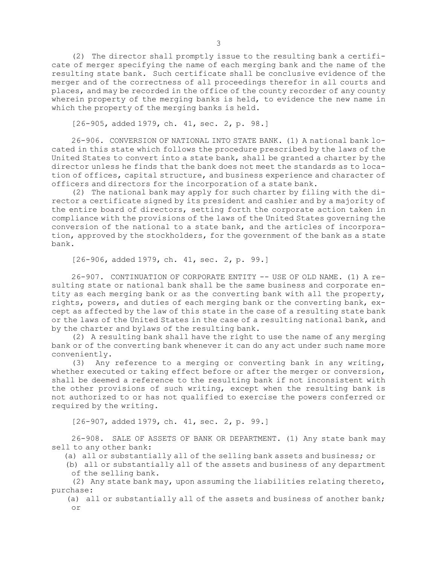(2) The director shall promptly issue to the resulting bank <sup>a</sup> certificate of merger specifying the name of each merging bank and the name of the resulting state bank. Such certificate shall be conclusive evidence of the merger and of the correctness of all proceedings therefor in all courts and places, and may be recorded in the office of the county recorder of any county wherein property of the merging banks is held, to evidence the new name in which the property of the merging banks is held.

[26-905, added 1979, ch. 41, sec. 2, p. 98.]

26-906. CONVERSION OF NATIONAL INTO STATE BANK. (1) A national bank located in this state which follows the procedure prescribed by the laws of the United States to convert into <sup>a</sup> state bank, shall be granted <sup>a</sup> charter by the director unless he finds that the bank does not meet the standards as to location of offices, capital structure, and business experience and character of officers and directors for the incorporation of <sup>a</sup> state bank.

(2) The national bank may apply for such charter by filing with the director <sup>a</sup> certificate signed by its president and cashier and by <sup>a</sup> majority of the entire board of directors, setting forth the corporate action taken in compliance with the provisions of the laws of the United States governing the conversion of the national to <sup>a</sup> state bank, and the articles of incorporation, approved by the stockholders, for the government of the bank as <sup>a</sup> state bank.

[26-906, added 1979, ch. 41, sec. 2, p. 99.]

26-907. CONTINUATION OF CORPORATE ENTITY -- USE OF OLD NAME. (1) A resulting state or national bank shall be the same business and corporate entity as each merging bank or as the converting bank with all the property, rights, powers, and duties of each merging bank or the converting bank, except as affected by the law of this state in the case of <sup>a</sup> resulting state bank or the laws of the United States in the case of <sup>a</sup> resulting national bank, and by the charter and bylaws of the resulting bank.

(2) <sup>A</sup> resulting bank shall have the right to use the name of any merging bank or of the converting bank whenever it can do any act under such name more conveniently.

(3) Any reference to <sup>a</sup> merging or converting bank in any writing, whether executed or taking effect before or after the merger or conversion, shall be deemed <sup>a</sup> reference to the resulting bank if not inconsistent with the other provisions of such writing, except when the resulting bank is not authorized to or has not qualified to exercise the powers conferred or required by the writing.

[26-907, added 1979, ch. 41, sec. 2, p. 99.]

26-908. SALE OF ASSETS OF BANK OR DEPARTMENT. (1) Any state bank may sell to any other bank:

(a) all or substantially all of the selling bank assets and business; or

(b) all or substantially all of the assets and business of any department of the selling bank.

(2) Any state bank may, upon assuming the liabilities relating thereto, purchase:

(a) all or substantially all of the assets and business of another bank; or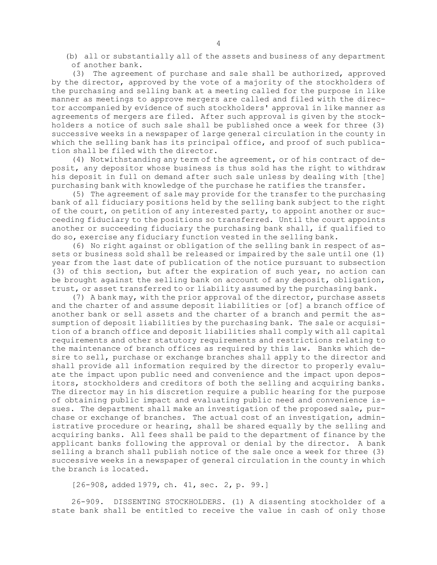(b) all or substantially all of the assets and business of any department of another bank.

(3) The agreement of purchase and sale shall be authorized, approved by the director, approved by the vote of <sup>a</sup> majority of the stockholders of the purchasing and selling bank at <sup>a</sup> meeting called for the purpose in like manner as meetings to approve mergers are called and filed with the director accompanied by evidence of such stockholders' approval in like manner as agreements of mergers are filed. After such approval is given by the stockholders <sup>a</sup> notice of such sale shall be published once <sup>a</sup> week for three (3) successive weeks in <sup>a</sup> newspaper of large general circulation in the county in which the selling bank has its principal office, and proof of such publication shall be filed with the director.

(4) Notwithstanding any term of the agreement, or of his contract of deposit, any depositor whose business is thus sold has the right to withdraw his deposit in full on demand after such sale unless by dealing with [the] purchasing bank with knowledge of the purchase he ratifies the transfer.

(5) The agreement of sale may provide for the transfer to the purchasing bank of all fiduciary positions held by the selling bank subject to the right of the court, on petition of any interested party, to appoint another or succeeding fiduciary to the positions so transferred. Until the court appoints another or succeeding fiduciary the purchasing bank shall, if qualified to do so, exercise any fiduciary function vested in the selling bank.

(6) No right against or obligation of the selling bank in respect of assets or business sold shall be released or impaired by the sale until one (1) year from the last date of publication of the notice pursuant to subsection (3) of this section, but after the expiration of such year, no action can be brought against the selling bank on account of any deposit, obligation, trust, or asset transferred to or liability assumed by the purchasing bank.

(7) <sup>A</sup> bank may, with the prior approval of the director, purchase assets and the charter of and assume deposit liabilities or [of] <sup>a</sup> branch office of another bank or sell assets and the charter of <sup>a</sup> branch and permit the assumption of deposit liabilities by the purchasing bank. The sale or acquisition of <sup>a</sup> branch office and deposit liabilities shall comply with all capital requirements and other statutory requirements and restrictions relating to the maintenance of branch offices as required by this law. Banks which desire to sell, purchase or exchange branches shall apply to the director and shall provide all information required by the director to properly evaluate the impact upon public need and convenience and the impact upon depositors, stockholders and creditors of both the selling and acquiring banks. The director may in his discretion require <sup>a</sup> public hearing for the purpose of obtaining public impact and evaluating public need and convenience issues. The department shall make an investigation of the proposed sale, purchase or exchange of branches. The actual cost of an investigation, administrative procedure or hearing, shall be shared equally by the selling and acquiring banks. All fees shall be paid to the department of finance by the applicant banks following the approval or denial by the director. <sup>A</sup> bank selling <sup>a</sup> branch shall publish notice of the sale once <sup>a</sup> week for three (3) successive weeks in <sup>a</sup> newspaper of general circulation in the county in which the branch is located.

[26-908, added 1979, ch. 41, sec. 2, p. 99.]

26-909. DISSENTING STOCKHOLDERS. (1) <sup>A</sup> dissenting stockholder of <sup>a</sup> state bank shall be entitled to receive the value in cash of only those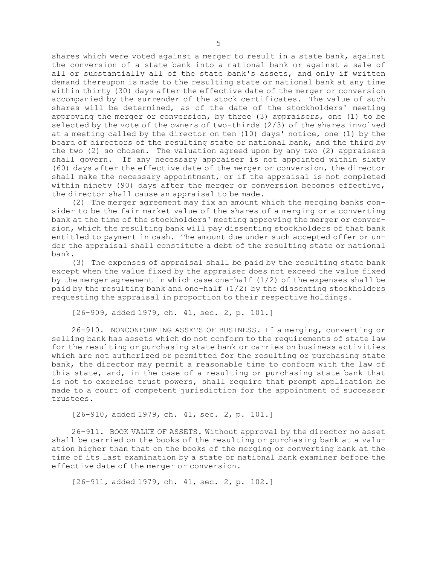shares which were voted against <sup>a</sup> merger to result in <sup>a</sup> state bank, against the conversion of <sup>a</sup> state bank into <sup>a</sup> national bank or against <sup>a</sup> sale of all or substantially all of the state bank's assets, and only if written demand thereupon is made to the resulting state or national bank at any time within thirty (30) days after the effective date of the merger or conversion accompanied by the surrender of the stock certificates. The value of such shares will be determined, as of the date of the stockholders' meeting approving the merger or conversion, by three (3) appraisers, one (1) to be selected by the vote of the owners of two-thirds (2/3) of the shares involved at <sup>a</sup> meeting called by the director on ten (10) days' notice, one (1) by the board of directors of the resulting state or national bank, and the third by the two (2) so chosen. The valuation agreed upon by any two (2) appraisers shall govern. If any necessary appraiser is not appointed within sixty (60) days after the effective date of the merger or conversion, the director shall make the necessary appointment, or if the appraisal is not completed within ninety (90) days after the merger or conversion becomes effective, the director shall cause an appraisal to be made.

(2) The merger agreement may fix an amount which the merging banks consider to be the fair market value of the shares of <sup>a</sup> merging or <sup>a</sup> converting bank at the time of the stockholders' meeting approving the merger or conversion, which the resulting bank will pay dissenting stockholders of that bank entitled to payment in cash. The amount due under such accepted offer or under the appraisal shall constitute <sup>a</sup> debt of the resulting state or national bank.

(3) The expenses of appraisal shall be paid by the resulting state bank except when the value fixed by the appraiser does not exceed the value fixed by the merger agreement in which case one-half  $(1/2)$  of the expenses shall be paid by the resulting bank and one-half (1/2) by the dissenting stockholders requesting the appraisal in proportion to their respective holdings.

[26-909, added 1979, ch. 41, sec. 2, p. 101.]

26-910. NONCONFORMING ASSETS OF BUSINESS. If <sup>a</sup> merging, converting or selling bank has assets which do not conform to the requirements of state law for the resulting or purchasing state bank or carries on business activities which are not authorized or permitted for the resulting or purchasing state bank, the director may permit <sup>a</sup> reasonable time to conform with the law of this state, and, in the case of <sup>a</sup> resulting or purchasing state bank that is not to exercise trust powers, shall require that prompt application be made to <sup>a</sup> court of competent jurisdiction for the appointment of successor trustees.

[26-910, added 1979, ch. 41, sec. 2, p. 101.]

26-911. BOOK VALUE OF ASSETS. Without approval by the director no asset shall be carried on the books of the resulting or purchasing bank at <sup>a</sup> valuation higher than that on the books of the merging or converting bank at the time of its last examination by <sup>a</sup> state or national bank examiner before the effective date of the merger or conversion.

[26-911, added 1979, ch. 41, sec. 2, p. 102.]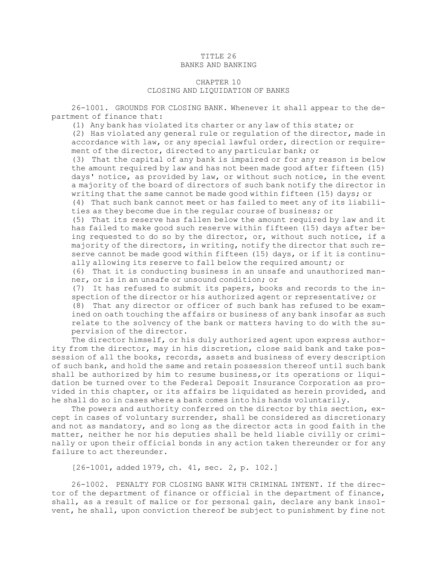#### TITLE 26 BANKS AND BANKING

#### CHAPTER 10 CLOSING AND LIQUIDATION OF BANKS

26-1001. GROUNDS FOR CLOSING BANK. Whenever it shall appear to the department of finance that:

(1) Any bank has violated its charter or any law of this state; or

(2) Has violated any general rule or regulation of the director, made in accordance with law, or any special lawful order, direction or requirement of the director, directed to any particular bank; or

(3) That the capital of any bank is impaired or for any reason is below the amount required by law and has not been made good after fifteen (15) days' notice, as provided by law, or without such notice, in the event <sup>a</sup> majority of the board of directors of such bank notify the director in writing that the same cannot be made good within fifteen (15) days; or

(4) That such bank cannot meet or has failed to meet any of its liabilities as they become due in the regular course of business; or

(5) That its reserve has fallen below the amount required by law and it has failed to make good such reserve within fifteen (15) days after being requested to do so by the director, or, without such notice, if <sup>a</sup> majority of the directors, in writing, notify the director that such reserve cannot be made good within fifteen (15) days, or if it is continually allowing its reserve to fall below the required amount; or

(6) That it is conducting business in an unsafe and unauthorized manner, or is in an unsafe or unsound condition; or

(7) It has refused to submit its papers, books and records to the inspection of the director or his authorized agent or representative; or

(8) That any director or officer of such bank has refused to be examined on oath touching the affairs or business of any bank insofar as such relate to the solvency of the bank or matters having to do with the supervision of the director.

The director himself, or his duly authorized agent upon express authority from the director, may in his discretion, close said bank and take possession of all the books, records, assets and business of every description of such bank, and hold the same and retain possession thereof until such bank shall be authorized by him to resume business,or its operations or liquidation be turned over to the Federal Deposit Insurance Corporation as provided in this chapter, or its affairs be liquidated as herein provided, and he shall do so in cases where <sup>a</sup> bank comes into his hands voluntarily.

The powers and authority conferred on the director by this section, except in cases of voluntary surrender, shall be considered as discretionary and not as mandatory, and so long as the director acts in good faith in the matter, neither he nor his deputies shall be held liable civilly or criminally or upon their official bonds in any action taken thereunder or for any failure to act thereunder.

[26-1001, added 1979, ch. 41, sec. 2, p. 102.]

26-1002. PENALTY FOR CLOSING BANK WITH CRIMINAL INTENT. If the director of the department of finance or official in the department of finance, shall, as <sup>a</sup> result of malice or for personal gain, declare any bank insolvent, he shall, upon conviction thereof be subject to punishment by fine not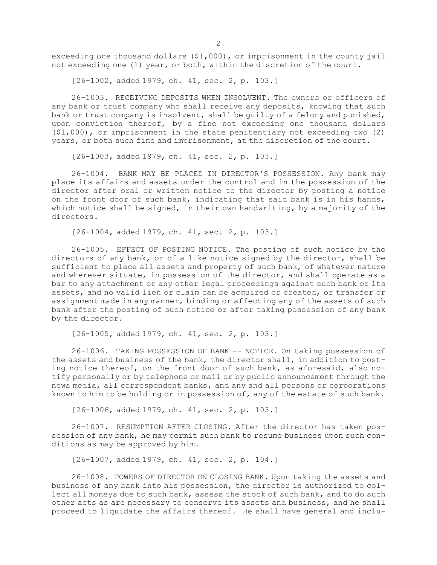exceeding one thousand dollars (\$1,000), or imprisonment in the county jail not exceeding one (1) year, or both, within the discretion of the court.

[26-1002, added 1979, ch. 41, sec. 2, p. 103.]

26-1003. RECEIVING DEPOSITS WHEN INSOLVENT. The owners or officers of any bank or trust company who shall receive any deposits, knowing that such bank or trust company is insolvent, shall be guilty of <sup>a</sup> felony and punished, upon conviction thereof, by <sup>a</sup> fine not exceeding one thousand dollars (\$1,000), or imprisonment in the state penitentiary not exceeding two (2) years, or both such fine and imprisonment, at the discretion of the court.

[26-1003, added 1979, ch. 41, sec. 2, p. 103.]

26-1004. BANK MAY BE PLACED IN DIRECTOR'S POSSESSION. Any bank may place its affairs and assets under the control and in the possession of the director after oral or written notice to the director by posting <sup>a</sup> notice on the front door of such bank, indicating that said bank is in his hands, which notice shall be signed, in their own handwriting, by a majority of the directors.

[26-1004, added 1979, ch. 41, sec. 2, p. 103.]

26-1005. EFFECT OF POSTING NOTICE. The posting of such notice by the directors of any bank, or of <sup>a</sup> like notice signed by the director, shall be sufficient to place all assets and property of such bank, of whatever nature and wherever situate, in possession of the director, and shall operate as <sup>a</sup> bar to any attachment or any other legal proceedings against such bank or its assets, and no valid lien or claim can be acquired or created, or transfer or assignment made in any manner, binding or affecting any of the assets of such bank after the posting of such notice or after taking possession of any bank by the director.

[26-1005, added 1979, ch. 41, sec. 2, p. 103.]

26-1006. TAKING POSSESSION OF BANK -- NOTICE. On taking possession of the assets and business of the bank, the director shall, in addition to posting notice thereof, on the front door of such bank, as aforesaid, also notify personally or by telephone or mail or by public announcement through the news media, all correspondent banks, and any and all persons or corporations known to him to be holding or in possession of, any of the estate of such bank.

[26-1006, added 1979, ch. 41, sec. 2, p. 103.]

26-1007. RESUMPTION AFTER CLOSING. After the director has taken possession of any bank, he may permit such bank to resume business upon such conditions as may be approved by him.

[26-1007, added 1979, ch. 41, sec. 2, p. 104.]

26-1008. POWERS OF DIRECTOR ON CLOSING BANK. Upon taking the assets and business of any bank into his possession, the director is authorized to collect all moneys due to such bank, assess the stock of such bank, and to do such other acts as are necessary to conserve its assets and business, and he shall proceed to liquidate the affairs thereof. He shall have general and inclu-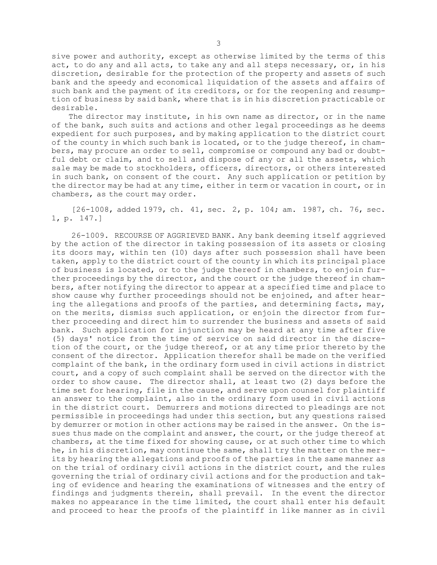sive power and authority, except as otherwise limited by the terms of this act, to do any and all acts, to take any and all steps necessary, or, in his discretion, desirable for the protection of the property and assets of such bank and the speedy and economical liquidation of the assets and affairs of such bank and the payment of its creditors, or for the reopening and resumption of business by said bank, where that is in his discretion practicable or desirable.

The director may institute, in his own name as director, or in the name of the bank, such suits and actions and other legal proceedings as he deems expedient for such purposes, and by making application to the district court of the county in which such bank is located, or to the judge thereof, in chambers, may procure an order to sell, compromise or compound any bad or doubtful debt or claim, and to sell and dispose of any or all the assets, which sale may be made to stockholders, officers, directors, or others interested in such bank, on consent of the court. Any such application or petition by the director may be had at any time, either in term or vacation in court, or in chambers, as the court may order.

[26-1008, added 1979, ch. 41, sec. 2, p. 104; am. 1987, ch. 76, sec. 1, p. 147.]

26-1009. RECOURSE OF AGGRIEVED BANK. Any bank deeming itself aggrieved by the action of the director in taking possession of its assets or closing its doors may, within ten (10) days after such possession shall have been taken, apply to the district court of the county in which its principal place of business is located, or to the judge thereof in chambers, to enjoin further proceedings by the director, and the court or the judge thereof in chambers, after notifying the director to appear at <sup>a</sup> specified time and place to show cause why further proceedings should not be enjoined, and after hearing the allegations and proofs of the parties, and determining facts, may, on the merits, dismiss such application, or enjoin the director from further proceeding and direct him to surrender the business and assets of said bank. Such application for injunction may be heard at any time after five (5) days' notice from the time of service on said director in the discretion of the court, or the judge thereof, or at any time prior thereto by the consent of the director. Application therefor shall be made on the verified complaint of the bank, in the ordinary form used in civil actions in district court, and <sup>a</sup> copy of such complaint shall be served on the director with the order to show cause. The director shall, at least two (2) days before the time set for hearing, file in the cause, and serve upon counsel for plaintiff an answer to the complaint, also in the ordinary form used in civil actions in the district court. Demurrers and motions directed to pleadings are not permissible in proceedings had under this section, but any questions raised by demurrer or motion in other actions may be raised in the answer. On the issues thus made on the complaint and answer, the court, or the judge thereof at chambers, at the time fixed for showing cause, or at such other time to which he, in his discretion, may continue the same, shall try the matter on the merits by hearing the allegations and proofs of the parties in the same manner as on the trial of ordinary civil actions in the district court, and the rules governing the trial of ordinary civil actions and for the production and taking of evidence and hearing the examinations of witnesses and the entry of findings and judgments therein, shall prevail. In the event the director makes no appearance in the time limited, the court shall enter his default and proceed to hear the proofs of the plaintiff in like manner as in civil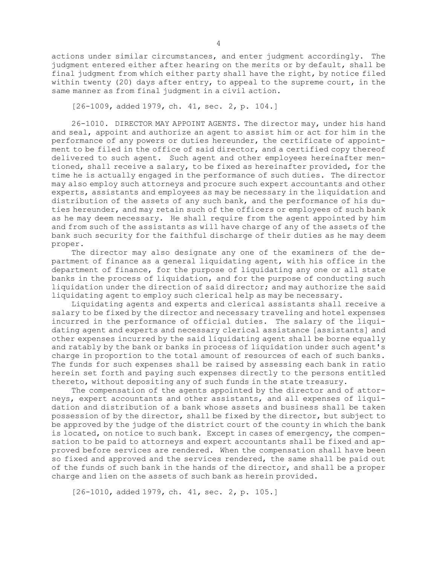actions under similar circumstances, and enter judgment accordingly. The judgment entered either after hearing on the merits or by default, shall be final judgment from which either party shall have the right, by notice filed within twenty (20) days after entry, to appeal to the supreme court, in the same manner as from final judgment in <sup>a</sup> civil action.

[26-1009, added 1979, ch. 41, sec. 2, p. 104.]

26-1010. DIRECTOR MAY APPOINT AGENTS. The director may, under his hand and seal, appoint and authorize an agent to assist him or act for him in the performance of any powers or duties hereunder, the certificate of appointment to be filed in the office of said director, and <sup>a</sup> certified copy thereof delivered to such agent. Such agent and other employees hereinafter mentioned, shall receive <sup>a</sup> salary, to be fixed as hereinafter provided, for the time he is actually engaged in the performance of such duties. The director may also employ such attorneys and procure such expert accountants and other experts, assistants and employees as may be necessary in the liquidation and distribution of the assets of any such bank, and the performance of his duties hereunder, and may retain such of the officers or employees of such bank as he may deem necessary. He shall require from the agent appointed by him and from such of the assistants as will have charge of any of the assets of the bank such security for the faithful discharge of their duties as he may deem proper.

The director may also designate any one of the examiners of the department of finance as <sup>a</sup> general liquidating agent, with his office in the department of finance, for the purpose of liquidating any one or all state banks in the process of liquidation, and for the purpose of conducting such liquidation under the direction of said director; and may authorize the said liquidating agent to employ such clerical help as may be necessary.

Liquidating agents and experts and clerical assistants shall receive <sup>a</sup> salary to be fixed by the director and necessary traveling and hotel expenses incurred in the performance of official duties. The salary of the liquidating agent and experts and necessary clerical assistance [assistants] and other expenses incurred by the said liquidating agent shall be borne equally and ratably by the bank or banks in process of liquidation under such agent's charge in proportion to the total amount of resources of each of such banks. The funds for such expenses shall be raised by assessing each bank in ratio herein set forth and paying such expenses directly to the persons entitled thereto, without depositing any of such funds in the state treasury.

The compensation of the agents appointed by the director and of attorneys, expert accountants and other assistants, and all expenses of liquidation and distribution of <sup>a</sup> bank whose assets and business shall be taken possession of by the director, shall be fixed by the director, but subject to be approved by the judge of the district court of the county in which the bank is located, on notice to such bank. Except in cases of emergency, the compensation to be paid to attorneys and expert accountants shall be fixed and approved before services are rendered. When the compensation shall have been so fixed and approved and the services rendered, the same shall be paid out of the funds of such bank in the hands of the director, and shall be <sup>a</sup> proper charge and lien on the assets of such bank as herein provided.

[26-1010, added 1979, ch. 41, sec. 2, p. 105.]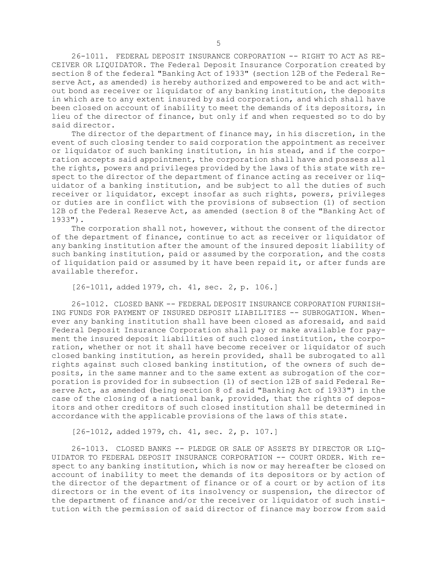26-1011. FEDERAL DEPOSIT INSURANCE CORPORATION -- RIGHT TO ACT AS RE-CEIVER OR LIQUIDATOR. The Federal Deposit Insurance Corporation created by section 8 of the federal "Banking Act of 1933" (section 12B of the Federal Reserve Act, as amended) is hereby authorized and empowered to be and act without bond as receiver or liquidator of any banking institution, the deposits in which are to any extent insured by said corporation, and which shall have been closed on account of inability to meet the demands of its depositors, in lieu of the director of finance, but only if and when requested so to do by said director.

The director of the department of finance may, in his discretion, in the event of such closing tender to said corporation the appointment as receiver or liquidator of such banking institution, in his stead, and if the corporation accepts said appointment, the corporation shall have and possess all the rights, powers and privileges provided by the laws of this state with respect to the director of the department of finance acting as receiver or liquidator of <sup>a</sup> banking institution, and be subject to all the duties of such receiver or liquidator, except insofar as such rights, powers, privileges or duties are in conflict with the provisions of subsection (1) of section 12B of the Federal Reserve Act, as amended (section 8 of the "Banking Act of 1933").

The corporation shall not, however, without the consent of the director of the department of finance, continue to act as receiver or liquidator of any banking institution after the amount of the insured deposit liability of such banking institution, paid or assumed by the corporation, and the costs of liquidation paid or assumed by it have been repaid it, or after funds are available therefor.

[26-1011, added 1979, ch. 41, sec. 2, p. 106.]

26-1012. CLOSED BANK -- FEDERAL DEPOSIT INSURANCE CORPORATION FURNISH-ING FUNDS FOR PAYMENT OF INSURED DEPOSIT LIABILITIES -- SUBROGATION. Whenever any banking institution shall have been closed as aforesaid, and said Federal Deposit Insurance Corporation shall pay or make available for payment the insured deposit liabilities of such closed institution, the corporation, whether or not it shall have become receiver or liquidator of such closed banking institution, as herein provided, shall be subrogated to all rights against such closed banking institution, of the owners of such deposits, in the same manner and to the same extent as subrogation of the corporation is provided for in subsection (1) of section 12B of said Federal Reserve Act, as amended (being section 8 of said "Banking Act of 1933") in the case of the closing of <sup>a</sup> national bank, provided, that the rights of depositors and other creditors of such closed institution shall be determined in accordance with the applicable provisions of the laws of this state.

[26-1012, added 1979, ch. 41, sec. 2, p. 107.]

26-1013. CLOSED BANKS -- PLEDGE OR SALE OF ASSETS BY DIRECTOR OR LIQ-UIDATOR TO FEDERAL DEPOSIT INSURANCE CORPORATION -- COURT ORDER. With respect to any banking institution, which is now or may hereafter be closed on account of inability to meet the demands of its depositors or by action of the director of the department of finance or of <sup>a</sup> court or by action of its directors or in the event of its insolvency or suspension, the director of the department of finance and/or the receiver or liquidator of such institution with the permission of said director of finance may borrow from said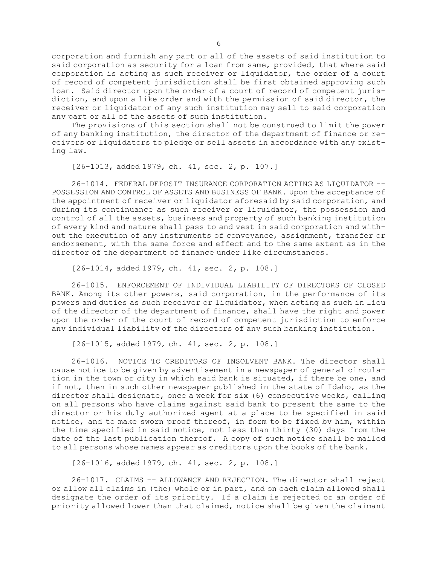corporation and furnish any part or all of the assets of said institution to said corporation as security for <sup>a</sup> loan from same, provided, that where said corporation is acting as such receiver or liquidator, the order of <sup>a</sup> court of record of competent jurisdiction shall be first obtained approving such loan. Said director upon the order of <sup>a</sup> court of record of competent jurisdiction, and upon <sup>a</sup> like order and with the permission of said director, the receiver or liquidator of any such institution may sell to said corporation any part or all of the assets of such institution.

The provisions of this section shall not be construed to limit the power of any banking institution, the director of the department of finance or receivers or liquidators to pledge or sell assets in accordance with any existing law.

[26-1013, added 1979, ch. 41, sec. 2, p. 107.]

26-1014. FEDERAL DEPOSIT INSURANCE CORPORATION ACTING AS LIQUIDATOR -- POSSESSION AND CONTROL OF ASSETS AND BUSINESS OF BANK. Upon the acceptance of the appointment of receiver or liquidator aforesaid by said corporation, and during its continuance as such receiver or liquidator, the possession and control of all the assets, business and property of such banking institution of every kind and nature shall pass to and vest in said corporation and without the execution of any instruments of conveyance, assignment, transfer or endorsement, with the same force and effect and to the same extent as in the director of the department of finance under like circumstances.

[26-1014, added 1979, ch. 41, sec. 2, p. 108.]

26-1015. ENFORCEMENT OF INDIVIDUAL LIABILITY OF DIRECTORS OF CLOSED BANK. Among its other powers, said corporation, in the performance of its powers and duties as such receiver or liquidator, when acting as such in lieu of the director of the department of finance, shall have the right and power upon the order of the court of record of competent jurisdiction to enforce any individual liability of the directors of any such banking institution.

[26-1015, added 1979, ch. 41, sec. 2, p. 108.]

26-1016. NOTICE TO CREDITORS OF INSOLVENT BANK. The director shall cause notice to be given by advertisement in <sup>a</sup> newspaper of general circulation in the town or city in which said bank is situated, if there be one, and if not, then in such other newspaper published in the state of Idaho, as the director shall designate, once <sup>a</sup> week for six (6) consecutive weeks, calling on all persons who have claims against said bank to present the same to the director or his duly authorized agent at <sup>a</sup> place to be specified in said notice, and to make sworn proof thereof, in form to be fixed by him, within the time specified in said notice, not less than thirty (30) days from the date of the last publication thereof. <sup>A</sup> copy of such notice shall be mailed to all persons whose names appear as creditors upon the books of the bank.

[26-1016, added 1979, ch. 41, sec. 2, p. 108.]

26-1017. CLAIMS -- ALLOWANCE AND REJECTION. The director shall reject or allow all claims in (the) whole or in part, and on each claim allowed shall designate the order of its priority. If <sup>a</sup> claim is rejected or an order of priority allowed lower than that claimed, notice shall be given the claimant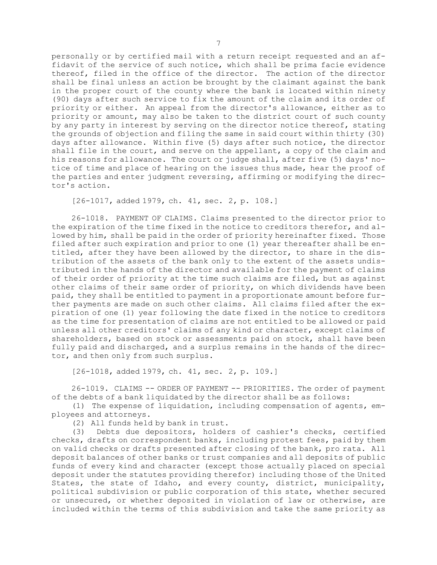personally or by certified mail with <sup>a</sup> return receipt requested and an affidavit of the service of such notice, which shall be prima facie evidence thereof, filed in the office of the director. The action of the director shall be final unless an action be brought by the claimant against the bank in the proper court of the county where the bank is located within ninety (90) days after such service to fix the amount of the claim and its order of priority or either. An appeal from the director's allowance, either as to priority or amount, may also be taken to the district court of such county by any party in interest by serving on the director notice thereof, stating the grounds of objection and filing the same in said court within thirty (30) days after allowance. Within five (5) days after such notice, the director shall file in the court, and serve on the appellant, <sup>a</sup> copy of the claim and his reasons for allowance. The court or judge shall, after five (5) days' notice of time and place of hearing on the issues thus made, hear the proof of the parties and enter judgment reversing, affirming or modifying the director's action.

[26-1017, added 1979, ch. 41, sec. 2, p. 108.]

26-1018. PAYMENT OF CLAIMS. Claims presented to the director prior to the expiration of the time fixed in the notice to creditors therefor, and allowed by him, shall be paid in the order of priority hereinafter fixed. Those filed after such expiration and prior to one (1) year thereafter shall be entitled, after they have been allowed by the director, to share in the distribution of the assets of the bank only to the extent of the assets undistributed in the hands of the director and available for the payment of claims of their order of priority at the time such claims are filed, but as against other claims of their same order of priority, on which dividends have been paid, they shall be entitled to payment in <sup>a</sup> proportionate amount before further payments are made on such other claims. All claims filed after the expiration of one (1) year following the date fixed in the notice to creditors as the time for presentation of claims are not entitled to be allowed or paid unless all other creditors' claims of any kind or character, except claims of shareholders, based on stock or assessments paid on stock, shall have been fully paid and discharged, and <sup>a</sup> surplus remains in the hands of the director, and then only from such surplus.

[26-1018, added 1979, ch. 41, sec. 2, p. 109.]

26-1019. CLAIMS -- ORDER OF PAYMENT -- PRIORITIES. The order of payment of the debts of <sup>a</sup> bank liquidated by the director shall be as follows:

(1) The expense of liquidation, including compensation of agents, employees and attorneys.

(2) All funds held by bank in trust.

(3) Debts due depositors, holders of cashier's checks, certified checks, drafts on correspondent banks, including protest fees, paid by them on valid checks or drafts presented after closing of the bank, pro rata. All deposit balances of other banks or trust companies and all deposits of public funds of every kind and character (except those actually placed on special deposit under the statutes providing therefor) including those of the United States, the state of Idaho, and every county, district, municipality, political subdivision or public corporation of this state, whether secured or unsecured, or whether deposited in violation of law or otherwise, are included within the terms of this subdivision and take the same priority as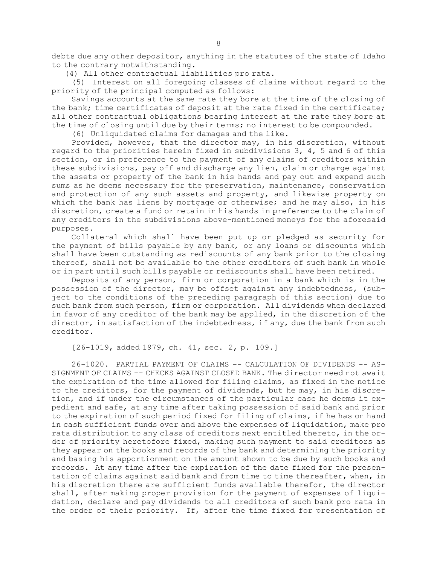debts due any other depositor, anything in the statutes of the state of Idaho to the contrary notwithstanding.

(4) All other contractual liabilities pro rata.

(5) Interest on all foregoing classes of claims without regard to the priority of the principal computed as follows:

Savings accounts at the same rate they bore at the time of the closing of the bank; time certificates of deposit at the rate fixed in the certificate; all other contractual obligations bearing interest at the rate they bore at the time of closing until due by their terms; no interest to be compounded.

(6) Unliquidated claims for damages and the like.

Provided, however, that the director may, in his discretion, without regard to the priorities herein fixed in subdivisions 3, 4, 5 and 6 of this section, or in preference to the payment of any claims of creditors within these subdivisions, pay off and discharge any lien, claim or charge against the assets or property of the bank in his hands and pay out and expend such sums as he deems necessary for the preservation, maintenance, conservation and protection of any such assets and property, and likewise property on which the bank has liens by mortgage or otherwise; and he may also, in his discretion, create <sup>a</sup> fund or retain in his hands in preference to the claim of any creditors in the subdivisions above-mentioned moneys for the aforesaid purposes.

Collateral which shall have been put up or pledged as security for the payment of bills payable by any bank, or any loans or discounts which shall have been outstanding as rediscounts of any bank prior to the closing thereof, shall not be available to the other creditors of such bank in whole or in part until such bills payable or rediscounts shall have been retired.

Deposits of any person, firm or corporation in <sup>a</sup> bank which is in the possession of the director, may be offset against any indebtedness, (subject to the conditions of the preceding paragraph of this section) due to such bank from such person, firm or corporation. All dividends when declared in favor of any creditor of the bank may be applied, in the discretion of the director, in satisfaction of the indebtedness, if any, due the bank from such creditor.

[26-1019, added 1979, ch. 41, sec. 2, p. 109.]

26-1020. PARTIAL PAYMENT OF CLAIMS -- CALCULATION OF DIVIDENDS -- AS-SIGNMENT OF CLAIMS -- CHECKS AGAINST CLOSED BANK. The director need not await the expiration of the time allowed for filing claims, as fixed in the notice to the creditors, for the payment of dividends, but he may, in his discretion, and if under the circumstances of the particular case he deems it expedient and safe, at any time after taking possession of said bank and prior to the expiration of such period fixed for filing of claims, if he has on hand in cash sufficient funds over and above the expenses of liquidation, make pro rata distribution to any class of creditors next entitled thereto, in the order of priority heretofore fixed, making such payment to said creditors as they appear on the books and records of the bank and determining the priority and basing his apportionment on the amount shown to be due by such books and records. At any time after the expiration of the date fixed for the presentation of claims against said bank and from time to time thereafter, when, in his discretion there are sufficient funds available therefor, the director shall, after making proper provision for the payment of expenses of liquidation, declare and pay dividends to all creditors of such bank pro rata in the order of their priority. If, after the time fixed for presentation of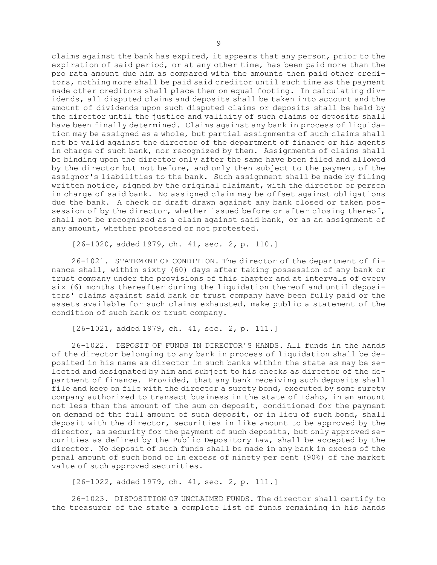claims against the bank has expired, it appears that any person, prior to the expiration of said period, or at any other time, has been paid more than the pro rata amount due him as compared with the amounts then paid other creditors, nothing more shall be paid said creditor until such time as the payment made other creditors shall place them on equal footing. In calculating dividends, all disputed claims and deposits shall be taken into account and the amount of dividends upon such disputed claims or deposits shall be held by the director until the justice and validity of such claims or deposits shall have been finally determined. Claims against any bank in process of liquidation may be assigned as <sup>a</sup> whole, but partial assignments of such claims shall not be valid against the director of the department of finance or his agents in charge of such bank, nor recognized by them. Assignments of claims shall be binding upon the director only after the same have been filed and allowed by the director but not before, and only then subject to the payment of the assignor's liabilities to the bank. Such assignment shall be made by filing written notice, signed by the original claimant, with the director or person in charge of said bank. No assigned claim may be offset against obligations due the bank. <sup>A</sup> check or draft drawn against any bank closed or taken possession of by the director, whether issued before or after closing thereof, shall not be recognized as <sup>a</sup> claim against said bank, or as an assignment of any amount, whether protested or not protested.

[26-1020, added 1979, ch. 41, sec. 2, p. 110.]

26-1021. STATEMENT OF CONDITION. The director of the department of finance shall, within sixty (60) days after taking possession of any bank or trust company under the provisions of this chapter and at intervals of every six (6) months thereafter during the liquidation thereof and until depositors' claims against said bank or trust company have been fully paid or the assets available for such claims exhausted, make public <sup>a</sup> statement of the condition of such bank or trust company.

[26-1021, added 1979, ch. 41, sec. 2, p. 111.]

26-1022. DEPOSIT OF FUNDS IN DIRECTOR'S HANDS. All funds in the hands of the director belonging to any bank in process of liquidation shall be deposited in his name as director in such banks within the state as may be selected and designated by him and subject to his checks as director of the department of finance. Provided, that any bank receiving such deposits shall file and keep on file with the director <sup>a</sup> surety bond, executed by some surety company authorized to transact business in the state of Idaho, in an amount not less than the amount of the sum on deposit, conditioned for the payment on demand of the full amount of such deposit, or in lieu of such bond, shall deposit with the director, securities in like amount to be approved by the director, as security for the payment of such deposits, but only approved securities as defined by the Public Depository Law, shall be accepted by the director. No deposit of such funds shall be made in any bank in excess of the penal amount of such bond or in excess of ninety per cent (90%) of the market value of such approved securities.

[26-1022, added 1979, ch. 41, sec. 2, p. 111.]

26-1023. DISPOSITION OF UNCLAIMED FUNDS. The director shall certify to the treasurer of the state <sup>a</sup> complete list of funds remaining in his hands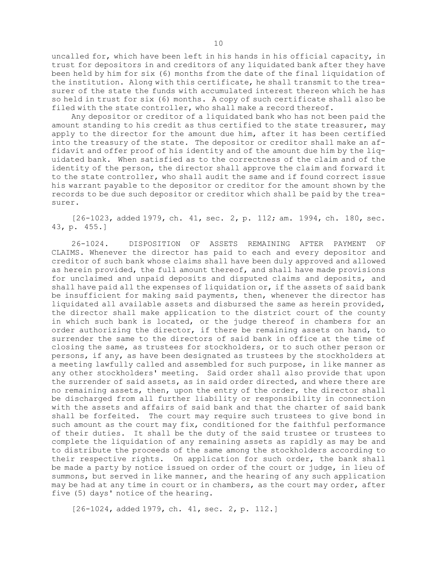uncalled for, which have been left in his hands in his official capacity, in trust for depositors in and creditors of any liquidated bank after they have been held by him for six (6) months from the date of the final liquidation of the institution. Along with this certificate, he shall transmit to the treasurer of the state the funds with accumulated interest thereon which he has so held in trust for six (6) months. <sup>A</sup> copy of such certificate shall also be filed with the state controller, who shall make <sup>a</sup> record thereof.

Any depositor or creditor of <sup>a</sup> liquidated bank who has not been paid the amount standing to his credit as thus certified to the state treasurer, may apply to the director for the amount due him, after it has been certified into the treasury of the state. The depositor or creditor shall make an affidavit and offer proof of his identity and of the amount due him by the liquidated bank. When satisfied as to the correctness of the claim and of the identity of the person, the director shall approve the claim and forward it to the state controller, who shall audit the same and if found correct issue his warrant payable to the depositor or creditor for the amount shown by the records to be due such depositor or creditor which shall be paid by the treasurer.

[26-1023, added 1979, ch. 41, sec. 2, p. 112; am. 1994, ch. 180, sec. 43, p. 455.]

26-1024. DISPOSITION OF ASSETS REMAINING AFTER PAYMENT OF CLAIMS. Whenever the director has paid to each and every depositor and creditor of such bank whose claims shall have been duly approved and allowed as herein provided, the full amount thereof, and shall have made provisions for unclaimed and unpaid deposits and disputed claims and deposits, and shall have paid all the expenses of liquidation or, if the assets of said bank be insufficient for making said payments, then, whenever the director has liquidated all available assets and disbursed the same as herein provided, the director shall make application to the district court of the county in which such bank is located, or the judge thereof in chambers for an order authorizing the director, if there be remaining assets on hand, to surrender the same to the directors of said bank in office at the time of closing the same, as trustees for stockholders, or to such other person or persons, if any, as have been designated as trustees by the stockholders at <sup>a</sup> meeting lawfully called and assembled for such purpose, in like manner as any other stockholders' meeting. Said order shall also provide that upon the surrender of said assets, as in said order directed, and where there are no remaining assets, then, upon the entry of the order, the director shall be discharged from all further liability or responsibility in connection with the assets and affairs of said bank and that the charter of said bank shall be forfeited. The court may require such trustees to give bond in such amount as the court may fix, conditioned for the faithful performance of their duties. It shall be the duty of the said trustee or trustees to complete the liquidation of any remaining assets as rapidly as may be and to distribute the proceeds of the same among the stockholders according to their respective rights. On application for such order, the bank shall be made <sup>a</sup> party by notice issued on order of the court or judge, in lieu of summons, but served in like manner, and the hearing of any such application may be had at any time in court or in chambers, as the court may order, after five (5) days' notice of the hearing.

[26-1024, added 1979, ch. 41, sec. 2, p. 112.]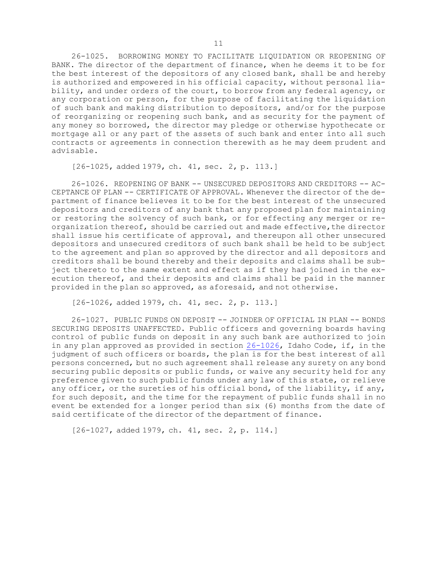26-1025. BORROWING MONEY TO FACILITATE LIQUIDATION OR REOPENING OF BANK. The director of the department of finance, when he deems it to be for the best interest of the depositors of any closed bank, shall be and hereby is authorized and empowered in his official capacity, without personal liability, and under orders of the court, to borrow from any federal agency, or any corporation or person, for the purpose of facilitating the liquidation of such bank and making distribution to depositors, and/or for the purpose of reorganizing or reopening such bank, and as security for the payment of any money so borrowed, the director may pledge or otherwise hypothecate or mortgage all or any part of the assets of such bank and enter into all such contracts or agreements in connection therewith as he may deem prudent and advisable.

[26-1025, added 1979, ch. 41, sec. 2, p. 113.]

26-1026. REOPENING OF BANK -- UNSECURED DEPOSITORS AND CREDITORS -- AC-CEPTANCE OF PLAN -- CERTIFICATE OF APPROVAL. Whenever the director of the department of finance believes it to be for the best interest of the unsecured depositors and creditors of any bank that any proposed plan for maintaining or restoring the solvency of such bank, or for effecting any merger or reorganization thereof, should be carried out and made effective, the director shall issue his certificate of approval, and thereupon all other unsecured depositors and unsecured creditors of such bank shall be held to be subject to the agreement and plan so approved by the director and all depositors and creditors shall be bound thereby and their deposits and claims shall be subject thereto to the same extent and effect as if they had joined in the execution thereof, and their deposits and claims shall be paid in the manner provided in the plan so approved, as aforesaid, and not otherwise.

[26-1026, added 1979, ch. 41, sec. 2, p. 113.]

26-1027. PUBLIC FUNDS ON DEPOSIT -- JOINDER OF OFFICIAL IN PLAN -- BONDS SECURING DEPOSITS UNAFFECTED. Public officers and governing boards having control of public funds on deposit in any such bank are authorized to join in any plan approved as provided in section [26-1026](https://legislature.idaho.gov/statutesrules/idstat/Title26/T26CH10/SECT26-1026), Idaho Code, if, in the judgment of such officers or boards, the plan is for the best interest of all persons concerned, but no such agreement shall release any surety on any bond securing public deposits or public funds, or waive any security held for any preference given to such public funds under any law of this state, or relieve any officer, or the sureties of his official bond, of the liability, if any, for such deposit, and the time for the repayment of public funds shall in no event be extended for <sup>a</sup> longer period than six (6) months from the date of said certificate of the director of the department of finance.

[26-1027, added 1979, ch. 41, sec. 2, p. 114.]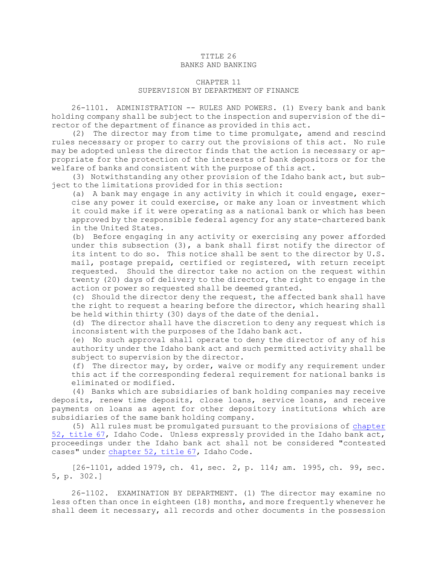#### TITLE 26 BANKS AND BANKING

### CHAPTER 11 SUPERVISION BY DEPARTMENT OF FINANCE

26-1101. ADMINISTRATION -- RULES AND POWERS. (1) Every bank and bank holding company shall be subject to the inspection and supervision of the director of the department of finance as provided in this act.

(2) The director may from time to time promulgate, amend and rescind rules necessary or proper to carry out the provisions of this act. No rule may be adopted unless the director finds that the action is necessary or appropriate for the protection of the interests of bank depositors or for the welfare of banks and consistent with the purpose of this act.

(3) Notwithstanding any other provision of the Idaho bank act, but subject to the limitations provided for in this section:

(a) <sup>A</sup> bank may engage in any activity in which it could engage, exercise any power it could exercise, or make any loan or investment which it could make if it were operating as <sup>a</sup> national bank or which has been approved by the responsible federal agency for any state-chartered bank in the United States.

(b) Before engaging in any activity or exercising any power afforded under this subsection  $(3)$ , a bank shall first notify the director of its intent to do so. This notice shall be sent to the director by U.S. mail, postage prepaid, certified or registered, with return receipt requested. Should the director take no action on the request within twenty (20) days of delivery to the director, the right to engage in the action or power so requested shall be deemed granted.

(c) Should the director deny the request, the affected bank shall have the right to request <sup>a</sup> hearing before the director, which hearing shall be held within thirty (30) days of the date of the denial.

(d) The director shall have the discretion to deny any request which is inconsistent with the purposes of the Idaho bank act.

(e) No such approval shall operate to deny the director of any of his authority under the Idaho bank act and such permitted activity shall be subject to supervision by the director.

(f) The director may, by order, waive or modify any requirement under this act if the corresponding federal requirement for national banks is eliminated or modified.

(4) Banks which are subsidiaries of bank holding companies may receive deposits, renew time deposits, close loans, service loans, and receive payments on loans as agent for other depository institutions which are subsidiaries of the same bank holding company.

(5) All rules must be promulgated pursuant to the provisions of [chapter](https://legislature.idaho.gov/statutesrules/idstat/Title67/T67CH52) 52, [title](https://legislature.idaho.gov/statutesrules/idstat/Title67/T67CH52) 67, Idaho Code. Unless expressly provided in the Idaho bank act, proceedings under the Idaho bank act shall not be considered "contested cases" under [chapter](https://legislature.idaho.gov/statutesrules/idstat/Title67/T67CH52) 52, title 67, Idaho Code.

[26-1101, added 1979, ch. 41, sec. 2, p. 114; am. 1995, ch. 99, sec. 5, p. 302.]

26-1102. EXAMINATION BY DEPARTMENT. (1) The director may examine no less often than once in eighteen (18) months, and more frequently whenever he shall deem it necessary, all records and other documents in the possession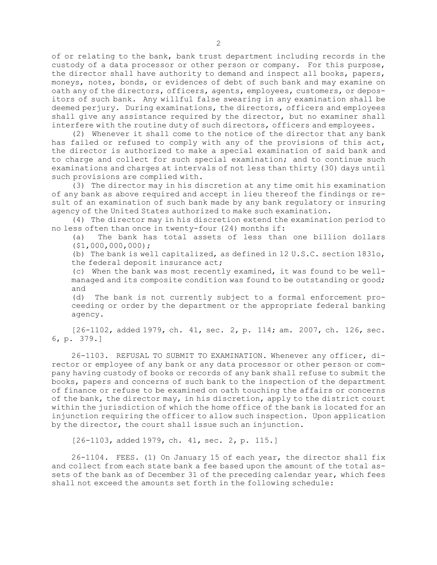of or relating to the bank, bank trust department including records in the custody of <sup>a</sup> data processor or other person or company. For this purpose, the director shall have authority to demand and inspect all books, papers, moneys, notes, bonds, or evidences of debt of such bank and may examine on oath any of the directors, officers, agents, employees, customers, or depositors of such bank. Any willful false swearing in any examination shall be deemed perjury. During examinations, the directors, officers and employees shall give any assistance required by the director, but no examiner shall interfere with the routine duty of such directors, officers and employees.

(2) Whenever it shall come to the notice of the director that any bank has failed or refused to comply with any of the provisions of this act, the director is authorized to make <sup>a</sup> special examination of said bank and to charge and collect for such special examination; and to continue such examinations and charges at intervals of not less than thirty (30) days until such provisions are complied with.

(3) The director may in his discretion at any time omit his examination of any bank as above required and accept in lieu thereof the findings or result of an examination of such bank made by any bank regulatory or insuring agency of the United States authorized to make such examination.

(4) The director may in his discretion extend the examination period to no less often than once in twenty-four (24) months if:

(a) The bank has total assets of less than one billion dollars (\$1,000,000,000);

(b) The bank is well capitalized, as defined in 12 U.S.C. section 1831o, the federal deposit insurance act;

(c) When the bank was most recently examined, it was found to be wellmanaged and its composite condition was found to be outstanding or good; and

(d) The bank is not currently subject to <sup>a</sup> formal enforcement proceeding or order by the department or the appropriate federal banking agency.

[26-1102, added 1979, ch. 41, sec. 2, p. 114; am. 2007, ch. 126, sec. 6, p. 379.]

26-1103. REFUSAL TO SUBMIT TO EXAMINATION. Whenever any officer, director or employee of any bank or any data processor or other person or company having custody of books or records of any bank shall refuse to submit the books, papers and concerns of such bank to the inspection of the department of finance or refuse to be examined on oath touching the affairs or concerns of the bank, the director may, in his discretion, apply to the district court within the jurisdiction of which the home office of the bank is located for an injunction requiring the officer to allow such inspection. Upon application by the director, the court shall issue such an injunction.

[26-1103, added 1979, ch. 41, sec. 2, p. 115.]

26-1104. FEES. (1) On January 15 of each year, the director shall fix and collect from each state bank <sup>a</sup> fee based upon the amount of the total assets of the bank as of December 31 of the preceding calendar year, which fees shall not exceed the amounts set forth in the following schedule: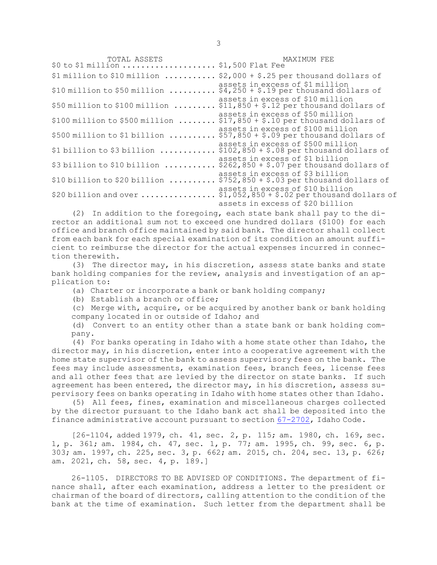TOTAL ASSETS MAXIMUM FEE \$0 to \$1 million .................... \$1,500 Flat Fee \$1 million to \$10 million  $\ldots \ldots \ldots$  \$2,000 + \$.25 per thousand dollars of assets in excess of \$1 million \$10 million to \$50 million .......... \$4,250 <sup>+</sup> \$.19 per thousand dollars of assets in excess of \$10 million \$50 million to \$100 million  $\ldots \ldots$ ,  $\frac{2}{311}$ ,  $\frac{2}{950}$  +  $\frac{2}{7}$  per thousand dollars of assets in excess of \$50 million \$100 million to \$500 million ........ \$17,850 <sup>+</sup> \$.10 per thousand dollars of assets in excess of \$100 million \$500 million to \$1 billion .......... \$57,850 <sup>+</sup> \$.09 per thousand dollars of assets in excess of \$500 million  $$1~\rm{billion}$  to  $$3~\rm{billion}$  .............  $$102,850 + $.08$  per thousand dollars of assets in excess of \$1 billion  $$3$  billion to  $$10$  billion  $\dots\dots\dots$ ....  $$262,850 + $.07$  per thousand dollars of assets in excess of \$3 billion \$10 billion to \$20 billion .......... \$752,850 <sup>+</sup> \$.03 per thousand dollars of assets in excess of \$10 billion \$20 billion and over  $\ldots\ldots\ldots\ldots\ldots\ldots\,$  \$1,052,850 + \$.02 per thousand dollars of assets in excess of \$20 billion

(2) In addition to the foregoing, each state bank shall pay to the director an additional sum not to exceed one hundred dollars (\$100) for each office and branch office maintained by said bank. The director shall collect from each bank for each special examination of its condition an amount sufficient to reimburse the director for the actual expenses incurred in connection therewith.

(3) The director may, in his discretion, assess state banks and state bank holding companies for the review, analysis and investigation of an application to:

(a) Charter or incorporate <sup>a</sup> bank or bank holding company;

(b) Establish <sup>a</sup> branch or office;

(c) Merge with, acquire, or be acquired by another bank or bank holding company located in or outside of Idaho; and

(d) Convert to an entity other than <sup>a</sup> state bank or bank holding company.

(4) For banks operating in Idaho with <sup>a</sup> home state other than Idaho, the director may, in his discretion, enter into <sup>a</sup> cooperative agreement with the home state supervisor of the bank to assess supervisory fees on the bank. The fees may include assessments, examination fees, branch fees, license fees and all other fees that are levied by the director on state banks. If such agreement has been entered, the director may, in his discretion, assess supervisory fees on banks operating in Idaho with home states other than Idaho.

(5) All fees, fines, examination and miscellaneous charges collected by the director pursuant to the Idaho bank act shall be deposited into the finance administrative account pursuant to section [67-2702](/statutesrules/idstat/Title67/T67CH27/SECT67-2702), Idaho Code.

[26-1104, added 1979, ch. 41, sec. 2, p. 115; am. 1980, ch. 169, sec. 1, p. 361; am. 1984, ch. 47, sec. 1, p. 77; am. 1995, ch. 99, sec. 6, p. 303; am. 1997, ch. 225, sec. 3, p. 662; am. 2015, ch. 204, sec. 13, p. 626; am. 2021, ch. 58, sec. 4, p. 189.]

26-1105. DIRECTORS TO BE ADVISED OF CONDITIONS. The department of finance shall, after each examination, address <sup>a</sup> letter to the president or chairman of the board of directors, calling attention to the condition of the bank at the time of examination. Such letter from the department shall be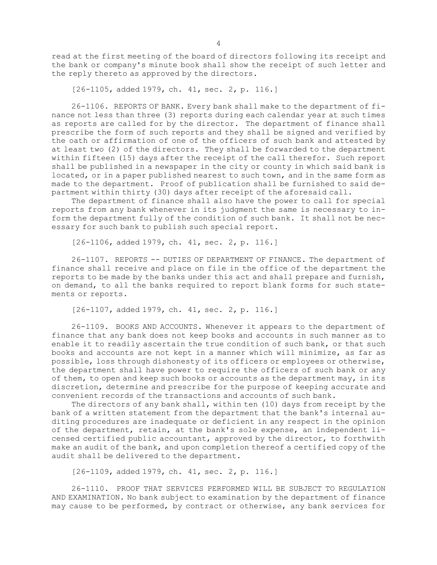read at the first meeting of the board of directors following its receipt and the bank or company's minute book shall show the receipt of such letter and the reply thereto as approved by the directors.

[26-1105, added 1979, ch. 41, sec. 2, p. 116.]

26-1106. REPORTS OF BANK. Every bank shall make to the department of finance not less than three (3) reports during each calendar year at such times as reports are called for by the director. The department of finance shall prescribe the form of such reports and they shall be signed and verified by the oath or affirmation of one of the officers of such bank and attested by at least two (2) of the directors. They shall be forwarded to the department within fifteen (15) days after the receipt of the call therefor. Such report shall be published in <sup>a</sup> newspaper in the city or county in which said bank is located, or in <sup>a</sup> paper published nearest to such town, and in the same form as made to the department. Proof of publication shall be furnished to said department within thirty (30) days after receipt of the aforesaid call.

The department of finance shall also have the power to call for special reports from any bank whenever in its judgment the same is necessary to inform the department fully of the condition of such bank. It shall not be necessary for such bank to publish such special report.

[26-1106, added 1979, ch. 41, sec. 2, p. 116.]

26-1107. REPORTS -- DUTIES OF DEPARTMENT OF FINANCE. The department of finance shall receive and place on file in the office of the department the reports to be made by the banks under this act and shall prepare and furnish, on demand, to all the banks required to report blank forms for such statements or reports.

[26-1107, added 1979, ch. 41, sec. 2, p. 116.]

26-1109. BOOKS AND ACCOUNTS. Whenever it appears to the department of finance that any bank does not keep books and accounts in such manner as to enable it to readily ascertain the true condition of such bank, or that such books and accounts are not kept in <sup>a</sup> manner which will minimize, as far as possible, loss through dishonesty of its officers or employees or otherwise, the department shall have power to require the officers of such bank or any of them, to open and keep such books or accounts as the department may, in its discretion, determine and prescribe for the purpose of keeping accurate and convenient records of the transactions and accounts of such bank.

The directors of any bank shall, within ten (10) days from receipt by the bank of <sup>a</sup> written statement from the department that the bank's internal auditing procedures are inadequate or deficient in any respect in the opinion of the department, retain, at the bank's sole expense, an independent licensed certified public accountant, approved by the director, to forthwith make an audit of the bank, and upon completion thereof <sup>a</sup> certified copy of the audit shall be delivered to the department.

[26-1109, added 1979, ch. 41, sec. 2, p. 116.]

26-1110. PROOF THAT SERVICES PERFORMED WILL BE SUBJECT TO REGULATION AND EXAMINATION. No bank subject to examination by the department of finance may cause to be performed, by contract or otherwise, any bank services for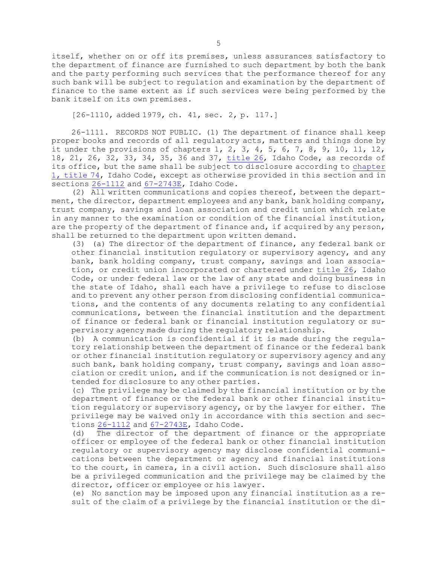itself, whether on or off its premises, unless assurances satisfactory to the department of finance are furnished to such department by both the bank and the party performing such services that the performance thereof for any such bank will be subject to regulation and examination by the department of finance to the same extent as if such services were being performed by the bank itself on its own premises.

[26-1110, added 1979, ch. 41, sec. 2, p. 117.]

26-1111. RECORDS NOT PUBLIC. (1) The department of finance shall keep proper books and records of all regulatory acts, matters and things done by it under the provisions of chapters 1, 2, 3, 4, 5, 6, 7, 8, 9, 10, 11, 12, 18, 21, 26, 32, 33, 34, 35, 36 and 37, [title](https://legislature.idaho.gov/statutesrules/idstat/Title26/T26) 26, Idaho Code, as records of its office, but the same shall be subject to disclosure according to [chapter](https://legislature.idaho.gov/statutesrules/idstat/Title74/T74CH1) 1, [title](https://legislature.idaho.gov/statutesrules/idstat/Title74/T74CH1) 74, Idaho Code, except as otherwise provided in this section and in sections [26-1112](https://legislature.idaho.gov/statutesrules/idstat/Title26/T26CH11/SECT26-1112) and [67-2743E](https://legislature.idaho.gov/statutesrules/idstat/Title67/T67CH27/SECT67-2743E), Idaho Code.

(2) All written communications and copies thereof, between the department, the director, department employees and any bank, bank holding company, trust company, savings and loan association and credit union which relate in any manner to the examination or condition of the financial institution, are the property of the department of finance and, if acquired by any person, shall be returned to the department upon written demand.

(3) (a) The director of the department of finance, any federal bank or other financial institution regulatory or supervisory agency, and any bank, bank holding company, trust company, savings and loan association, or credit union incorporated or chartered under [title](https://legislature.idaho.gov/statutesrules/idstat/Title26/T26) 26, Idaho Code, or under federal law or the law of any state and doing business in the state of Idaho, shall each have <sup>a</sup> privilege to refuse to disclose and to prevent any other person from disclosing confidential communications, and the contents of any documents relating to any confidential communications, between the financial institution and the department of finance or federal bank or financial institution regulatory or supervisory agency made during the regulatory relationship.

(b) <sup>A</sup> communication is confidential if it is made during the regulatory relationship between the department of finance or the federal bank or other financial institution regulatory or supervisory agency and any such bank, bank holding company, trust company, savings and loan association or credit union, and if the communication is not designed or intended for disclosure to any other parties.

(c) The privilege may be claimed by the financial institution or by the department of finance or the federal bank or other financial institution regulatory or supervisory agency, or by the lawyer for either. The privilege may be waived only in accordance with this section and sections [26-1112](https://legislature.idaho.gov/statutesrules/idstat/Title26/T26CH11/SECT26-1112) and [67-2743E](https://legislature.idaho.gov/statutesrules/idstat/Title67/T67CH27/SECT67-2743E), Idaho Code.

(d) The director of the department of finance or the appropriate officer or employee of the federal bank or other financial institution regulatory or supervisory agency may disclose confidential communications between the department or agency and financial institutions to the court, in camera, in <sup>a</sup> civil action. Such disclosure shall also be <sup>a</sup> privileged communication and the privilege may be claimed by the director, officer or employee or his lawyer.

(e) No sanction may be imposed upon any financial institution as <sup>a</sup> result of the claim of <sup>a</sup> privilege by the financial institution or the di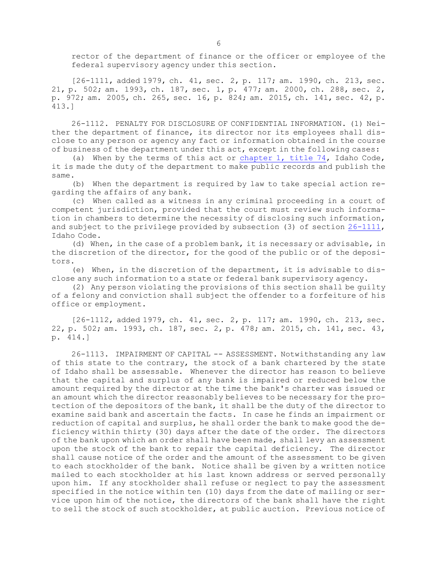rector of the department of finance or the officer or employee of the federal supervisory agency under this section.

[26-1111, added 1979, ch. 41, sec. 2, p. 117; am. 1990, ch. 213, sec. 21, p. 502; am. 1993, ch. 187, sec. 1, p. 477; am. 2000, ch. 288, sec. 2, p. 972; am. 2005, ch. 265, sec. 16, p. 824; am. 2015, ch. 141, sec. 42, p. 413.]

26-1112. PENALTY FOR DISCLOSURE OF CONFIDENTIAL INFORMATION. (1) Neither the department of finance, its director nor its employees shall disclose to any person or agency any fact or information obtained in the course of business of the department under this act, except in the following cases:

(a) When by the terms of this act or [chapter](https://legislature.idaho.gov/statutesrules/idstat/Title74/T74CH1) 1, title 74, Idaho Code, it is made the duty of the department to make public records and publish the same.

(b) When the department is required by law to take special action regarding the affairs of any bank.

(c) When called as <sup>a</sup> witness in any criminal proceeding in <sup>a</sup> court of competent jurisdiction, provided that the court must review such information in chambers to determine the necessity of disclosing such information, and subject to the privilege provided by subsection (3) of section [26-1111](https://legislature.idaho.gov/statutesrules/idstat/Title26/T26CH11/SECT26-1111), Idaho Code.

(d) When, in the case of <sup>a</sup> problem bank, it is necessary or advisable, in the discretion of the director, for the good of the public or of the depositors.

(e) When, in the discretion of the department, it is advisable to disclose any such information to <sup>a</sup> state or federal bank supervisory agency.

(2) Any person violating the provisions of this section shall be guilty of <sup>a</sup> felony and conviction shall subject the offender to <sup>a</sup> forfeiture of his office or employment.

[26-1112, added 1979, ch. 41, sec. 2, p. 117; am. 1990, ch. 213, sec. 22, p. 502; am. 1993, ch. 187, sec. 2, p. 478; am. 2015, ch. 141, sec. 43, p. 414.]

26-1113. IMPAIRMENT OF CAPITAL -- ASSESSMENT. Notwithstanding any law of this state to the contrary, the stock of <sup>a</sup> bank chartered by the state of Idaho shall be assessable. Whenever the director has reason to believe that the capital and surplus of any bank is impaired or reduced below the amount required by the director at the time the bank's charter was issued or an amount which the director reasonably believes to be necessary for the protection of the depositors of the bank, it shall be the duty of the director to examine said bank and ascertain the facts. In case he finds an impairment or reduction of capital and surplus, he shall order the bank to make good the deficiency within thirty (30) days after the date of the order. The directors of the bank upon which an order shall have been made, shall levy an assessment upon the stock of the bank to repair the capital deficiency. The director shall cause notice of the order and the amount of the assessment to be given to each stockholder of the bank. Notice shall be given by <sup>a</sup> written notice mailed to each stockholder at his last known address or served personally upon him. If any stockholder shall refuse or neglect to pay the assessment specified in the notice within ten (10) days from the date of mailing or service upon him of the notice, the directors of the bank shall have the right to sell the stock of such stockholder, at public auction. Previous notice of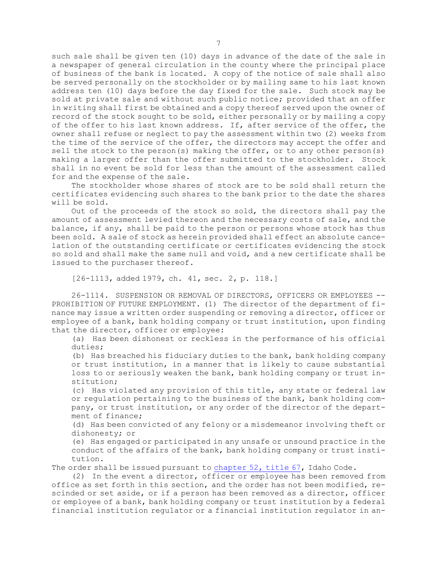such sale shall be given ten (10) days in advance of the date of the sale in <sup>a</sup> newspaper of general circulation in the county where the principal place of business of the bank is located. <sup>A</sup> copy of the notice of sale shall also be served personally on the stockholder or by mailing same to his last known address ten (10) days before the day fixed for the sale. Such stock may be sold at private sale and without such public notice; provided that an offer in writing shall first be obtained and <sup>a</sup> copy thereof served upon the owner of record of the stock sought to be sold, either personally or by mailing <sup>a</sup> copy of the offer to his last known address. If, after service of the offer, the owner shall refuse or neglect to pay the assessment within two (2) weeks from the time of the service of the offer, the directors may accept the offer and sell the stock to the person(s) making the offer, or to any other person(s) making <sup>a</sup> larger offer than the offer submitted to the stockholder. Stock shall in no event be sold for less than the amount of the assessment called for and the expense of the sale.

The stockholder whose shares of stock are to be sold shall return the certificates evidencing such shares to the bank prior to the date the shares will be sold.

Out of the proceeds of the stock so sold, the directors shall pay the amount of assessment levied thereon and the necessary costs of sale, and the balance, if any, shall be paid to the person or persons whose stock has thus been sold. <sup>A</sup> sale of stock as herein provided shall effect an absolute cancelation of the outstanding certificate or certificates evidencing the stock so sold and shall make the same null and void, and <sup>a</sup> new certificate shall be issued to the purchaser thereof.

[26-1113, added 1979, ch. 41, sec. 2, p. 118.]

26-1114. SUSPENSION OR REMOVAL OF DIRECTORS, OFFICERS OR EMPLOYEES -- PROHIBITION OF FUTURE EMPLOYMENT. (1) The director of the department of finance may issue <sup>a</sup> written order suspending or removing <sup>a</sup> director, officer or employee of <sup>a</sup> bank, bank holding company or trust institution, upon finding that the director, officer or employee:

(a) Has been dishonest or reckless in the performance of his official duties;

(b) Has breached his fiduciary duties to the bank, bank holding company or trust institution, in <sup>a</sup> manner that is likely to cause substantial loss to or seriously weaken the bank, bank holding company or trust institution;

(c) Has violated any provision of this title, any state or federal law or regulation pertaining to the business of the bank, bank holding company, or trust institution, or any order of the director of the department of finance;

(d) Has been convicted of any felony or <sup>a</sup> misdemeanor involving theft or dishonesty; or

(e) Has engaged or participated in any unsafe or unsound practice in the conduct of the affairs of the bank, bank holding company or trust institution.

The order shall be issued pursuant to [chapter](https://legislature.idaho.gov/statutesrules/idstat/Title67/T67CH52) 52, title 67, Idaho Code.

(2) In the event <sup>a</sup> director, officer or employee has been removed from office as set forth in this section, and the order has not been modified, rescinded or set aside, or if <sup>a</sup> person has been removed as <sup>a</sup> director, officer or employee of <sup>a</sup> bank, bank holding company or trust institution by <sup>a</sup> federal financial institution regulator or <sup>a</sup> financial institution regulator in an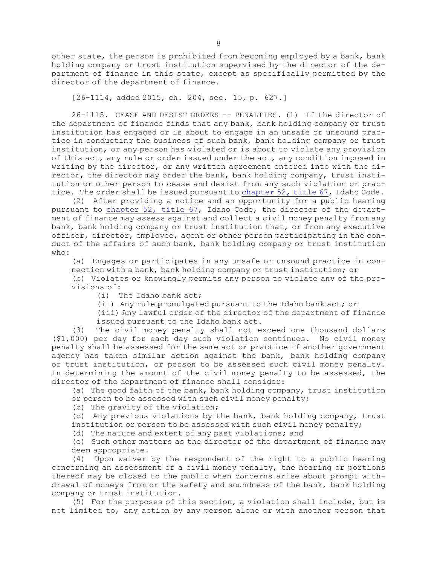other state, the person is prohibited from becoming employed by <sup>a</sup> bank, bank holding company or trust institution supervised by the director of the department of finance in this state, except as specifically permitted by the director of the department of finance.

[26-1114, added 2015, ch. 204, sec. 15, p. 627.]

26-1115. CEASE AND DESIST ORDERS -- PENALTIES. (1) If the director of the department of finance finds that any bank, bank holding company or trust institution has engaged or is about to engage in an unsafe or unsound practice in conducting the business of such bank, bank holding company or trust institution, or any person has violated or is about to violate any provision of this act, any rule or order issued under the act, any condition imposed in writing by the director, or any written agreement entered into with the director, the director may order the bank, bank holding company, trust institution or other person to cease and desist from any such violation or practice. The order shall be issued pursuant to [chapter](https://legislature.idaho.gov/statutesrules/idstat/Title67/T67CH52) 52, title 67, Idaho Code.

(2) After providing <sup>a</sup> notice and an opportunity for <sup>a</sup> public hearing pursuant to [chapter](https://legislature.idaho.gov/statutesrules/idstat/Title67/T67CH52) 52, title 67, Idaho Code, the director of the department of finance may assess against and collect <sup>a</sup> civil money penalty from any bank, bank holding company or trust institution that, or from any executive officer, director, employee, agent or other person participating in the conduct of the affairs of such bank, bank holding company or trust institution who:

(a) Engages or participates in any unsafe or unsound practice in connection with <sup>a</sup> bank, bank holding company or trust institution; or

(b) Violates or knowingly permits any person to violate any of the provisions of:

(i) The Idaho bank act;

(ii) Any rule promulgated pursuant to the Idaho bank act; or

(iii) Any lawful order of the director of the department of finance issued pursuant to the Idaho bank act.

(3) The civil money penalty shall not exceed one thousand dollars (\$1,000) per day for each day such violation continues. No civil money penalty shall be assessed for the same act or practice if another government agency has taken similar action against the bank, bank holding company or trust institution, or person to be assessed such civil money penalty. In determining the amount of the civil money penalty to be assessed, the director of the department of finance shall consider:

(a) The good faith of the bank, bank holding company, trust institution or person to be assessed with such civil money penalty;

(b) The gravity of the violation;

(c) Any previous violations by the bank, bank holding company, trust institution or person to be assessed with such civil money penalty;

(d) The nature and extent of any past violations; and

(e) Such other matters as the director of the department of finance may deem appropriate.

(4) Upon waiver by the respondent of the right to <sup>a</sup> public hearing concerning an assessment of <sup>a</sup> civil money penalty, the hearing or portions thereof may be closed to the public when concerns arise about prompt withdrawal of moneys from or the safety and soundness of the bank, bank holding company or trust institution.

(5) For the purposes of this section, <sup>a</sup> violation shall include, but is not limited to, any action by any person alone or with another person that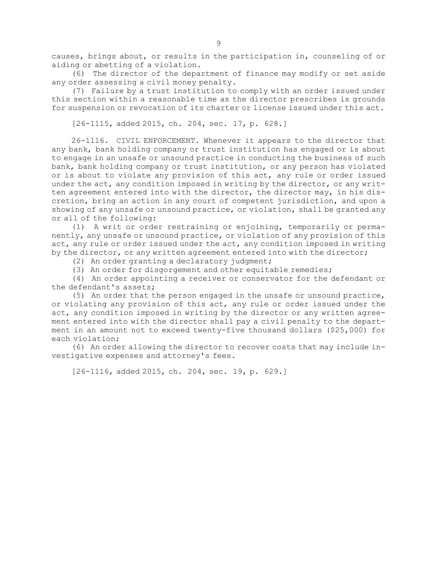causes, brings about, or results in the participation in, counseling of or aiding or abetting of <sup>a</sup> violation.

(6) The director of the department of finance may modify or set aside any order assessing <sup>a</sup> civil money penalty.

(7) Failure by <sup>a</sup> trust institution to comply with an order issued under this section within <sup>a</sup> reasonable time as the director prescribes is grounds for suspension or revocation of its charter or license issued under this act.

[26-1115, added 2015, ch. 204, sec. 17, p. 628.]

26-1116. CIVIL ENFORCEMENT. Whenever it appears to the director that any bank, bank holding company or trust institution has engaged or is about to engage in an unsafe or unsound practice in conducting the business of such bank, bank holding company or trust institution, or any person has violated or is about to violate any provision of this act, any rule or order issued under the act, any condition imposed in writing by the director, or any written agreement entered into with the director, the director may, in his discretion, bring an action in any court of competent jurisdiction, and upon <sup>a</sup> showing of any unsafe or unsound practice, or violation, shall be granted any or all of the following:

(1) <sup>A</sup> writ or order restraining or enjoining, temporarily or permanently, any unsafe or unsound practice, or violation of any provision of this act, any rule or order issued under the act, any condition imposed in writing by the director, or any written agreement entered into with the director;

(2) An order granting <sup>a</sup> declaratory judgment;

(3) An order for disgorgement and other equitable remedies;

(4) An order appointing <sup>a</sup> receiver or conservator for the defendant or the defendant's assets;

(5) An order that the person engaged in the unsafe or unsound practice, or violating any provision of this act, any rule or order issued under the act, any condition imposed in writing by the director or any written agreement entered into with the director shall pay <sup>a</sup> civil penalty to the department in an amount not to exceed twenty-five thousand dollars (\$25,000) for each violation;

(6) An order allowing the director to recover costs that may include investigative expenses and attorney's fees.

[26-1116, added 2015, ch. 204, sec. 19, p. 629.]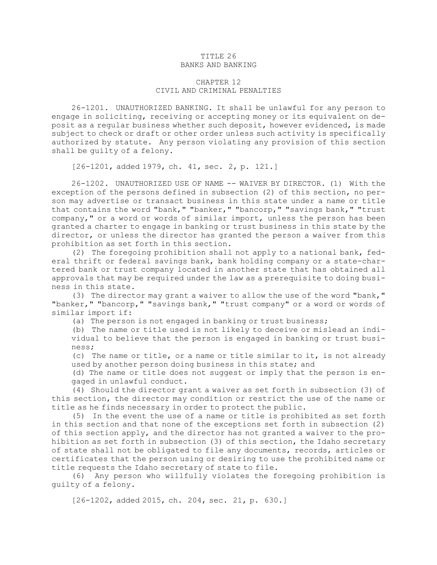#### TITLE 26 BANKS AND BANKING

### CHAPTER 12 CIVIL AND CRIMINAL PENALTIES

26-1201. UNAUTHORIZED BANKING. It shall be unlawful for any person to engage in soliciting, receiving or accepting money or its equivalent on deposit as <sup>a</sup> regular business whether such deposit, however evidenced, is made subject to check or draft or other order unless such activity is specifically authorized by statute. Any person violating any provision of this section shall be guilty of <sup>a</sup> felony.

[26-1201, added 1979, ch. 41, sec. 2, p. 121.]

26-1202. UNAUTHORIZED USE OF NAME -- WAIVER BY DIRECTOR. (1) With the exception of the persons defined in subsection (2) of this section, no person may advertise or transact business in this state under <sup>a</sup> name or title that contains the word "bank," "banker," "bancorp," "savings bank," "trust company," or <sup>a</sup> word or words of similar import, unless the person has been granted <sup>a</sup> charter to engage in banking or trust business in this state by the director, or unless the director has granted the person <sup>a</sup> waiver from this prohibition as set forth in this section.

(2) The foregoing prohibition shall not apply to <sup>a</sup> national bank, federal thrift or federal savings bank, bank holding company or <sup>a</sup> state-chartered bank or trust company located in another state that has obtained all approvals that may be required under the law as <sup>a</sup> prerequisite to doing business in this state.

(3) The director may grant <sup>a</sup> waiver to allow the use of the word "bank," "banker," "bancorp," "savings bank," "trust company" or <sup>a</sup> word or words of similar import if:

(a) The person is not engaged in banking or trust business;

(b) The name or title used is not likely to deceive or mislead an individual to believe that the person is engaged in banking or trust business;

(c) The name or title, or <sup>a</sup> name or title similar to it, is not already used by another person doing business in this state; and

(d) The name or title does not suggest or imply that the person is engaged in unlawful conduct.

(4) Should the director grant <sup>a</sup> waiver as set forth in subsection (3) of this section, the director may condition or restrict the use of the name or title as he finds necessary in order to protect the public.

(5) In the event the use of <sup>a</sup> name or title is prohibited as set forth in this section and that none of the exceptions set forth in subsection (2) of this section apply, and the director has not granted <sup>a</sup> waiver to the prohibition as set forth in subsection (3) of this section, the Idaho secretary of state shall not be obligated to file any documents, records, articles or certificates that the person using or desiring to use the prohibited name or title requests the Idaho secretary of state to file.

(6) Any person who willfully violates the foregoing prohibition is guilty of <sup>a</sup> felony.

[26-1202, added 2015, ch. 204, sec. 21, p. 630.]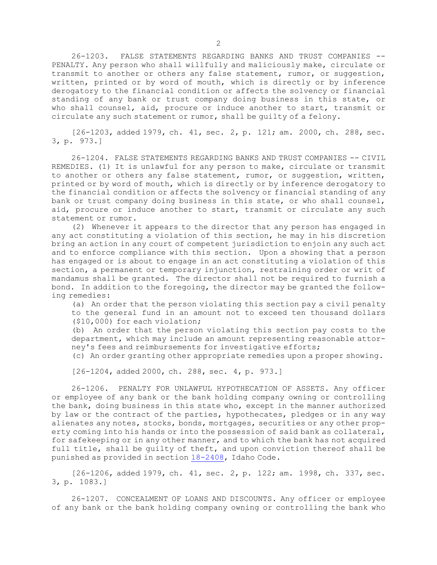26-1203. FALSE STATEMENTS REGARDING BANKS AND TRUST COMPANIES -- PENALTY. Any person who shall willfully and maliciously make, circulate or transmit to another or others any false statement, rumor, or suggestion, written, printed or by word of mouth, which is directly or by inference derogatory to the financial condition or affects the solvency or financial standing of any bank or trust company doing business in this state, or who shall counsel, aid, procure or induce another to start, transmit or circulate any such statement or rumor, shall be guilty of <sup>a</sup> felony.

[26-1203, added 1979, ch. 41, sec. 2, p. 121; am. 2000, ch. 288, sec. 3, p. 973.]

26-1204. FALSE STATEMENTS REGARDING BANKS AND TRUST COMPANIES -- CIVIL REMEDIES. (1) It is unlawful for any person to make, circulate or transmit to another or others any false statement, rumor, or suggestion, written, printed or by word of mouth, which is directly or by inference derogatory to the financial condition or affects the solvency or financial standing of any bank or trust company doing business in this state, or who shall counsel, aid, procure or induce another to start, transmit or circulate any such statement or rumor.

(2) Whenever it appears to the director that any person has engaged in any act constituting <sup>a</sup> violation of this section, he may in his discretion bring an action in any court of competent jurisdiction to enjoin any such act and to enforce compliance with this section. Upon <sup>a</sup> showing that <sup>a</sup> person has engaged or is about to engage in an act constituting <sup>a</sup> violation of this section, <sup>a</sup> permanent or temporary injunction, restraining order or writ of mandamus shall be granted. The director shall not be required to furnish <sup>a</sup> bond. In addition to the foregoing, the director may be granted the following remedies:

(a) An order that the person violating this section pay <sup>a</sup> civil penalty to the general fund in an amount not to exceed ten thousand dollars (\$10,000) for each violation;

(b) An order that the person violating this section pay costs to the department, which may include an amount representing reasonable attorney's fees and reimbursements for investigative efforts;

(c) An order granting other appropriate remedies upon <sup>a</sup> proper showing.

[26-1204, added 2000, ch. 288, sec. 4, p. 973.]

26-1206. PENALTY FOR UNLAWFUL HYPOTHECATION OF ASSETS. Any officer or employee of any bank or the bank holding company owning or controlling the bank, doing business in this state who, except in the manner authorized by law or the contract of the parties, hypothecates, pledges or in any way alienates any notes, stocks, bonds, mortgages, securities or any other property coming into his hands or into the possession of said bank as collateral, for safekeeping or in any other manner, and to which the bank has not acquired full title, shall be guilty of theft, and upon conviction thereof shall be punished as provided in section [18-2408](https://legislature.idaho.gov/statutesrules/idstat/Title18/T18CH24/SECT18-2408), Idaho Code.

[26-1206, added 1979, ch. 41, sec. 2, p. 122; am. 1998, ch. 337, sec. 3, p. 1083.]

26-1207. CONCEALMENT OF LOANS AND DISCOUNTS. Any officer or employee of any bank or the bank holding company owning or controlling the bank who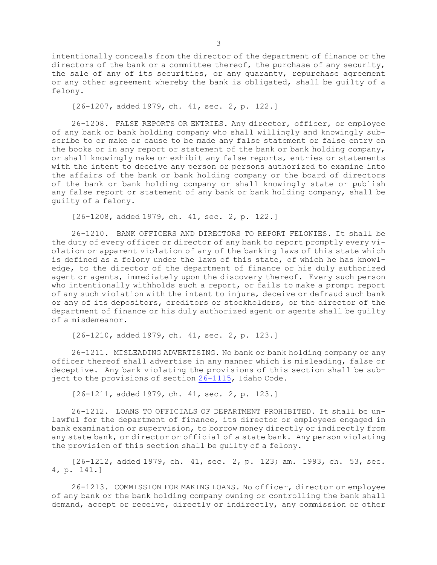intentionally conceals from the director of the department of finance or the directors of the bank or <sup>a</sup> committee thereof, the purchase of any security, the sale of any of its securities, or any guaranty, repurchase agreement or any other agreement whereby the bank is obligated, shall be guilty of <sup>a</sup> felony.

[26-1207, added 1979, ch. 41, sec. 2, p. 122.]

26-1208. FALSE REPORTS OR ENTRIES. Any director, officer, or employee of any bank or bank holding company who shall willingly and knowingly subscribe to or make or cause to be made any false statement or false entry on the books or in any report or statement of the bank or bank holding company, or shall knowingly make or exhibit any false reports, entries or statements with the intent to deceive any person or persons authorized to examine into the affairs of the bank or bank holding company or the board of directors of the bank or bank holding company or shall knowingly state or publish any false report or statement of any bank or bank holding company, shall be guilty of <sup>a</sup> felony.

[26-1208, added 1979, ch. 41, sec. 2, p. 122.]

26-1210. BANK OFFICERS AND DIRECTORS TO REPORT FELONIES. It shall be the duty of every officer or director of any bank to report promptly every violation or apparent violation of any of the banking laws of this state which is defined as <sup>a</sup> felony under the laws of this state, of which he has knowledge, to the director of the department of finance or his duly authorized agent or agents, immediately upon the discovery thereof. Every such person who intentionally withholds such a report, or fails to make a prompt report of any such violation with the intent to injure, deceive or defraud such bank or any of its depositors, creditors or stockholders, or the director of the department of finance or his duly authorized agent or agents shall be guilty of <sup>a</sup> misdemeanor.

[26-1210, added 1979, ch. 41, sec. 2, p. 123.]

26-1211. MISLEADING ADVERTISING. No bank or bank holding company or any officer thereof shall advertise in any manner which is misleading, false or deceptive. Any bank violating the provisions of this section shall be subject to the provisions of section [26-1115](https://legislature.idaho.gov/statutesrules/idstat/Title26/T26CH11/SECT26-1115), Idaho Code.

[26-1211, added 1979, ch. 41, sec. 2, p. 123.]

26-1212. LOANS TO OFFICIALS OF DEPARTMENT PROHIBITED. It shall be unlawful for the department of finance, its director or employees engaged in bank examination or supervision, to borrow money directly or indirectly from any state bank, or director or official of <sup>a</sup> state bank. Any person violating the provision of this section shall be guilty of <sup>a</sup> felony.

[26-1212, added 1979, ch. 41, sec. 2, p. 123; am. 1993, ch. 53, sec. 4, p. 141.]

26-1213. COMMISSION FOR MAKING LOANS. No officer, director or employee of any bank or the bank holding company owning or controlling the bank shall demand, accept or receive, directly or indirectly, any commission or other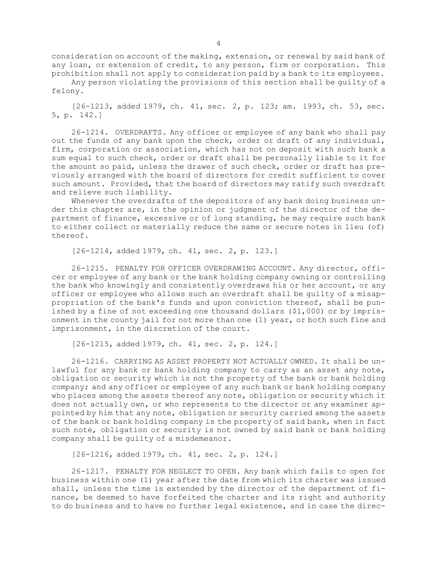consideration on account of the making, extension, or renewal by said bank of any loan, or extension of credit, to any person, firm or corporation. This prohibition shall not apply to consideration paid by <sup>a</sup> bank to its employees.

Any person violating the provisions of this section shall be guilty of <sup>a</sup> felony.

[26-1213, added 1979, ch. 41, sec. 2, p. 123; am. 1993, ch. 53, sec. 5, p. 142.]

26-1214. OVERDRAFTS. Any officer or employee of any bank who shall pay out the funds of any bank upon the check, order or draft of any individual, firm, corporation or association, which has not on deposit with such bank <sup>a</sup> sum equal to such check, order or draft shall be personally liable to it for the amount so paid, unless the drawer of such check, order or draft has previously arranged with the board of directors for credit sufficient to cover such amount. Provided, that the board of directors may ratify such overdraft and relieve such liability.

Whenever the overdrafts of the depositors of any bank doing business under this chapter are, in the opinion or judgment of the director of the department of finance, excessive or of long standing, he may require such bank to either collect or materially reduce the same or secure notes in lieu (of) thereof.

[26-1214, added 1979, ch. 41, sec. 2, p. 123.]

26-1215. PENALTY FOR OFFICER OVERDRAWING ACCOUNT. Any director, officer or employee of any bank or the bank holding company owning or controlling the bank who knowingly and consistently overdraws his or her account, or any officer or employee who allows such an overdraft shall be guilty of <sup>a</sup> misappropriation of the bank's funds and upon conviction thereof, shall be punished by <sup>a</sup> fine of not exceeding one thousand dollars (\$1,000) or by imprisonment in the county jail for not more than one (1) year, or both such fine and imprisonment, in the discretion of the court.

[26-1215, added 1979, ch. 41, sec. 2, p. 124.]

26-1216. CARRYING AS ASSET PROPERTY NOT ACTUALLY OWNED. It shall be unlawful for any bank or bank holding company to carry as an asset any note, obligation or security which is not the property of the bank or bank holding company; and any officer or employee of any such bank or bank holding company who places among the assets thereof any note, obligation or security which it does not actually own, or who represents to the director or any examiner appointed by him that any note, obligation or security carried among the assets of the bank or bank holding company is the property of said bank, when in fact such note, obligation or security is not owned by said bank or bank holding company shall be guilty of <sup>a</sup> misdemeanor.

[26-1216, added 1979, ch. 41, sec. 2, p. 124.]

26-1217. PENALTY FOR NEGLECT TO OPEN. Any bank which fails to open for business within one (1) year after the date from which its charter was issued shall, unless the time is extended by the director of the department of finance, be deemed to have forfeited the charter and its right and authority to do business and to have no further legal existence, and in case the direc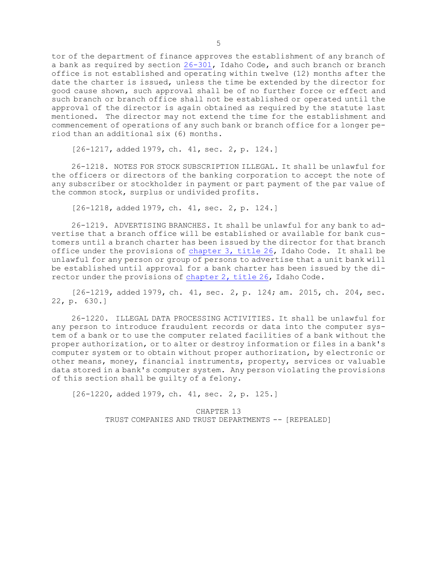tor of the department of finance approves the establishment of any branch of <sup>a</sup> bank as required by section [26-301](https://legislature.idaho.gov/statutesrules/idstat/Title26/T26CH3/SECT26-301), Idaho Code, and such branch or branch office is not established and operating within twelve (12) months after the date the charter is issued, unless the time be extended by the director for good cause shown, such approval shall be of no further force or effect and such branch or branch office shall not be established or operated until the approval of the director is again obtained as required by the statute last mentioned. The director may not extend the time for the establishment and commencement of operations of any such bank or branch office for <sup>a</sup> longer period than an additional six (6) months.

[26-1217, added 1979, ch. 41, sec. 2, p. 124.]

26-1218. NOTES FOR STOCK SUBSCRIPTION ILLEGAL. It shall be unlawful for the officers or directors of the banking corporation to accept the note of any subscriber or stockholder in payment or part payment of the par value of the common stock, surplus or undivided profits.

[26-1218, added 1979, ch. 41, sec. 2, p. 124.]

26-1219. ADVERTISING BRANCHES. It shall be unlawful for any bank to advertise that <sup>a</sup> branch office will be established or available for bank customers until <sup>a</sup> branch charter has been issued by the director for that branch office under the provisions of [chapter](https://legislature.idaho.gov/statutesrules/idstat/Title26/T26CH3) 3, title 26, Idaho Code. It shall be unlawful for any person or group of persons to advertise that <sup>a</sup> unit bank will be established until approval for <sup>a</sup> bank charter has been issued by the director under the provisions of [chapter](https://legislature.idaho.gov/statutesrules/idstat/Title26/T26CH2) 2, title 26, Idaho Code.

[26-1219, added 1979, ch. 41, sec. 2, p. 124; am. 2015, ch. 204, sec. 22, p. 630.]

26-1220. ILLEGAL DATA PROCESSING ACTIVITIES. It shall be unlawful for any person to introduce fraudulent records or data into the computer system of <sup>a</sup> bank or to use the computer related facilities of <sup>a</sup> bank without the proper authorization, or to alter or destroy information or files in <sup>a</sup> bank's computer system or to obtain without proper authorization, by electronic or other means, money, financial instruments, property, services or valuable data stored in <sup>a</sup> bank's computer system. Any person violating the provisions of this section shall be guilty of <sup>a</sup> felony.

[26-1220, added 1979, ch. 41, sec. 2, p. 125.]

CHAPTER 13 TRUST COMPANIES AND TRUST DEPARTMENTS -- [REPEALED]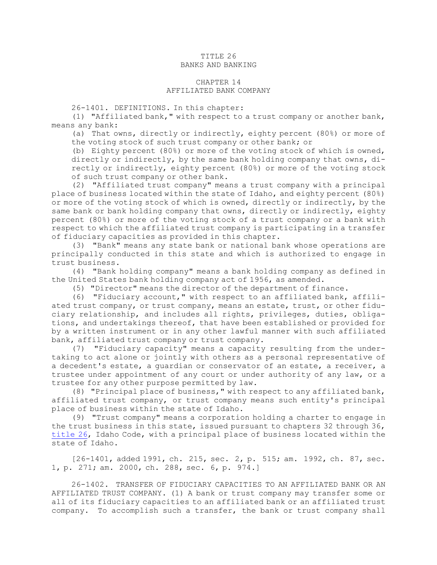#### TITLE 26 BANKS AND BANKING

#### CHAPTER 14 AFFILIATED BANK COMPANY

26-1401. DEFINITIONS. In this chapter:

(1) "Affiliated bank," with respect to <sup>a</sup> trust company or another bank, means any bank:

(a) That owns, directly or indirectly, eighty percent (80%) or more of the voting stock of such trust company or other bank; or

(b) Eighty percent (80%) or more of the voting stock of which is owned, directly or indirectly, by the same bank holding company that owns, directly or indirectly, eighty percent (80%) or more of the voting stock of such trust company or other bank.

(2) "Affiliated trust company" means <sup>a</sup> trust company with <sup>a</sup> principal place of business located within the state of Idaho, and eighty percent (80%) or more of the voting stock of which is owned, directly or indirectly, by the same bank or bank holding company that owns, directly or indirectly, eighty percent (80%) or more of the voting stock of <sup>a</sup> trust company or <sup>a</sup> bank with respect to which the affiliated trust company is participating in <sup>a</sup> transfer of fiduciary capacities as provided in this chapter.

(3) "Bank" means any state bank or national bank whose operations are principally conducted in this state and which is authorized to engage in trust business.

(4) "Bank holding company" means <sup>a</sup> bank holding company as defined in the United States bank holding company act of 1956, as amended.

(5) "Director" means the director of the department of finance.

(6) "Fiduciary account," with respect to an affiliated bank, affiliated trust company, or trust company, means an estate, trust, or other fiduciary relationship, and includes all rights, privileges, duties, obligations, and undertakings thereof, that have been established or provided for by <sup>a</sup> written instrument or in any other lawful manner with such affiliated bank, affiliated trust company or trust company.

(7) "Fiduciary capacity" means <sup>a</sup> capacity resulting from the undertaking to act alone or jointly with others as <sup>a</sup> personal representative of <sup>a</sup> decedent's estate, <sup>a</sup> guardian or conservator of an estate, <sup>a</sup> receiver, <sup>a</sup> trustee under appointment of any court or under authority of any law, or <sup>a</sup> trustee for any other purpose permitted by law.

(8) "Principal place of business," with respect to any affiliated bank, affiliated trust company, or trust company means such entity's principal place of business within the state of Idaho.

(9) "Trust company" means <sup>a</sup> corporation holding <sup>a</sup> charter to engage in the trust business in this state, issued pursuant to chapters 32 through 36, [title](https://legislature.idaho.gov/statutesrules/idstat/Title26/T26) 26, Idaho Code, with <sup>a</sup> principal place of business located within the state of Idaho.

[26-1401, added 1991, ch. 215, sec. 2, p. 515; am. 1992, ch. 87, sec. 1, p. 271; am. 2000, ch. 288, sec. 6, p. 974.]

26-1402. TRANSFER OF FIDUCIARY CAPACITIES TO AN AFFILIATED BANK OR AN AFFILIATED TRUST COMPANY. (1) A bank or trust company may transfer some or all of its fiduciary capacities to an affiliated bank or an affiliated trust company. To accomplish such <sup>a</sup> transfer, the bank or trust company shall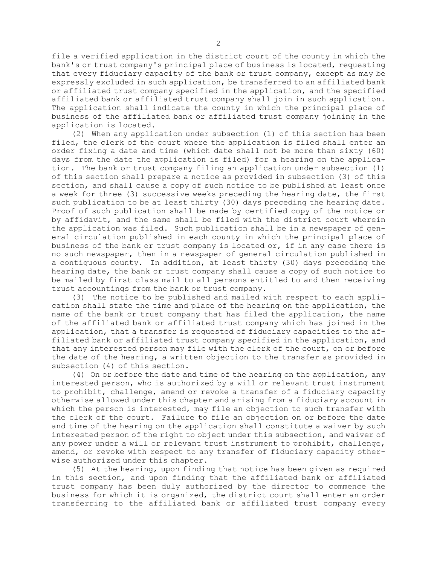file <sup>a</sup> verified application in the district court of the county in which the bank's or trust company's principal place of business is located, requesting that every fiduciary capacity of the bank or trust company, except as may be expressly excluded in such application, be transferred to an affiliated bank or affiliated trust company specified in the application, and the specified affiliated bank or affiliated trust company shall join in such application. The application shall indicate the county in which the principal place of business of the affiliated bank or affiliated trust company joining in the application is located.

(2) When any application under subsection (1) of this section has been filed, the clerk of the court where the application is filed shall enter an order fixing <sup>a</sup> date and time (which date shall not be more than sixty (60) days from the date the application is filed) for <sup>a</sup> hearing on the application. The bank or trust company filing an application under subsection (1) of this section shall prepare <sup>a</sup> notice as provided in subsection (3) of this section, and shall cause <sup>a</sup> copy of such notice to be published at least once <sup>a</sup> week for three (3) successive weeks preceding the hearing date, the first such publication to be at least thirty (30) days preceding the hearing date. Proof of such publication shall be made by certified copy of the notice or by affidavit, and the same shall be filed with the district court wherein the application was filed. Such publication shall be in <sup>a</sup> newspaper of general circulation published in each county in which the principal place of business of the bank or trust company is located or, if in any case there is no such newspaper, then in <sup>a</sup> newspaper of general circulation published in <sup>a</sup> contiguous county. In addition, at least thirty (30) days preceding the hearing date, the bank or trust company shall cause <sup>a</sup> copy of such notice to be mailed by first class mail to all persons entitled to and then receiving trust accountings from the bank or trust company.

(3) The notice to be published and mailed with respect to each application shall state the time and place of the hearing on the application, the name of the bank or trust company that has filed the application, the name of the affiliated bank or affiliated trust company which has joined in the application, that <sup>a</sup> transfer is requested of fiduciary capacities to the affiliated bank or affiliated trust company specified in the application, and that any interested person may file with the clerk of the court, on or before the date of the hearing, <sup>a</sup> written objection to the transfer as provided in subsection (4) of this section.

(4) On or before the date and time of the hearing on the application, any interested person, who is authorized by <sup>a</sup> will or relevant trust instrument to prohibit, challenge, amend or revoke <sup>a</sup> transfer of <sup>a</sup> fiduciary capacity otherwise allowed under this chapter and arising from <sup>a</sup> fiduciary account in which the person is interested, may file an objection to such transfer with the clerk of the court. Failure to file an objection on or before the date and time of the hearing on the application shall constitute <sup>a</sup> waiver by such interested person of the right to object under this subsection, and waiver of any power under <sup>a</sup> will or relevant trust instrument to prohibit, challenge, amend, or revoke with respect to any transfer of fiduciary capacity otherwise authorized under this chapter.

(5) At the hearing, upon finding that notice has been given as required in this section, and upon finding that the affiliated bank or affiliated trust company has been duly authorized by the director to commence the business for which it is organized, the district court shall enter an order transferring to the affiliated bank or affiliated trust company every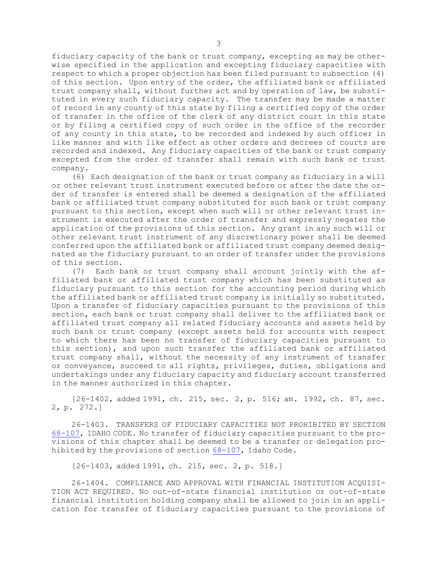fiduciary capacity of the bank or trust company, excepting as may be otherwise specified in the application and excepting fiduciary capacities with respect to which <sup>a</sup> proper objection has been filed pursuant to subsection (4) of this section. Upon entry of the order, the affiliated bank or affiliated trust company shall, without further act and by operation of law, be substituted in every such fiduciary capacity. The transfer may be made <sup>a</sup> matter of record in any county of this state by filing <sup>a</sup> certified copy of the order of transfer in the office of the clerk of any district court in this state or by filing <sup>a</sup> certified copy of such order in the office of the recorder of any county in this state, to be recorded and indexed by such officer in like manner and with like effect as other orders and decrees of courts are recorded and indexed. Any fiduciary capacities of the bank or trust company excepted from the order of transfer shall remain with such bank or trust company.

(6) Each designation of the bank or trust company as fiduciary in <sup>a</sup> will or other relevant trust instrument executed before or after the date the order of transfer is entered shall be deemed <sup>a</sup> designation of the affiliated bank or affiliated trust company substituted for such bank or trust company pursuant to this section, except when such will or other relevant trust instrument is executed after the order of transfer and expressly negates the application of the provisions of this section. Any grant in any such will or other relevant trust instrument of any discretionary power shall be deemed conferred upon the affiliated bank or affiliated trust company deemed designated as the fiduciary pursuant to an order of transfer under the provisions of this section.

(7) Each bank or trust company shall account jointly with the affiliated bank or affiliated trust company which has been substituted as fiduciary pursuant to this section for the accounting period during which the affiliated bank or affiliated trust company is initially so substituted. Upon <sup>a</sup> transfer of fiduciary capacities pursuant to the provisions of this section, each bank or trust company shall deliver to the affiliated bank or affiliated trust company all related fiduciary accounts and assets held by such bank or trust company (except assets held for accounts with respect to which there has been no transfer of fiduciary capacities pursuant to this section), and upon such transfer the affiliated bank or affiliated trust company shall, without the necessity of any instrument of transfer or conveyance, succeed to all rights, privileges, duties, obligations and undertakings under any fiduciary capacity and fiduciary account transferred in the manner authorized in this chapter.

[26-1402, added 1991, ch. 215, sec. 2, p. 516; am. 1992, ch. 87, sec. 2, p. 272.]

26-1403. TRANSFERS OF FIDUCIARY CAPACITIES NOT PROHIBITED BY SECTION [68-107](https://legislature.idaho.gov/statutesrules/idstat/Title68/T68CH1/SECT68-107), IDAHO CODE. No transfer of fiduciary capacities pursuant to the provisions of this chapter shall be deemed to be <sup>a</sup> transfer or delegation prohibited by the provisions of section [68-107](https://legislature.idaho.gov/statutesrules/idstat/Title68/T68CH1/SECT68-107), Idaho Code.

[26-1403, added 1991, ch. 215, sec. 2, p. 518.]

26-1404. COMPLIANCE AND APPROVAL WITH FINANCIAL INSTITUTION ACQUISI-TION ACT REQUIRED. No out-of-state financial institution or out-of-state financial institution holding company shall be allowed to join in an application for transfer of fiduciary capacities pursuant to the provisions of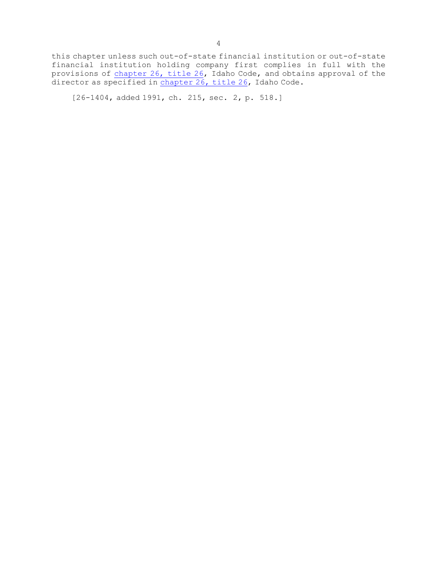this chapter unless such out-of-state financial institution or out-of-state financial institution holding company first complies in full with the provisions of [chapter](https://legislature.idaho.gov/statutesrules/idstat/Title26/T26CH26) 26, title 26, Idaho Code, and obtains approval of the director as specified in [chapter](https://legislature.idaho.gov/statutesrules/idstat/Title26/T26CH26) 26, title 26, Idaho Code.

[26-1404, added 1991, ch. 215, sec. 2, p. 518.]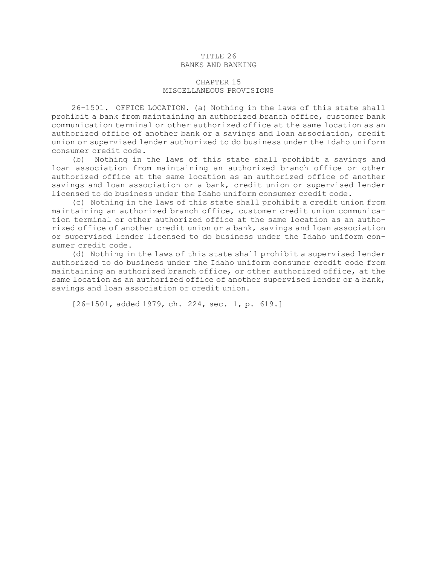### TITLE 26 BANKS AND BANKING

# CHAPTER 15 MISCELLANEOUS PROVISIONS

26-1501. OFFICE LOCATION. (a) Nothing in the laws of this state shall prohibit <sup>a</sup> bank from maintaining an authorized branch office, customer bank communication terminal or other authorized office at the same location as an authorized office of another bank or <sup>a</sup> savings and loan association, credit union or supervised lender authorized to do business under the Idaho uniform consumer credit code.

(b) Nothing in the laws of this state shall prohibit <sup>a</sup> savings and loan association from maintaining an authorized branch office or other authorized office at the same location as an authorized office of another savings and loan association or <sup>a</sup> bank, credit union or supervised lender licensed to do business under the Idaho uniform consumer credit code.

(c) Nothing in the laws of this state shall prohibit <sup>a</sup> credit union from maintaining an authorized branch office, customer credit union communication terminal or other authorized office at the same location as an authorized office of another credit union or <sup>a</sup> bank, savings and loan association or supervised lender licensed to do business under the Idaho uniform consumer credit code.

(d) Nothing in the laws of this state shall prohibit <sup>a</sup> supervised lender authorized to do business under the Idaho uniform consumer credit code from maintaining an authorized branch office, or other authorized office, at the same location as an authorized office of another supervised lender or <sup>a</sup> bank, savings and loan association or credit union.

[26-1501, added 1979, ch. 224, sec. 1, p. 619.]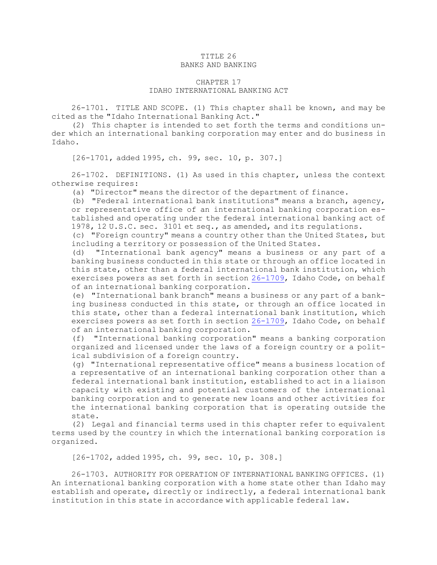# TITLE 26 BANKS AND BANKING

# CHAPTER 17 IDAHO INTERNATIONAL BANKING ACT

26-1701. TITLE AND SCOPE. (1) This chapter shall be known, and may be cited as the "Idaho International Banking Act."

(2) This chapter is intended to set forth the terms and conditions under which an international banking corporation may enter and do business in Idaho.

[26-1701, added 1995, ch. 99, sec. 10, p. 307.]

26-1702. DEFINITIONS. (1) As used in this chapter, unless the context otherwise requires:

(a) "Director" means the director of the department of finance.

(b) "Federal international bank institutions" means <sup>a</sup> branch, agency, or representative office of an international banking corporation established and operating under the federal international banking act of 1978, 12 U.S.C. sec. 3101 et seq., as amended, and its regulations.

(c) "Foreign country" means <sup>a</sup> country other than the United States, but including <sup>a</sup> territory or possession of the United States.

(d) "International bank agency" means <sup>a</sup> business or any part of <sup>a</sup> banking business conducted in this state or through an office located in this state, other than <sup>a</sup> federal international bank institution, which exercises powers as set forth in section [26-1709](https://legislature.idaho.gov/statutesrules/idstat/Title26/T26CH17/SECT26-1709), Idaho Code, on behalf of an international banking corporation.

(e) "International bank branch" means <sup>a</sup> business or any part of <sup>a</sup> banking business conducted in this state, or through an office located in this state, other than <sup>a</sup> federal international bank institution, which exercises powers as set forth in section [26-1709](https://legislature.idaho.gov/statutesrules/idstat/Title26/T26CH17/SECT26-1709), Idaho Code, on behalf of an international banking corporation.

(f) "International banking corporation" means <sup>a</sup> banking corporation organized and licensed under the laws of <sup>a</sup> foreign country or <sup>a</sup> political subdivision of <sup>a</sup> foreign country.

(g) "International representative office" means <sup>a</sup> business location of <sup>a</sup> representative of an international banking corporation other than <sup>a</sup> federal international bank institution, established to act in <sup>a</sup> liaison capacity with existing and potential customers of the international banking corporation and to generate new loans and other activities for the international banking corporation that is operating outside the state.

(2) Legal and financial terms used in this chapter refer to equivalent terms used by the country in which the international banking corporation is organized.

[26-1702, added 1995, ch. 99, sec. 10, p. 308.]

26-1703. AUTHORITY FOR OPERATION OF INTERNATIONAL BANKING OFFICES. (1) An international banking corporation with <sup>a</sup> home state other than Idaho may establish and operate, directly or indirectly, <sup>a</sup> federal international bank institution in this state in accordance with applicable federal law.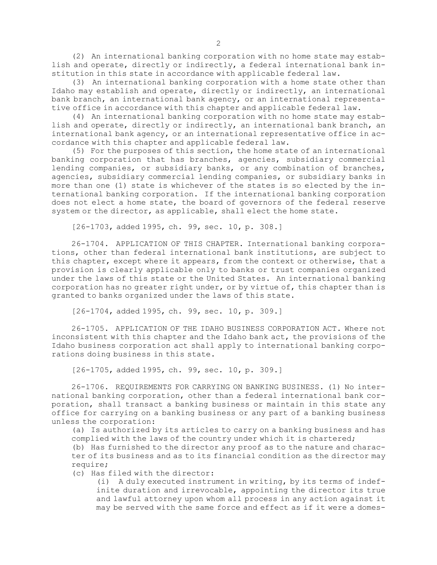(2) An international banking corporation with no home state may establish and operate, directly or indirectly, <sup>a</sup> federal international bank institution in this state in accordance with applicable federal law.

(3) An international banking corporation with <sup>a</sup> home state other than Idaho may establish and operate, directly or indirectly, an international bank branch, an international bank agency, or an international representative office in accordance with this chapter and applicable federal law.

(4) An international banking corporation with no home state may establish and operate, directly or indirectly, an international bank branch, an international bank agency, or an international representative office in accordance with this chapter and applicable federal law.

(5) For the purposes of this section, the home state of an international banking corporation that has branches, agencies, subsidiary commercial lending companies, or subsidiary banks, or any combination of branches, agencies, subsidiary commercial lending companies, or subsidiary banks in more than one (1) state is whichever of the states is so elected by the international banking corporation. If the international banking corporation does not elect <sup>a</sup> home state, the board of governors of the federal reserve system or the director, as applicable, shall elect the home state.

[26-1703, added 1995, ch. 99, sec. 10, p. 308.]

26-1704. APPLICATION OF THIS CHAPTER. International banking corporations, other than federal international bank institutions, are subject to this chapter, except where it appears, from the context or otherwise, that <sup>a</sup> provision is clearly applicable only to banks or trust companies organized under the laws of this state or the United States. An international banking corporation has no greater right under, or by virtue of, this chapter than is granted to banks organized under the laws of this state.

[26-1704, added 1995, ch. 99, sec. 10, p. 309.]

26-1705. APPLICATION OF THE IDAHO BUSINESS CORPORATION ACT. Where not inconsistent with this chapter and the Idaho bank act, the provisions of the Idaho business corporation act shall apply to international banking corporations doing business in this state.

[26-1705, added 1995, ch. 99, sec. 10, p. 309.]

26-1706. REQUIREMENTS FOR CARRYING ON BANKING BUSINESS. (1) No international banking corporation, other than <sup>a</sup> federal international bank corporation, shall transact <sup>a</sup> banking business or maintain in this state any office for carrying on <sup>a</sup> banking business or any part of <sup>a</sup> banking business unless the corporation:

(a) Is authorized by its articles to carry on <sup>a</sup> banking business and has complied with the laws of the country under which it is chartered;

(b) Has furnished to the director any proof as to the nature and character of its business and as to its financial condition as the director may require;

(c) Has filed with the director:

(i) <sup>A</sup> duly executed instrument in writing, by its terms of indefinite duration and irrevocable, appointing the director its true and lawful attorney upon whom all process in any action against it may be served with the same force and effect as if it were <sup>a</sup> domes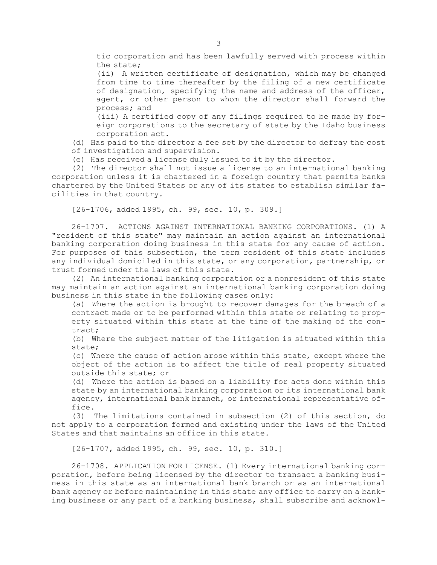tic corporation and has been lawfully served with process within the state;

(ii) <sup>A</sup> written certificate of designation, which may be changed from time to time thereafter by the filing of <sup>a</sup> new certificate of designation, specifying the name and address of the officer, agent, or other person to whom the director shall forward the process; and

(iii) <sup>A</sup> certified copy of any filings required to be made by foreign corporations to the secretary of state by the Idaho business corporation act.

(d) Has paid to the director <sup>a</sup> fee set by the director to defray the cost of investigation and supervision.

(e) Has received <sup>a</sup> license duly issued to it by the director.

(2) The director shall not issue <sup>a</sup> license to an international banking corporation unless it is chartered in <sup>a</sup> foreign country that permits banks chartered by the United States or any of its states to establish similar facilities in that country.

[26-1706, added 1995, ch. 99, sec. 10, p. 309.]

26-1707. ACTIONS AGAINST INTERNATIONAL BANKING CORPORATIONS. (1) A "resident of this state" may maintain an action against an international banking corporation doing business in this state for any cause of action. For purposes of this subsection, the term resident of this state includes any individual domiciled in this state, or any corporation, partnership, or trust formed under the laws of this state.

(2) An international banking corporation or <sup>a</sup> nonresident of this state may maintain an action against an international banking corporation doing business in this state in the following cases only:

(a) Where the action is brought to recover damages for the breach of <sup>a</sup> contract made or to be performed within this state or relating to property situated within this state at the time of the making of the contract;

(b) Where the subject matter of the litigation is situated within this state;

(c) Where the cause of action arose within this state, except where the object of the action is to affect the title of real property situated outside this state; or

(d) Where the action is based on <sup>a</sup> liability for acts done within this state by an international banking corporation or its international bank agency, international bank branch, or international representative office.

(3) The limitations contained in subsection (2) of this section, do not apply to <sup>a</sup> corporation formed and existing under the laws of the United States and that maintains an office in this state.

[26-1707, added 1995, ch. 99, sec. 10, p. 310.]

26-1708. APPLICATION FOR LICENSE. (1) Every international banking corporation, before being licensed by the director to transact <sup>a</sup> banking business in this state as an international bank branch or as an international bank agency or before maintaining in this state any office to carry on <sup>a</sup> banking business or any part of <sup>a</sup> banking business, shall subscribe and acknowl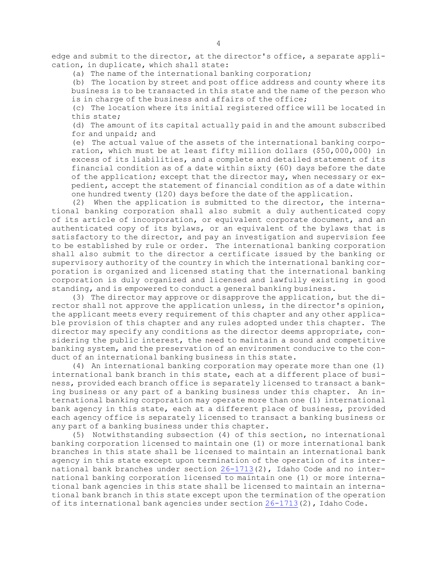edge and submit to the director, at the director's office, <sup>a</sup> separate application, in duplicate, which shall state:

(a) The name of the international banking corporation;

(b) The location by street and post office address and county where its business is to be transacted in this state and the name of the person who is in charge of the business and affairs of the office;

(c) The location where its initial registered office will be located in this state;

(d) The amount of its capital actually paid in and the amount subscribed for and unpaid; and

(e) The actual value of the assets of the international banking corporation, which must be at least fifty million dollars (\$50,000,000) in excess of its liabilities, and <sup>a</sup> complete and detailed statement of its financial condition as of <sup>a</sup> date within sixty (60) days before the date of the application; except that the director may, when necessary or expedient, accept the statement of financial condition as of <sup>a</sup> date within one hundred twenty (120) days before the date of the application.

(2) When the application is submitted to the director, the international banking corporation shall also submit <sup>a</sup> duly authenticated copy of its article of incorporation, or equivalent corporate document, and an authenticated copy of its bylaws, or an equivalent of the bylaws that is satisfactory to the director, and pay an investigation and supervision fee to be established by rule or order. The international banking corporation shall also submit to the director <sup>a</sup> certificate issued by the banking or supervisory authority of the country in which the international banking corporation is organized and licensed stating that the international banking corporation is duly organized and licensed and lawfully existing in good standing, and is empowered to conduct <sup>a</sup> general banking business.

(3) The director may approve or disapprove the application, but the director shall not approve the application unless, in the director's opinion, the applicant meets every requirement of this chapter and any other applicable provision of this chapter and any rules adopted under this chapter. The director may specify any conditions as the director deems appropriate, considering the public interest, the need to maintain <sup>a</sup> sound and competitive banking system, and the preservation of an environment conducive to the conduct of an international banking business in this state.

(4) An international banking corporation may operate more than one (1) international bank branch in this state, each at <sup>a</sup> different place of business, provided each branch office is separately licensed to transact <sup>a</sup> banking business or any part of <sup>a</sup> banking business under this chapter. An international banking corporation may operate more than one (1) international bank agency in this state, each at <sup>a</sup> different place of business, provided each agency office is separately licensed to transact <sup>a</sup> banking business or any part of <sup>a</sup> banking business under this chapter.

(5) Notwithstanding subsection (4) of this section, no international banking corporation licensed to maintain one (1) or more international bank branches in this state shall be licensed to maintain an international bank agency in this state except upon termination of the operation of its international bank branches under section [26-1713](https://legislature.idaho.gov/statutesrules/idstat/Title26/T26CH17/SECT26-1713)(2), Idaho Code and no international banking corporation licensed to maintain one (1) or more international bank agencies in this state shall be licensed to maintain an international bank branch in this state except upon the termination of the operation of its international bank agencies under section [26-1713](https://legislature.idaho.gov/statutesrules/idstat/Title26/T26CH17/SECT26-1713)(2), Idaho Code.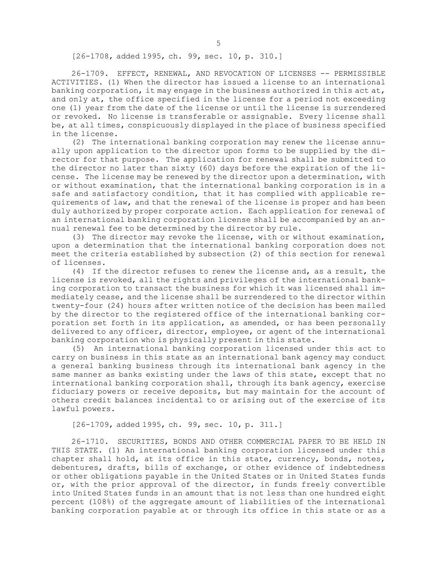[26-1708, added 1995, ch. 99, sec. 10, p. 310.]

26-1709. EFFECT, RENEWAL, AND REVOCATION OF LICENSES -- PERMISSIBLE ACTIVITIES. (1) When the director has issued <sup>a</sup> license to an international banking corporation, it may engage in the business authorized in this act at, and only at, the office specified in the license for <sup>a</sup> period not exceeding one (1) year from the date of the license or until the license is surrendered or revoked. No license is transferable or assignable. Every license shall be, at all times, conspicuously displayed in the place of business specified in the license.

(2) The international banking corporation may renew the license annually upon application to the director upon forms to be supplied by the director for that purpose. The application for renewal shall be submitted to the director no later than sixty (60) days before the expiration of the license. The license may be renewed by the director upon <sup>a</sup> determination, with or without examination, that the international banking corporation is in <sup>a</sup> safe and satisfactory condition, that it has complied with applicable requirements of law, and that the renewal of the license is proper and has been duly authorized by proper corporate action. Each application for renewal of an international banking corporation license shall be accompanied by an annual renewal fee to be determined by the director by rule.

(3) The director may revoke the license, with or without examination, upon <sup>a</sup> determination that the international banking corporation does not meet the criteria established by subsection (2) of this section for renewal of licenses.

(4) If the director refuses to renew the license and, as <sup>a</sup> result, the license is revoked, all the rights and privileges of the international banking corporation to transact the business for which it was licensed shall immediately cease, and the license shall be surrendered to the director within twenty-four (24) hours after written notice of the decision has been mailed by the director to the registered office of the international banking corporation set forth in its application, as amended, or has been personally delivered to any officer, director, employee, or agent of the international banking corporation who is physically present in this state.

(5) An international banking corporation licensed under this act to carry on business in this state as an international bank agency may conduct <sup>a</sup> general banking business through its international bank agency in the same manner as banks existing under the laws of this state, except that no international banking corporation shall, through its bank agency, exercise fiduciary powers or receive deposits, but may maintain for the account of others credit balances incidental to or arising out of the exercise of its lawful powers.

[26-1709, added 1995, ch. 99, sec. 10, p. 311.]

26-1710. SECURITIES, BONDS AND OTHER COMMERCIAL PAPER TO BE HELD IN THIS STATE. (1) An international banking corporation licensed under this chapter shall hold, at its office in this state, currency, bonds, notes, debentures, drafts, bills of exchange, or other evidence of indebtedness or other obligations payable in the United States or in United States funds or, with the prior approval of the director, in funds freely convertible into United States funds in an amount that is not less than one hundred eight percent (108%) of the aggregate amount of liabilities of the international banking corporation payable at or through its office in this state or as <sup>a</sup>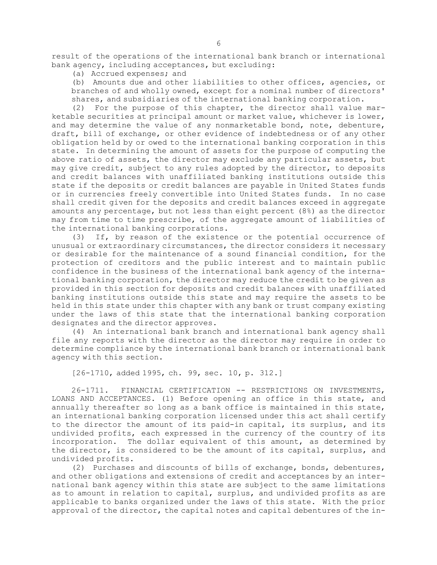result of the operations of the international bank branch or international bank agency, including acceptances, but excluding:

(a) Accrued expenses; and

(b) Amounts due and other liabilities to other offices, agencies, or branches of and wholly owned, except for <sup>a</sup> nominal number of directors' shares, and subsidiaries of the international banking corporation.

(2) For the purpose of this chapter, the director shall value marketable securities at principal amount or market value, whichever is lower, and may determine the value of any nonmarketable bond, note, debenture, draft, bill of exchange, or other evidence of indebtedness or of any other obligation held by or owed to the international banking corporation in this state. In determining the amount of assets for the purpose of computing the above ratio of assets, the director may exclude any particular assets, but may give credit, subject to any rules adopted by the director, to deposits and credit balances with unaffiliated banking institutions outside this state if the deposits or credit balances are payable in United States funds or in currencies freely convertible into United States funds. In no case shall credit given for the deposits and credit balances exceed in aggregate amounts any percentage, but not less than eight percent (8%) as the director may from time to time prescribe, of the aggregate amount of liabilities of the international banking corporations.

(3) If, by reason of the existence or the potential occurrence of unusual or extraordinary circumstances, the director considers it necessary or desirable for the maintenance of <sup>a</sup> sound financial condition, for the protection of creditors and the public interest and to maintain public confidence in the business of the international bank agency of the international banking corporation, the director may reduce the credit to be given as provided in this section for deposits and credit balances with unaffiliated banking institutions outside this state and may require the assets to be held in this state under this chapter with any bank or trust company existing under the laws of this state that the international banking corporation designates and the director approves.

(4) An international bank branch and international bank agency shall file any reports with the director as the director may require in order to determine compliance by the international bank branch or international bank agency with this section.

[26-1710, added 1995, ch. 99, sec. 10, p. 312.]

26-1711. FINANCIAL CERTIFICATION -- RESTRICTIONS ON INVESTMENTS, LOANS AND ACCEPTANCES. (1) Before opening an office in this state, and annually thereafter so long as <sup>a</sup> bank office is maintained in this state, an international banking corporation licensed under this act shall certify to the director the amount of its paid-in capital, its surplus, and its undivided profits, each expressed in the currency of the country of its incorporation. The dollar equivalent of this amount, as determined by the director, is considered to be the amount of its capital, surplus, and undivided profits.

(2) Purchases and discounts of bills of exchange, bonds, debentures, and other obligations and extensions of credit and acceptances by an international bank agency within this state are subject to the same limitations as to amount in relation to capital, surplus, and undivided profits as are applicable to banks organized under the laws of this state. With the prior approval of the director, the capital notes and capital debentures of the in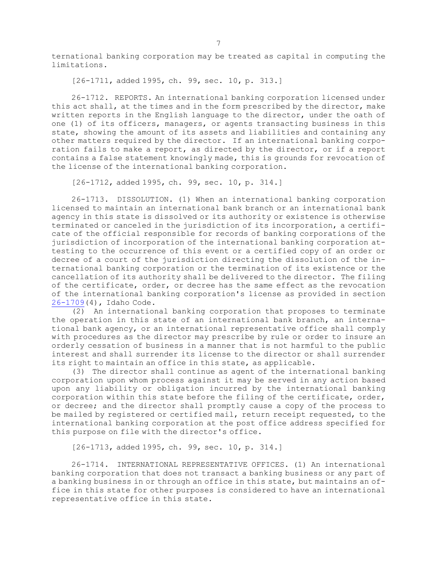ternational banking corporation may be treated as capital in computing the limitations.

[26-1711, added 1995, ch. 99, sec. 10, p. 313.]

26-1712. REPORTS. An international banking corporation licensed under this act shall, at the times and in the form prescribed by the director, make written reports in the English language to the director, under the oath of one (1) of its officers, managers, or agents transacting business in this state, showing the amount of its assets and liabilities and containing any other matters required by the director. If an international banking corporation fails to make <sup>a</sup> report, as directed by the director, or if <sup>a</sup> report contains <sup>a</sup> false statement knowingly made, this is grounds for revocation of the license of the international banking corporation.

[26-1712, added 1995, ch. 99, sec. 10, p. 314.]

26-1713. DISSOLUTION. (1) When an international banking corporation licensed to maintain an international bank branch or an international bank agency in this state is dissolved or its authority or existence is otherwise terminated or canceled in the jurisdiction of its incorporation, <sup>a</sup> certificate of the official responsible for records of banking corporations of the jurisdiction of incorporation of the international banking corporation attesting to the occurrence of this event or <sup>a</sup> certified copy of an order or decree of <sup>a</sup> court of the jurisdiction directing the dissolution of the international banking corporation or the termination of its existence or the cancellation of its authority shall be delivered to the director. The filing of the certificate, order, or decree has the same effect as the revocation of the international banking corporation's license as provided in section [26-1709](https://legislature.idaho.gov/statutesrules/idstat/Title26/T26CH17/SECT26-1709)(4), Idaho Code.

(2) An international banking corporation that proposes to terminate the operation in this state of an international bank branch, an international bank agency, or an international representative office shall comply with procedures as the director may prescribe by rule or order to insure an orderly cessation of business in <sup>a</sup> manner that is not harmful to the public interest and shall surrender its license to the director or shall surrender its right to maintain an office in this state, as applicable.

(3) The director shall continue as agent of the international banking corporation upon whom process against it may be served in any action based upon any liability or obligation incurred by the international banking corporation within this state before the filing of the certificate, order, or decree; and the director shall promptly cause <sup>a</sup> copy of the process to be mailed by registered or certified mail, return receipt requested, to the international banking corporation at the post office address specified for this purpose on file with the director's office.

[26-1713, added 1995, ch. 99, sec. 10, p. 314.]

26-1714. INTERNATIONAL REPRESENTATIVE OFFICES. (1) An international banking corporation that does not transact <sup>a</sup> banking business or any part of <sup>a</sup> banking business in or through an office in this state, but maintains an office in this state for other purposes is considered to have an international representative office in this state.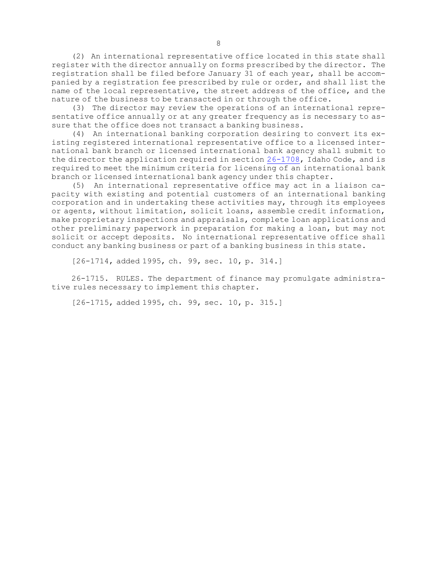(2) An international representative office located in this state shall register with the director annually on forms prescribed by the director. The registration shall be filed before January 31 of each year, shall be accompanied by <sup>a</sup> registration fee prescribed by rule or order, and shall list the name of the local representative, the street address of the office, and the nature of the business to be transacted in or through the office.

(3) The director may review the operations of an international representative office annually or at any greater frequency as is necessary to assure that the office does not transact <sup>a</sup> banking business.

(4) An international banking corporation desiring to convert its existing registered international representative office to <sup>a</sup> licensed international bank branch or licensed international bank agency shall submit to the director the application required in section [26-1708](https://legislature.idaho.gov/statutesrules/idstat/Title26/T26CH17/SECT26-1708), Idaho Code, and is required to meet the minimum criteria for licensing of an international bank branch or licensed international bank agency under this chapter.

(5) An international representative office may act in <sup>a</sup> liaison capacity with existing and potential customers of an international banking corporation and in undertaking these activities may, through its employees or agents, without limitation, solicit loans, assemble credit information, make proprietary inspections and appraisals, complete loan applications and other preliminary paperwork in preparation for making <sup>a</sup> loan, but may not solicit or accept deposits. No international representative office shall conduct any banking business or part of <sup>a</sup> banking business in this state.

[26-1714, added 1995, ch. 99, sec. 10, p. 314.]

26-1715. RULES. The department of finance may promulgate administrative rules necessary to implement this chapter.

[26-1715, added 1995, ch. 99, sec. 10, p. 315.]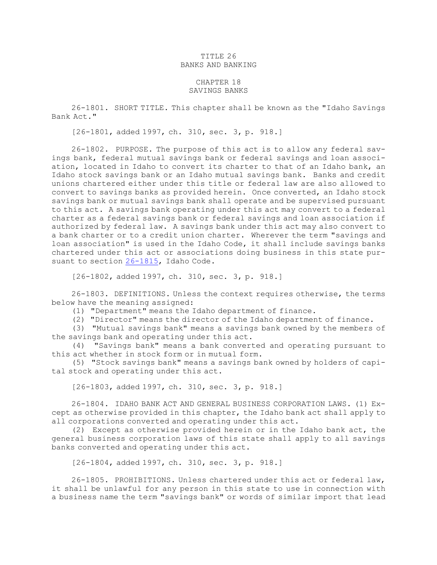### TITLE 26 BANKS AND BANKING

#### CHAPTER 18 SAVINGS BANKS

26-1801. SHORT TITLE. This chapter shall be known as the "Idaho Savings Bank Act."

[26-1801, added 1997, ch. 310, sec. 3, p. 918.]

26-1802. PURPOSE. The purpose of this act is to allow any federal savings bank, federal mutual savings bank or federal savings and loan association, located in Idaho to convert its charter to that of an Idaho bank, an Idaho stock savings bank or an Idaho mutual savings bank. Banks and credit unions chartered either under this title or federal law are also allowed to convert to savings banks as provided herein. Once converted, an Idaho stock savings bank or mutual savings bank shall operate and be supervised pursuant to this act. <sup>A</sup> savings bank operating under this act may convert to <sup>a</sup> federal charter as <sup>a</sup> federal savings bank or federal savings and loan association if authorized by federal law. <sup>A</sup> savings bank under this act may also convert to <sup>a</sup> bank charter or to <sup>a</sup> credit union charter. Wherever the term "savings and loan association" is used in the Idaho Code, it shall include savings banks chartered under this act or associations doing business in this state pursuant to section [26-1815](https://legislature.idaho.gov/statutesrules/idstat/Title26/T26CH18/SECT26-1815), Idaho Code.

[26-1802, added 1997, ch. 310, sec. 3, p. 918.]

26-1803. DEFINITIONS. Unless the context requires otherwise, the terms below have the meaning assigned:

(1) "Department" means the Idaho department of finance.

(2) "Director" means the director of the Idaho department of finance.

(3) "Mutual savings bank" means <sup>a</sup> savings bank owned by the members of the savings bank and operating under this act.

(4) "Savings bank" means <sup>a</sup> bank converted and operating pursuant to this act whether in stock form or in mutual form.

(5) "Stock savings bank" means <sup>a</sup> savings bank owned by holders of capital stock and operating under this act.

[26-1803, added 1997, ch. 310, sec. 3, p. 918.]

26-1804. IDAHO BANK ACT AND GENERAL BUSINESS CORPORATION LAWS. (1) Except as otherwise provided in this chapter, the Idaho bank act shall apply to all corporations converted and operating under this act.

(2) Except as otherwise provided herein or in the Idaho bank act, the general business corporation laws of this state shall apply to all savings banks converted and operating under this act.

[26-1804, added 1997, ch. 310, sec. 3, p. 918.]

26-1805. PROHIBITIONS. Unless chartered under this act or federal law, it shall be unlawful for any person in this state to use in connection with <sup>a</sup> business name the term "savings bank" or words of similar import that lead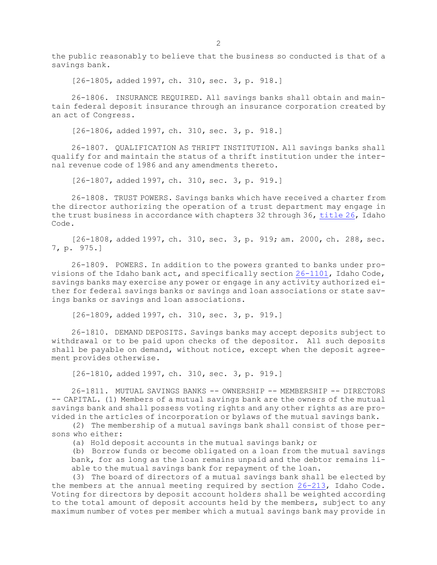the public reasonably to believe that the business so conducted is that of <sup>a</sup> savings bank.

[26-1805, added 1997, ch. 310, sec. 3, p. 918.]

26-1806. INSURANCE REQUIRED. All savings banks shall obtain and maintain federal deposit insurance through an insurance corporation created by an act of Congress.

[26-1806, added 1997, ch. 310, sec. 3, p. 918.]

26-1807. QUALIFICATION AS THRIFT INSTITUTION. All savings banks shall qualify for and maintain the status of <sup>a</sup> thrift institution under the internal revenue code of 1986 and any amendments thereto.

[26-1807, added 1997, ch. 310, sec. 3, p. 919.]

26-1808. TRUST POWERS. Savings banks which have received <sup>a</sup> charter from the director authorizing the operation of <sup>a</sup> trust department may engage in the trust business in accordance with chapters 32 through 36, [title](https://legislature.idaho.gov/statutesrules/idstat/Title26/T26) 26, Idaho Code.

[26-1808, added 1997, ch. 310, sec. 3, p. 919; am. 2000, ch. 288, sec. 7, p. 975.]

26-1809. POWERS. In addition to the powers granted to banks under provisions of the Idaho bank act, and specifically section [26-1101](https://legislature.idaho.gov/statutesrules/idstat/Title26/T26CH11/SECT26-1101), Idaho Code, savings banks may exercise any power or engage in any activity authorized either for federal savings banks or savings and loan associations or state savings banks or savings and loan associations.

[26-1809, added 1997, ch. 310, sec. 3, p. 919.]

26-1810. DEMAND DEPOSITS. Savings banks may accept deposits subject to withdrawal or to be paid upon checks of the depositor. All such deposits shall be payable on demand, without notice, except when the deposit agreement provides otherwise.

[26-1810, added 1997, ch. 310, sec. 3, p. 919.]

26-1811. MUTUAL SAVINGS BANKS -- OWNERSHIP -- MEMBERSHIP -- DIRECTORS -- CAPITAL. (1) Members of <sup>a</sup> mutual savings bank are the owners of the mutual savings bank and shall possess voting rights and any other rights as are provided in the articles of incorporation or bylaws of the mutual savings bank.

(2) The membership of <sup>a</sup> mutual savings bank shall consist of those persons who either:

(a) Hold deposit accounts in the mutual savings bank; or

(b) Borrow funds or become obligated on <sup>a</sup> loan from the mutual savings bank, for as long as the loan remains unpaid and the debtor remains liable to the mutual savings bank for repayment of the loan.

(3) The board of directors of <sup>a</sup> mutual savings bank shall be elected by the members at the annual meeting required by section [26-213](https://legislature.idaho.gov/statutesrules/idstat/Title26/T26CH2/SECT26-213), Idaho Code. Voting for directors by deposit account holders shall be weighted according to the total amount of deposit accounts held by the members, subject to any maximum number of votes per member which <sup>a</sup> mutual savings bank may provide in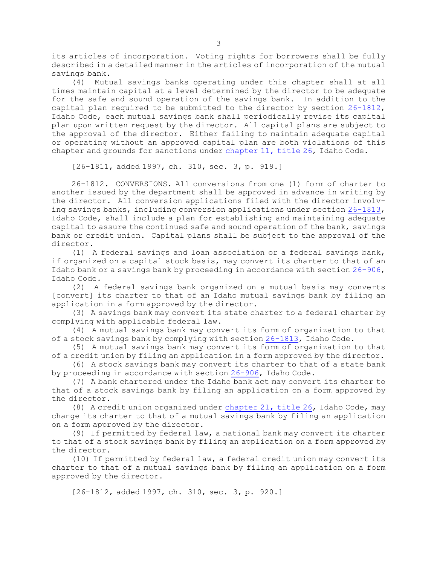its articles of incorporation. Voting rights for borrowers shall be fully described in <sup>a</sup> detailed manner in the articles of incorporation of the mutual savings bank.

(4) Mutual savings banks operating under this chapter shall at all times maintain capital at <sup>a</sup> level determined by the director to be adequate for the safe and sound operation of the savings bank. In addition to the capital plan required to be submitted to the director by section [26-1812](https://legislature.idaho.gov/statutesrules/idstat/Title26/T26CH18/SECT26-1812), Idaho Code, each mutual savings bank shall periodically revise its capital plan upon written request by the director. All capital plans are subject to the approval of the director. Either failing to maintain adequate capital or operating without an approved capital plan are both violations of this chapter and grounds for sanctions under [chapter](https://legislature.idaho.gov/statutesrules/idstat/Title26/T26CH11) 11, title 26, Idaho Code.

[26-1811, added 1997, ch. 310, sec. 3, p. 919.]

26-1812. CONVERSIONS. All conversions from one (1) form of charter to another issued by the department shall be approved in advance in writing by the director. All conversion applications filed with the director involving savings banks, including conversion applications under section [26-1813](https://legislature.idaho.gov/statutesrules/idstat/Title26/T26CH18/SECT26-1813), Idaho Code, shall include <sup>a</sup> plan for establishing and maintaining adequate capital to assure the continued safe and sound operation of the bank, savings bank or credit union. Capital plans shall be subject to the approval of the director.

(1) <sup>A</sup> federal savings and loan association or <sup>a</sup> federal savings bank, if organized on <sup>a</sup> capital stock basis, may convert its charter to that of an Idaho bank or <sup>a</sup> savings bank by proceeding in accordance with section [26-906](https://legislature.idaho.gov/statutesrules/idstat/Title26/T26CH9/SECT26-906), Idaho Code.

(2) <sup>A</sup> federal savings bank organized on <sup>a</sup> mutual basis may converts [convert] its charter to that of an Idaho mutual savings bank by filing an application in <sup>a</sup> form approved by the director.

(3) <sup>A</sup> savings bank may convert its state charter to <sup>a</sup> federal charter by complying with applicable federal law.

(4) <sup>A</sup> mutual savings bank may convert its form of organization to that of <sup>a</sup> stock savings bank by complying with section [26-1813](https://legislature.idaho.gov/statutesrules/idstat/Title26/T26CH18/SECT26-1813), Idaho Code.

(5) <sup>A</sup> mutual savings bank may convert its form of organization to that of <sup>a</sup> credit union by filing an application in <sup>a</sup> form approved by the director.

(6) <sup>A</sup> stock savings bank may convert its charter to that of <sup>a</sup> state bank by proceeding in accordance with section [26-906](https://legislature.idaho.gov/statutesrules/idstat/Title26/T26CH9/SECT26-906), Idaho Code.

(7) <sup>A</sup> bank chartered under the Idaho bank act may convert its charter to that of <sup>a</sup> stock savings bank by filing an application on <sup>a</sup> form approved by the director.

(8) <sup>A</sup> credit union organized under [chapter](https://legislature.idaho.gov/statutesrules/idstat/Title26/T26CH21) 21, title 26, Idaho Code, may change its charter to that of <sup>a</sup> mutual savings bank by filing an application on <sup>a</sup> form approved by the director.

(9) If permitted by federal law, <sup>a</sup> national bank may convert its charter to that of <sup>a</sup> stock savings bank by filing an application on <sup>a</sup> form approved by the director.

(10) If permitted by federal law, <sup>a</sup> federal credit union may convert its charter to that of <sup>a</sup> mutual savings bank by filing an application on <sup>a</sup> form approved by the director.

[26-1812, added 1997, ch. 310, sec. 3, p. 920.]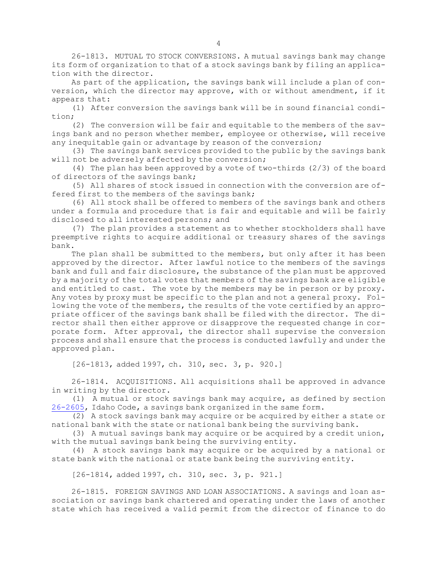26-1813. MUTUAL TO STOCK CONVERSIONS. <sup>A</sup> mutual savings bank may change its form of organization to that of <sup>a</sup> stock savings bank by filing an application with the director.

As part of the application, the savings bank will include <sup>a</sup> plan of conversion, which the director may approve, with or without amendment, if it appears that:

(1) After conversion the savings bank will be in sound financial condition;

(2) The conversion will be fair and equitable to the members of the savings bank and no person whether member, employee or otherwise, will receive any inequitable gain or advantage by reason of the conversion;

(3) The savings bank services provided to the public by the savings bank will not be adversely affected by the conversion;

(4) The plan has been approved by <sup>a</sup> vote of two-thirds (2/3) of the board of directors of the savings bank;

(5) All shares of stock issued in connection with the conversion are offered first to the members of the savings bank;

(6) All stock shall be offered to members of the savings bank and others under <sup>a</sup> formula and procedure that is fair and equitable and will be fairly disclosed to all interested persons; and

(7) The plan provides <sup>a</sup> statement as to whether stockholders shall have preemptive rights to acquire additional or treasury shares of the savings bank.

The plan shall be submitted to the members, but only after it has been approved by the director. After lawful notice to the members of the savings bank and full and fair disclosure, the substance of the plan must be approved by <sup>a</sup> majority of the total votes that members of the savings bank are eligible and entitled to cast. The vote by the members may be in person or by proxy. Any votes by proxy must be specific to the plan and not <sup>a</sup> general proxy. Following the vote of the members, the results of the vote certified by an appropriate officer of the savings bank shall be filed with the director. The director shall then either approve or disapprove the requested change in corporate form. After approval, the director shall supervise the conversion process and shall ensure that the process is conducted lawfully and under the approved plan.

[26-1813, added 1997, ch. 310, sec. 3, p. 920.]

26-1814. ACQUISITIONS. All acquisitions shall be approved in advance in writing by the director.

(1) <sup>A</sup> mutual or stock savings bank may acquire, as defined by section [26-2605](https://legislature.idaho.gov/statutesrules/idstat/Title26/T26CH26/SECT26-2605), Idaho Code, <sup>a</sup> savings bank organized in the same form.

(2) <sup>A</sup> stock savings bank may acquire or be acquired by either <sup>a</sup> state or national bank with the state or national bank being the surviving bank.

(3) <sup>A</sup> mutual savings bank may acquire or be acquired by <sup>a</sup> credit union, with the mutual savings bank being the surviving entity.

(4) <sup>A</sup> stock savings bank may acquire or be acquired by <sup>a</sup> national or state bank with the national or state bank being the surviving entity.

[26-1814, added 1997, ch. 310, sec. 3, p. 921.]

26-1815. FOREIGN SAVINGS AND LOAN ASSOCIATIONS. <sup>A</sup> savings and loan association or savings bank chartered and operating under the laws of another state which has received <sup>a</sup> valid permit from the director of finance to do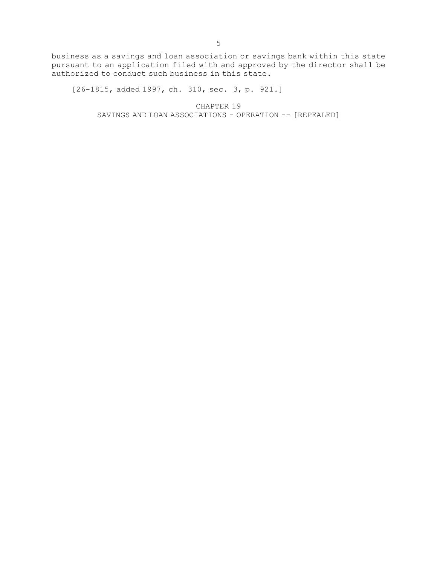business as <sup>a</sup> savings and loan association or savings bank within this state pursuant to an application filed with and approved by the director shall be authorized to conduct such business in this state.

[26-1815, added 1997, ch. 310, sec. 3, p. 921.]

CHAPTER 19 SAVINGS AND LOAN ASSOCIATIONS - OPERATION -- [REPEALED]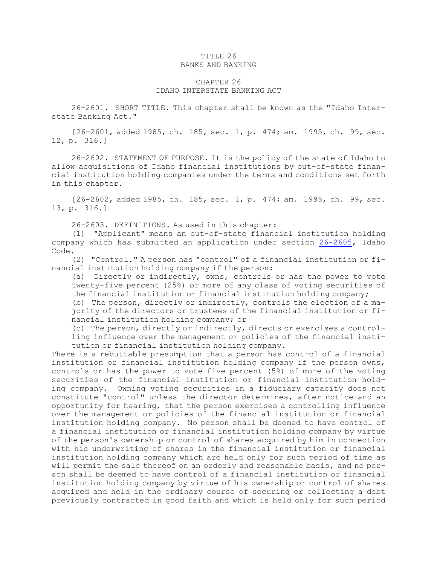### TITLE 26 BANKS AND BANKING

# CHAPTER 26 IDAHO INTERSTATE BANKING ACT

26-2601. SHORT TITLE. This chapter shall be known as the "Idaho Interstate Banking Act."

[26-2601, added 1985, ch. 185, sec. 1, p. 474; am. 1995, ch. 99, sec. 12, p. 316.]

26-2602. STATEMENT OF PURPOSE. It is the policy of the state of Idaho to allow acquisitions of Idaho financial institutions by out-of-state financial institution holding companies under the terms and conditions set forth in this chapter.

[26-2602, added 1985, ch. 185, sec. 1, p. 474; am. 1995, ch. 99, sec. 13, p. 316.]

26-2603. DEFINITIONS. As used in this chapter:

(1) "Applicant" means an out-of-state financial institution holding company which has submitted an application under section [26-2605](https://legislature.idaho.gov/statutesrules/idstat/Title26/T26CH26/SECT26-2605), Idaho Code.

(2) "Control." <sup>A</sup> person has "control" of <sup>a</sup> financial institution or financial institution holding company if the person:

(a) Directly or indirectly, owns, controls or has the power to vote twenty-five percent (25%) or more of any class of voting securities of the financial institution or financial institution holding company;

(b) The person, directly or indirectly, controls the election of <sup>a</sup> majority of the directors or trustees of the financial institution or financial institution holding company; or

(c) The person, directly or indirectly, directs or exercises <sup>a</sup> controlling influence over the management or policies of the financial institution or financial institution holding company.

There is <sup>a</sup> rebuttable presumption that <sup>a</sup> person has control of <sup>a</sup> financial institution or financial institution holding company if the person owns, controls or has the power to vote five percent (5%) of more of the voting securities of the financial institution or financial institution holding company. Owning voting securities in <sup>a</sup> fiduciary capacity does not constitute "control" unless the director determines, after notice and an opportunity for hearing, that the person exercises <sup>a</sup> controlling influence over the management or policies of the financial institution or financial institution holding company. No person shall be deemed to have control of <sup>a</sup> financial institution or financial institution holding company by virtue of the person's ownership or control of shares acquired by him in connection with his underwriting of shares in the financial institution or financial institution holding company which are held only for such period of time as will permit the sale thereof on an orderly and reasonable basis, and no person shall be deemed to have control of <sup>a</sup> financial institution or financial institution holding company by virtue of his ownership or control of shares acquired and held in the ordinary course of securing or collecting <sup>a</sup> debt previously contracted in good faith and which is held only for such period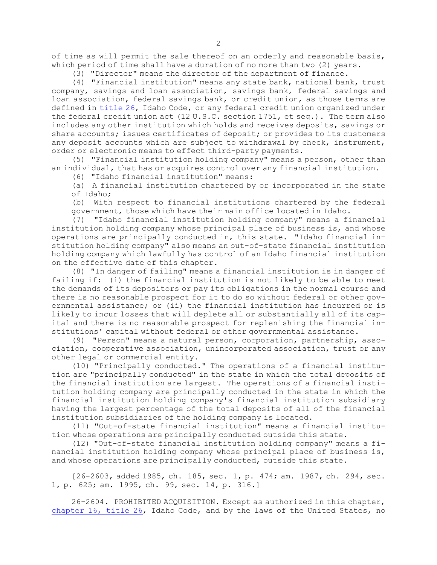of time as will permit the sale thereof on an orderly and reasonable basis, which period of time shall have <sup>a</sup> duration of no more than two (2) years.

(3) "Director" means the director of the department of finance.

(4) "Financial institution" means any state bank, national bank, trust company, savings and loan association, savings bank, federal savings and loan association, federal savings bank, or credit union, as those terms are defined in [title](https://legislature.idaho.gov/statutesrules/idstat/Title26/T26) 26, Idaho Code, or any federal credit union organized under the federal credit union act (12 U.S.C. section 1751, et seq.). The term also includes any other institution which holds and receives deposits, savings or share accounts; issues certificates of deposit; or provides to its customers any deposit accounts which are subject to withdrawal by check, instrument, order or electronic means to effect third-party payments.

(5) "Financial institution holding company" means <sup>a</sup> person, other than an individual, that has or acquires control over any financial institution.

(6) "Idaho financial institution" means:

(a) <sup>A</sup> financial institution chartered by or incorporated in the state of Idaho;

(b) With respect to financial institutions chartered by the federal government, those which have their main office located in Idaho.

(7) "Idaho financial institution holding company" means <sup>a</sup> financial institution holding company whose principal place of business is, and whose operations are principally conducted in, this state. "Idaho financial institution holding company" also means an out-of-state financial institution holding company which lawfully has control of an Idaho financial institution on the effective date of this chapter.

(8) "In danger of failing" means <sup>a</sup> financial institution is in danger of failing if: (i) the financial institution is not likely to be able to meet the demands of its depositors or pay its obligations in the normal course and there is no reasonable prospect for it to do so without federal or other governmental assistance; or (ii) the financial institution has incurred or is likely to incur losses that will deplete all or substantially all of its capital and there is no reasonable prospect for replenishing the financial institutions' capital without federal or other governmental assistance.

(9) "Person" means <sup>a</sup> natural person, corporation, partnership, association, cooperative association, unincorporated association, trust or any other legal or commercial entity.

(10) "Principally conducted." The operations of <sup>a</sup> financial institution are "principally conducted" in the state in which the total deposits of the financial institution are largest. The operations of <sup>a</sup> financial institution holding company are principally conducted in the state in which the financial institution holding company's financial institution subsidiary having the largest percentage of the total deposits of all of the financial institution subsidiaries of the holding company is located.

(11) "Out-of-state financial institution" means <sup>a</sup> financial institution whose operations are principally conducted outside this state.

(12) "Out-of-state financial institution holding company" means <sup>a</sup> financial institution holding company whose principal place of business is, and whose operations are principally conducted, outside this state.

[26-2603, added 1985, ch. 185, sec. 1, p. 474; am. 1987, ch. 294, sec. 1, p. 625; am. 1995, ch. 99, sec. 14, p. 316.]

26-2604. PROHIBITED ACQUISITION. Except as authorized in this chapter, [chapter](https://legislature.idaho.gov/statutesrules/idstat/Title26/T26CH16) 16, title 26, Idaho Code, and by the laws of the United States, no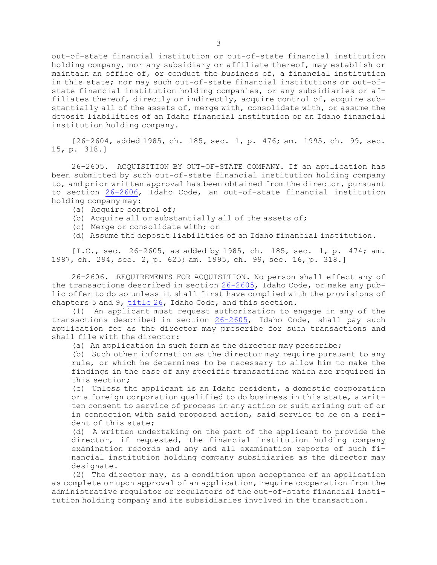out-of-state financial institution or out-of-state financial institution holding company, nor any subsidiary or affiliate thereof, may establish or maintain an office of, or conduct the business of, <sup>a</sup> financial institution in this state; nor may such out-of-state financial institutions or out-ofstate financial institution holding companies, or any subsidiaries or affiliates thereof, directly or indirectly, acquire control of, acquire substantially all of the assets of, merge with, consolidate with, or assume the deposit liabilities of an Idaho financial institution or an Idaho financial institution holding company.

[26-2604, added 1985, ch. 185, sec. 1, p. 476; am. 1995, ch. 99, sec. 15, p. 318.]

26-2605. ACQUISITION BY OUT-OF-STATE COMPANY. If an application has been submitted by such out-of-state financial institution holding company to, and prior written approval has been obtained from the director, pursuant to section [26-2606](https://legislature.idaho.gov/statutesrules/idstat/Title26/T26CH26/SECT26-2606), Idaho Code, an out-of-state financial institution holding company may:

- (a) Acquire control of;
- (b) Acquire all or substantially all of the assets of;
- (c) Merge or consolidate with; or
- (d) Assume the deposit liabilities of an Idaho financial institution.

[I.C., sec. 26-2605, as added by 1985, ch. 185, sec. 1, p. 474; am. 1987, ch. 294, sec. 2, p. 625; am. 1995, ch. 99, sec. 16, p. 318.]

26-2606. REQUIREMENTS FOR ACQUISITION. No person shall effect any of the transactions described in section [26-2605](https://legislature.idaho.gov/statutesrules/idstat/Title26/T26CH26/SECT26-2605), Idaho Code, or make any public offer to do so unless it shall first have complied with the provisions of chapters 5 and 9, [title](https://legislature.idaho.gov/statutesrules/idstat/Title26/T26) 26, Idaho Code, and this section.

(1) An applicant must request authorization to engage in any of the transactions described in section [26-2605](https://legislature.idaho.gov/statutesrules/idstat/Title26/T26CH26/SECT26-2605), Idaho Code, shall pay such application fee as the director may prescribe for such transactions and shall file with the director:

(a) An application in such form as the director may prescribe;

(b) Such other information as the director may require pursuant to any rule, or which he determines to be necessary to allow him to make the findings in the case of any specific transactions which are required in this section;

(c) Unless the applicant is an Idaho resident, <sup>a</sup> domestic corporation or <sup>a</sup> foreign corporation qualified to do business in this state, <sup>a</sup> written consent to service of process in any action or suit arising out of or in connection with said proposed action, said service to be on <sup>a</sup> resident of this state;

(d) <sup>A</sup> written undertaking on the part of the applicant to provide the director, if requested, the financial institution holding company examination records and any and all examination reports of such financial institution holding company subsidiaries as the director may designate.

(2) The director may, as <sup>a</sup> condition upon acceptance of an application as complete or upon approval of an application, require cooperation from the administrative regulator or regulators of the out-of-state financial institution holding company and its subsidiaries involved in the transaction.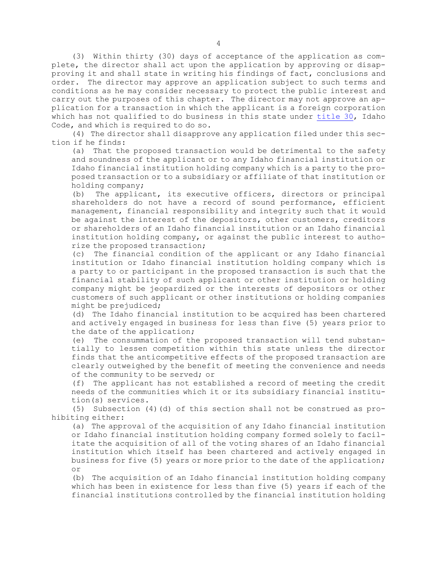(3) Within thirty (30) days of acceptance of the application as complete, the director shall act upon the application by approving or disapproving it and shall state in writing his findings of fact, conclusions and order. The director may approve an application subject to such terms and conditions as he may consider necessary to protect the public interest and carry out the purposes of this chapter. The director may not approve an application for <sup>a</sup> transaction in which the applicant is <sup>a</sup> foreign corporation which has not qualified to do business in this state under [title](https://legislature.idaho.gov/statutesrules/idstat/Title30/T30) 30, Idaho Code, and which is required to do so.

(4) The director shall disapprove any application filed under this section if he finds:

(a) That the proposed transaction would be detrimental to the safety and soundness of the applicant or to any Idaho financial institution or Idaho financial institution holding company which is <sup>a</sup> party to the proposed transaction or to <sup>a</sup> subsidiary or affiliate of that institution or holding company;

(b) The applicant, its executive officers, directors or principal shareholders do not have <sup>a</sup> record of sound performance, efficient management, financial responsibility and integrity such that it would be against the interest of the depositors, other customers, creditors or shareholders of an Idaho financial institution or an Idaho financial institution holding company, or against the public interest to authorize the proposed transaction;

(c) The financial condition of the applicant or any Idaho financial institution or Idaho financial institution holding company which is <sup>a</sup> party to or participant in the proposed transaction is such that the financial stability of such applicant or other institution or holding company might be jeopardized or the interests of depositors or other customers of such applicant or other institutions or holding companies might be prejudiced;

(d) The Idaho financial institution to be acquired has been chartered and actively engaged in business for less than five (5) years prior to the date of the application;

(e) The consummation of the proposed transaction will tend substantially to lessen competition within this state unless the director finds that the anticompetitive effects of the proposed transaction are clearly outweighed by the benefit of meeting the convenience and needs of the community to be served; or

(f) The applicant has not established <sup>a</sup> record of meeting the credit needs of the communities which it or its subsidiary financial institution(s) services.

(5) Subsection (4)(d) of this section shall not be construed as prohibiting either:

(a) The approval of the acquisition of any Idaho financial institution or Idaho financial institution holding company formed solely to facilitate the acquisition of all of the voting shares of an Idaho financial institution which itself has been chartered and actively engaged in business for five (5) years or more prior to the date of the application; or

(b) The acquisition of an Idaho financial institution holding company which has been in existence for less than five (5) years if each of the financial institutions controlled by the financial institution holding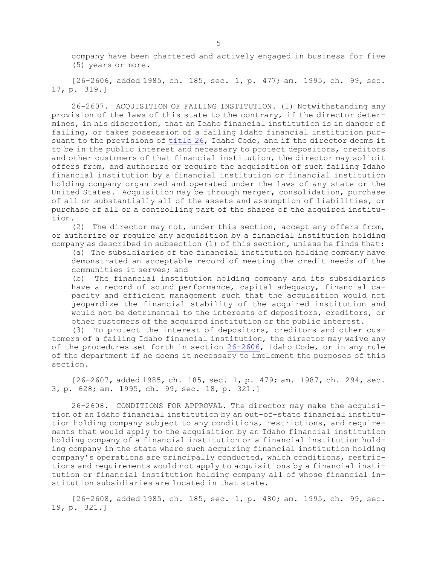company have been chartered and actively engaged in business for five (5) years or more.

[26-2606, added 1985, ch. 185, sec. 1, p. 477; am. 1995, ch. 99, sec. 17, p. 319.]

26-2607. ACQUISITION OF FAILING INSTITUTION. (1) Notwithstanding any provision of the laws of this state to the contrary, if the director determines, in his discretion, that an Idaho financial institution is in danger of failing, or takes possession of <sup>a</sup> failing Idaho financial institution pursuant to the provisions of [title](https://legislature.idaho.gov/statutesrules/idstat/Title26/T26) 26, Idaho Code, and if the director deems it to be in the public interest and necessary to protect depositors, creditors and other customers of that financial institution, the director may solicit offers from, and authorize or require the acquisition of such failing Idaho financial institution by <sup>a</sup> financial institution or financial institution holding company organized and operated under the laws of any state or the United States. Acquisition may be through merger, consolidation, purchase of all or substantially all of the assets and assumption of liabilities, or purchase of all or <sup>a</sup> controlling part of the shares of the acquired institution.

(2) The director may not, under this section, accept any offers from, or authorize or require any acquisition by <sup>a</sup> financial institution holding company as described in subsection (1) of this section, unless he finds that:

(a) The subsidiaries of the financial institution holding company have demonstrated an acceptable record of meeting the credit needs of the communities it serves; and

(b) The financial institution holding company and its subsidiaries have <sup>a</sup> record of sound performance, capital adequacy, financial capacity and efficient management such that the acquisition would not jeopardize the financial stability of the acquired institution and would not be detrimental to the interests of depositors, creditors, or other customers of the acquired institution or the public interest.

(3) To protect the interest of depositors, creditors and other customers of <sup>a</sup> failing Idaho financial institution, the director may waive any of the procedures set forth in section [26-2606](https://legislature.idaho.gov/statutesrules/idstat/Title26/T26CH26/SECT26-2606), Idaho Code, or in any rule of the department if he deems it necessary to implement the purposes of this section.

[26-2607, added 1985, ch. 185, sec. 1, p. 479; am. 1987, ch. 294, sec. 3, p. 628; am. 1995, ch. 99, sec. 18, p. 321.]

26-2608. CONDITIONS FOR APPROVAL. The director may make the acquisition of an Idaho financial institution by an out-of-state financial institution holding company subject to any conditions, restrictions, and requirements that would apply to the acquisition by an Idaho financial institution holding company of <sup>a</sup> financial institution or <sup>a</sup> financial institution holding company in the state where such acquiring financial institution holding company's operations are principally conducted, which conditions, restrictions and requirements would not apply to acquisitions by <sup>a</sup> financial institution or financial institution holding company all of whose financial institution subsidiaries are located in that state.

[26-2608, added 1985, ch. 185, sec. 1, p. 480; am. 1995, ch. 99, sec. 19, p. 321.]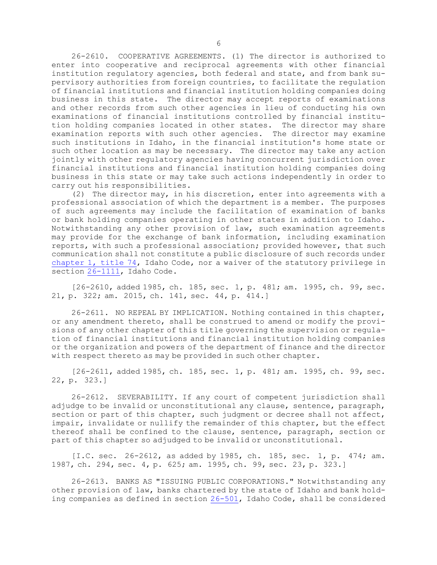26-2610. COOPERATIVE AGREEMENTS. (1) The director is authorized to enter into cooperative and reciprocal agreements with other financial institution regulatory agencies, both federal and state, and from bank supervisory authorities from foreign countries, to facilitate the regulation of financial institutions and financial institution holding companies doing business in this state. The director may accept reports of examinations and other records from such other agencies in lieu of conducting his own examinations of financial institutions controlled by financial institution holding companies located in other states. The director may share examination reports with such other agencies. The director may examine such institutions in Idaho, in the financial institution's home state or such other location as may be necessary. The director may take any action jointly with other regulatory agencies having concurrent jurisdiction over financial institutions and financial institution holding companies doing business in this state or may take such actions independently in order to carry out his responsibilities.

(2) The director may, in his discretion, enter into agreements with <sup>a</sup> professional association of which the department is <sup>a</sup> member. The purposes of such agreements may include the facilitation of examination of banks or bank holding companies operating in other states in addition to Idaho. Notwithstanding any other provision of law, such examination agreements may provide for the exchange of bank information, including examination reports, with such <sup>a</sup> professional association; provided however, that such communication shall not constitute <sup>a</sup> public disclosure of such records under [chapter](https://legislature.idaho.gov/statutesrules/idstat/Title74/T74CH1) 1, title 74, Idaho Code, nor <sup>a</sup> waiver of the statutory privilege in section [26-1111](https://legislature.idaho.gov/statutesrules/idstat/Title26/T26CH11/SECT26-1111), Idaho Code.

[26-2610, added 1985, ch. 185, sec. 1, p. 481; am. 1995, ch. 99, sec. 21, p. 322; am. 2015, ch. 141, sec. 44, p. 414.]

26-2611. NO REPEAL BY IMPLICATION. Nothing contained in this chapter, or any amendment thereto, shall be construed to amend or modify the provisions of any other chapter of this title governing the supervision or regulation of financial institutions and financial institution holding companies or the organization and powers of the department of finance and the director with respect thereto as may be provided in such other chapter.

[26-2611, added 1985, ch. 185, sec. 1, p. 481; am. 1995, ch. 99, sec. 22, p. 323.]

26-2612. SEVERABILITY. If any court of competent jurisdiction shall adjudge to be invalid or unconstitutional any clause, sentence, paragraph, section or part of this chapter, such judgment or decree shall not affect, impair, invalidate or nullify the remainder of this chapter, but the effect thereof shall be confined to the clause, sentence, paragraph, section or part of this chapter so adjudged to be invalid or unconstitutional.

[I.C. sec. 26-2612, as added by 1985, ch. 185, sec. 1, p. 474; am. 1987, ch. 294, sec. 4, p. 625; am. 1995, ch. 99, sec. 23, p. 323.]

26-2613. BANKS AS "ISSUING PUBLIC CORPORATIONS." Notwithstanding any other provision of law, banks chartered by the state of Idaho and bank holding companies as defined in section [26-501](https://legislature.idaho.gov/statutesrules/idstat/Title26/T26CH5/SECT26-501), Idaho Code, shall be considered